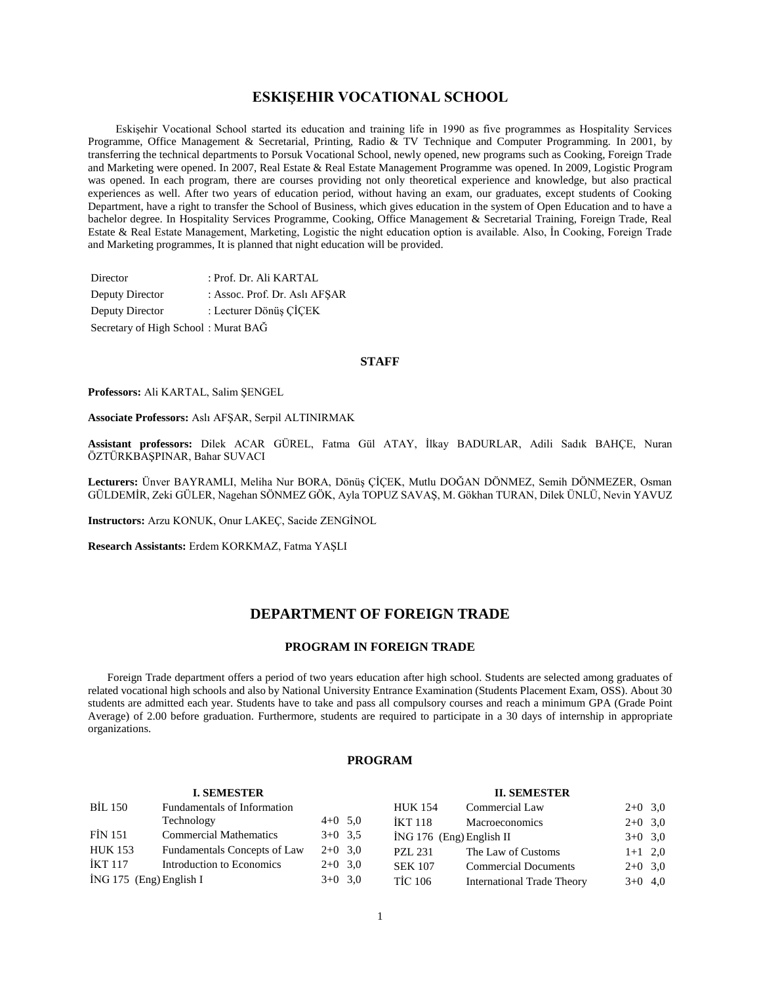# **ESKIŞEHIR VOCATIONAL SCHOOL**

 Eskişehir Vocational School started its education and training life in 1990 as five programmes as Hospitality Services Programme, Office Management & Secretarial, Printing, Radio & TV Technique and Computer Programming. In 2001, by transferring the technical departments to Porsuk Vocational School, newly opened, new programs such as Cooking, Foreign Trade and Marketing were opened. In 2007, Real Estate & Real Estate Management Programme was opened. In 2009, Logistic Program was opened. In each program, there are courses providing not only theoretical experience and knowledge, but also practical experiences as well. After two years of education period, without having an exam, our graduates, except students of Cooking Department, have a right to transfer the School of Business, which gives education in the system of Open Education and to have a bachelor degree. In Hospitality Services Programme, Cooking, Office Management & Secretarial Training, Foreign Trade, Real Estate & Real Estate Management, Marketing, Logistic the night education option is available. Also, İn Cooking, Foreign Trade and Marketing programmes, It is planned that night education will be provided.

| Director                            | : Prof. Dr. Ali KARTAL        |
|-------------------------------------|-------------------------------|
| Deputy Director                     | : Assoc. Prof. Dr. Aslı AFSAR |
| Deputy Director                     | : Lecturer Dönüş ÇİÇEK        |
| Secretary of High School: Murat BAG |                               |

# **STAFF**

**Professors:** Ali KARTAL, Salim ŞENGEL

**Associate Professors:** Aslı AFŞAR, Serpil ALTINIRMAK

**Assistant professors:** Dilek ACAR GÜREL, Fatma Gül ATAY, İlkay BADURLAR, Adili Sadık BAHÇE, Nuran ÖZTÜRKBAŞPINAR, Bahar SUVACI

**Lecturers:** Ünver BAYRAMLI, Meliha Nur BORA, Dönüş ÇİÇEK, Mutlu DOĞAN DÖNMEZ, Semih DÖNMEZER, Osman GÜLDEMİR, Zeki GÜLER, Nagehan SÖNMEZ GÖK, Ayla TOPUZ SAVAŞ, M. Gökhan TURAN, Dilek ÜNLÜ, Nevin YAVUZ

**Instructors:** Arzu KONUK, Onur LAKEÇ, Sacide ZENGİNOL

**Research Assistants:** Erdem KORKMAZ, Fatma YAŞLI

# **DEPARTMENT OF FOREIGN TRADE**

## **PROGRAM IN FOREIGN TRADE**

 Foreign Trade department offers a period of two years education after high school. Students are selected among graduates of related vocational high schools and also by National University Entrance Examination (Students Placement Exam, OSS). About 30 students are admitted each year. Students have to take and pass all compulsory courses and reach a minimum GPA (Grade Point Average) of 2.00 before graduation. Furthermore, students are required to participate in a 30 days of internship in appropriate organizations.

# **PROGRAM**

|                         | <b>I. SEMESTER</b>            |           |                | <b>II. SEMESTER</b>               |           |  |
|-------------------------|-------------------------------|-----------|----------------|-----------------------------------|-----------|--|
| <b>BİL 150</b>          | Fundamentals of Information   |           | <b>HUK 154</b> | Commercial Law                    | $2+0$ 3,0 |  |
|                         | Technology                    | $4+0$ 5.0 | <b>IKT 118</b> | <b>Macroeconomics</b>             | $2+0$ 3,0 |  |
| <b>FİN 151</b>          | <b>Commercial Mathematics</b> | $3+0$ 3.5 |                | $ING 176$ (Eng) English II        | $3+0$ 3,0 |  |
| <b>HUK 153</b>          | Fundamentals Concepts of Law  | $2+0$ 3.0 | <b>PZL 231</b> | The Law of Customs                | $1+1$ 2,0 |  |
| İKT 117                 | Introduction to Economics     | $2+0$ 3.0 | <b>SEK 107</b> | <b>Commercial Documents</b>       | $2+0$ 3,0 |  |
| İNG 175 (Eng) English I |                               | $3+0$ 3,0 | <b>TİC 106</b> | <b>International Trade Theory</b> | $3+0$ 4,0 |  |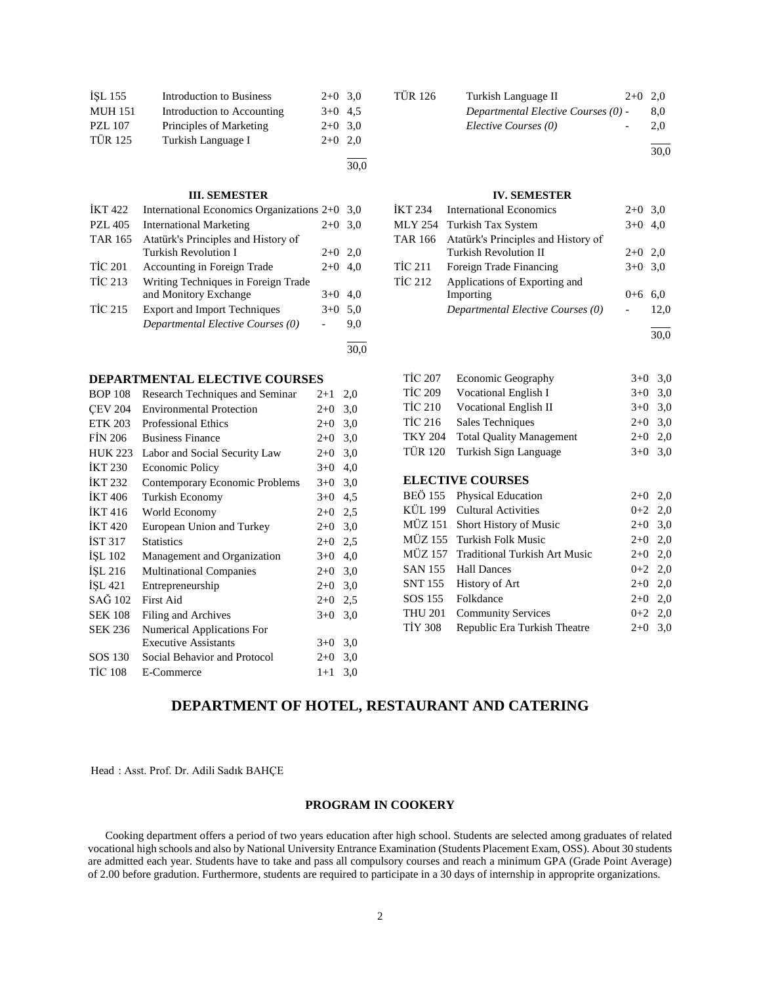| İŞL 155        | <b>Introduction to Business</b> | $2+0$ 3.0 |  |
|----------------|---------------------------------|-----------|--|
| <b>MUH 151</b> | Introduction to Accounting      | $3+0$ 4.5 |  |
| <b>PZL 107</b> | Principles of Marketing         | $2+0$ 3.0 |  |
| <b>TÜR 125</b> | Turkish Language I              | $2+0$ 2.0 |  |
|                |                                 |           |  |

# **III. SEMESTER**

| <b>İKT422</b>  | International Economics Organizations 2+0 3,0 |       |     |
|----------------|-----------------------------------------------|-------|-----|
| <b>PZL 405</b> | <b>International Marketing</b>                | $2+0$ | 3.0 |
| <b>TAR 165</b> | Atatürk's Principles and History of           |       |     |
|                | Turkish Revolution I                          | $2+0$ | 2.0 |
| <b>TİC 201</b> | Accounting in Foreign Trade                   | $2+0$ | 4.0 |
| <b>TİC 213</b> | Writing Techniques in Foreign Trade           |       |     |
|                | and Monitory Exchange                         | $3+0$ | 4.0 |
| <b>TİC 215</b> | <b>Export and Import Techniques</b>           | $3+0$ | 5.0 |
|                | Departmental Elective Courses (0)             |       | 9.0 |
|                |                                               |       |     |

# **DEPARTMENTAL ELECTIVE COURSES**

| <b>BOP 108</b> | Research Techniques and Seminar   | $2+1$ | 2,0 |
|----------------|-----------------------------------|-------|-----|
| <b>CEV 204</b> | <b>Environmental Protection</b>   | $2+0$ | 3,0 |
| <b>ETK 203</b> | <b>Professional Ethics</b>        | $2+0$ | 3,0 |
| <b>FIN 206</b> | <b>Business Finance</b>           | $2+0$ | 3,0 |
| <b>HUK 223</b> | Labor and Social Security Law     | $2+0$ | 3,0 |
| <b>IKT 230</b> | Economic Policy                   | $3+0$ | 4,0 |
| <b>IKT 232</b> | Contemporary Economic Problems    | $3+0$ | 3,0 |
| <b>IKT</b> 406 | Turkish Economy                   | $3+0$ | 4,5 |
| <b>IKT 416</b> | World Economy                     | $2+0$ | 2,5 |
| <b>IKT420</b>  | European Union and Turkey         | $2+0$ | 3,0 |
| IST 317        | <b>Statistics</b>                 | $2+0$ | 2,5 |
| ISL 102        | Management and Organization       | $3+0$ | 4,0 |
| İŞL 216        | <b>Multinational Companies</b>    | $2+0$ | 3,0 |
| İŞL 421        | Entrepreneurship                  | $2+0$ | 3,0 |
| SAĞ 102        | First Aid                         | $2+0$ | 2,5 |
| <b>SEK 108</b> | Filing and Archives               | $3+0$ | 3,0 |
| SEK 236        | <b>Numerical Applications For</b> |       |     |
|                | <b>Executive Assistants</b>       | $3+0$ | 3,0 |
| SOS 130        | Social Behavior and Protocol      | $2+0$ | 3,0 |
| <b>TİC 108</b> | E-Commerce                        | $1+1$ | 3,0 |
|                |                                   |       |     |

| <b>TÜR 126</b> | Turkish Language II                 | $2+0$ 2.0 |      |
|----------------|-------------------------------------|-----------|------|
|                | Departmental Elective Courses (0) - |           | 8.0  |
|                | Elective Courses (0)                |           | 2.0  |
|                |                                     |           | 30.0 |

# **IV. SEMESTER**

|                | IKT 234 International Economics             | $2+0$ 3,0 |      |
|----------------|---------------------------------------------|-----------|------|
|                | MLY 254 Turkish Tax System                  | $3+0$ 4.0 |      |
|                | TAR 166 Atatürk's Principles and History of |           |      |
|                | <b>Turkish Revolution II</b>                | $2+0$ 2.0 |      |
| TİC 211        | Foreign Trade Financing                     | $3+0$ 3,0 |      |
| <b>TİC 212</b> | Applications of Exporting and               |           |      |
|                | Importing                                   | $0 + 6$   | 6.0  |
|                | Departmental Elective Courses (0)           |           | 12.0 |
|                |                                             |           |      |

30,0

| <b>TİC 207</b> | <b>Economic Geography</b>       | $3+0$ 3.0 |  |
|----------------|---------------------------------|-----------|--|
| <b>TİC 209</b> | Vocational English I            | $3+0$ 3.0 |  |
| <b>TİC 210</b> | <b>Vocational English II</b>    | $3+0$ 3.0 |  |
| <b>TİC 216</b> | Sales Techniques                | $2+0$ 3.0 |  |
| <b>TKY 204</b> | <b>Total Quality Management</b> | $2+0$ 2,0 |  |
|                | TÜR 120 Turkish Sign Language   | $3+0$ 3,0 |  |

# **ELECTIVE COURSES**

|         | BEÖ 155 Physical Education            | $2+0$ 2,0 |  |
|---------|---------------------------------------|-----------|--|
|         | KÜL 199 Cultural Activities           | $0+2$ 2,0 |  |
|         | MÜZ 151 Short History of Music        | $2+0$ 3,0 |  |
|         | MÜZ 155 Turkish Folk Music            | $2+0$ 2,0 |  |
|         | MÜZ 157 Traditional Turkish Art Music | $2+0$ 2,0 |  |
|         | SAN 155 Hall Dances                   | $0+2$ 2,0 |  |
|         | SNT 155 History of Art                | $2+0$ 2,0 |  |
|         | SOS 155 Folkdance                     | $2+0$ 2,0 |  |
|         | THU 201 Community Services            | $0+2$ 2,0 |  |
| TIY 308 | Republic Era Turkish Theatre          | $2+0$ 3,0 |  |

# **DEPARTMENT OF HOTEL, RESTAURANT AND CATERING**

30,0

30,0

Head : Asst. Prof. Dr. Adili Sadık BAHÇE

# **PROGRAM IN COOKERY**

 Cooking department offers a period of two years education after high school. Students are selected among graduates of related vocational high schools and also by National University Entrance Examination (Students Placement Exam, OSS). About 30 students are admitted each year. Students have to take and pass all compulsory courses and reach a minimum GPA (Grade Point Average) of 2.00 before gradution. Furthermore, students are required to participate in a 30 days of internship in approprite organizations.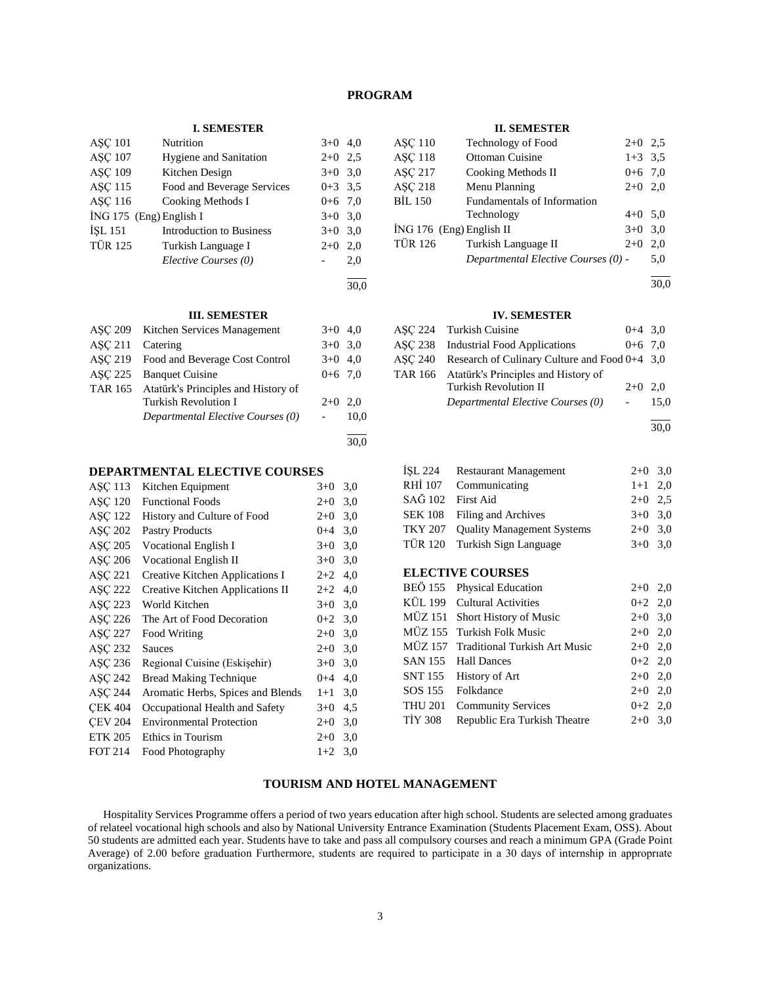# **PROGRAM**

#### **I. SEMESTER**

| <b>ASC 101</b>          | Nutrition                       | $3+0$     | 4,0 |
|-------------------------|---------------------------------|-----------|-----|
| <b>ASC 107</b>          | <b>Hygiene and Sanitation</b>   | $2+0$ 2.5 |     |
| <b>ASC 109</b>          | Kitchen Design                  | $3+0$ 3,0 |     |
| ASC 115                 | Food and Beverage Services      | $0+3$ 3.5 |     |
| <b>ASC 116</b>          | Cooking Methods I               | $0+6$ 7,0 |     |
| İNG 175 (Eng) English I |                                 | $3+0$ 3,0 |     |
| <b>ISL 151</b>          | <b>Introduction to Business</b> | $3+0$ 3,0 |     |
| <b>TÜR 125</b>          | Turkish Language I              | $2+0$     | 2,0 |
|                         | Elective Courses (0)            |           | 2,0 |
|                         |                                 |           |     |

30,0

# **III. SEMESTER**

|                | ASC 209 Kitchen Services Management         | $3+0$ 4,0 |      |
|----------------|---------------------------------------------|-----------|------|
| <b>ASC 211</b> | Catering                                    | $3+0$ 3.0 |      |
|                | ASC 219 Food and Beverage Cost Control      | $3+0$ 4.0 |      |
| <b>ASC 225</b> | <b>Banquet Cuisine</b>                      | $0+6$ 7.0 |      |
|                | TAR 165 Atatürk's Principles and History of |           |      |
|                | <b>Turkish Revolution I</b>                 | $2+0$ 2.0 |      |
|                | Departmental Elective Courses (0)           |           | 10,0 |
|                |                                             |           | 30.0 |
|                |                                             |           |      |

# **DEPARTMENTAL ELECTIVE COURSES**

| ASC 113        | Kitchen Equipment                 | $3+0$   | 3,0 |
|----------------|-----------------------------------|---------|-----|
| ASC 120        | <b>Functional Foods</b>           | $2+0$   | 3,0 |
| ASC 122        | History and Culture of Food       | $2+0$   | 3,0 |
| ASC 202        | <b>Pastry Products</b>            | $0 + 4$ | 3,0 |
| ASC 205        | Vocational English I              | $3+0$   | 3,0 |
| ASC 206        | <b>Vocational English II</b>      | $3+0$   | 3,0 |
| ASC 221        | Creative Kitchen Applications I   | $2 + 2$ | 4,0 |
| ASC 222        | Creative Kitchen Applications II  | $2+2$   | 4,0 |
| ASC 223        | World Kitchen                     | $3+0$   | 3,0 |
| ASC 226        | The Art of Food Decoration        | $0 + 2$ | 3,0 |
| ASC 227        | Food Writing                      | $2+0$   | 3,0 |
| ASC 232        | <b>Sauces</b>                     | $2+0$   | 3,0 |
| ASC 236        | Regional Cuisine (Eskisehir)      | $3+0$   | 3,0 |
| ASC 242        | Bread Making Technique            | $0 + 4$ | 4,0 |
| ASC 244        | Aromatic Herbs, Spices and Blends | $1+1$   | 3,0 |
| <b>CEK 404</b> | Occupational Health and Safety    | $3+0$   | 4,5 |
| <b>CEV 204</b> | <b>Environmental Protection</b>   | $2+0$   | 3,0 |
| <b>ETK 205</b> | Ethics in Tourism                 | $2+0$   | 3,0 |
| <b>FOT 214</b> | Food Photography                  | $1+2$   | 3,0 |
|                |                                   |         |     |

#### **II. SEMESTER**

| <b>ASC 110</b>             | Technology of Food                  | $2+0$ 2.5 |     |
|----------------------------|-------------------------------------|-----------|-----|
| <b>ASC 118</b>             | Ottoman Cuisine                     | $1+3$ 3.5 |     |
| <b>ASC 217</b>             | Cooking Methods II                  | $0+6$ 7.0 |     |
| <b>ASC 218</b>             | Menu Planning                       | $2+0$ 2,0 |     |
| <b>BİL 150</b>             | Fundamentals of Information         |           |     |
|                            | Technology                          | $4+0$ 5,0 |     |
| $ING 176$ (Eng) English II |                                     | $3+0$ 3,0 |     |
| <b>TÜR 126</b>             | Turkish Language II                 | $2+0$     | 2.0 |
|                            | Departmental Elective Courses (0) - |           | 5.0 |

l 30,0

#### **IV. SEMESTER**

| ASC 224 Turkish Cuisine                               | $0+4$ 3.0 |      |
|-------------------------------------------------------|-----------|------|
| ASC 238 Industrial Food Applications                  | $0+6$ 7.0 |      |
| ASC 240 Research of Culinary Culture and Food 0+4 3.0 |           |      |
| TAR 166 Atatürk's Principles and History of           |           |      |
| <b>Turkish Revolution II</b>                          | $2+0$ 2.0 |      |
| Departmental Elective Courses (0)                     |           | 15.0 |
|                                                       |           |      |

30,0

|                   | ISL 224 Restaurant Management      | $2+0$ 3,0 |  |
|-------------------|------------------------------------|-----------|--|
|                   | RHİ 107 Communicating              | $1+1$ 2,0 |  |
| SAĞ 102 First Aid |                                    | $2+0$ 2.5 |  |
|                   | SEK 108 Filing and Archives        | $3+0$ 3.0 |  |
|                   | TKY 207 Quality Management Systems | $2+0$ 3.0 |  |
|                   | TÜR 120 Turkish Sign Language      | $3+0$ 3,0 |  |

# **ELECTIVE COURSES**

| BEÖ 155 Physical Education   | $2+0$ 2,0                                                                                                                                                                                                                               |  |
|------------------------------|-----------------------------------------------------------------------------------------------------------------------------------------------------------------------------------------------------------------------------------------|--|
|                              | $0+2$ 2,0                                                                                                                                                                                                                               |  |
|                              | $2+0$ 3,0                                                                                                                                                                                                                               |  |
|                              | $2+0$ 2,0                                                                                                                                                                                                                               |  |
|                              | $2+0$ 2,0                                                                                                                                                                                                                               |  |
|                              | $0+2$ 2,0                                                                                                                                                                                                                               |  |
|                              | $2+0$ 2,0                                                                                                                                                                                                                               |  |
|                              | $2+0$ 2,0                                                                                                                                                                                                                               |  |
|                              | $0+2$ 2,0                                                                                                                                                                                                                               |  |
| Republic Era Turkish Theatre | $2+0$ 3,0                                                                                                                                                                                                                               |  |
|                              | KÜL 199 Cultural Activities<br>MÜZ 151 Short History of Music<br>MÜZ 155 Turkish Folk Music<br>MÜZ 157 Traditional Turkish Art Music<br>SAN 155 Hall Dances<br>SNT 155 History of Art<br>SOS 155 Folkdance<br><b>Community Services</b> |  |

# **TOURISM AND HOTEL MANAGEMENT**

 Hospitality Services Programme offers a period of two years education after high school. Students are selected among graduates of relateel vocational high schools and also by National University Entrance Examination (Students Placement Exam, OSS). About 50 students are admitted each year. Students have to take and pass all compulsory courses and reach a minimum GPA (Grade Point Average) of 2.00 before graduation Furthermore, students are required to participate in a 30 days of internship in approprıate organizations.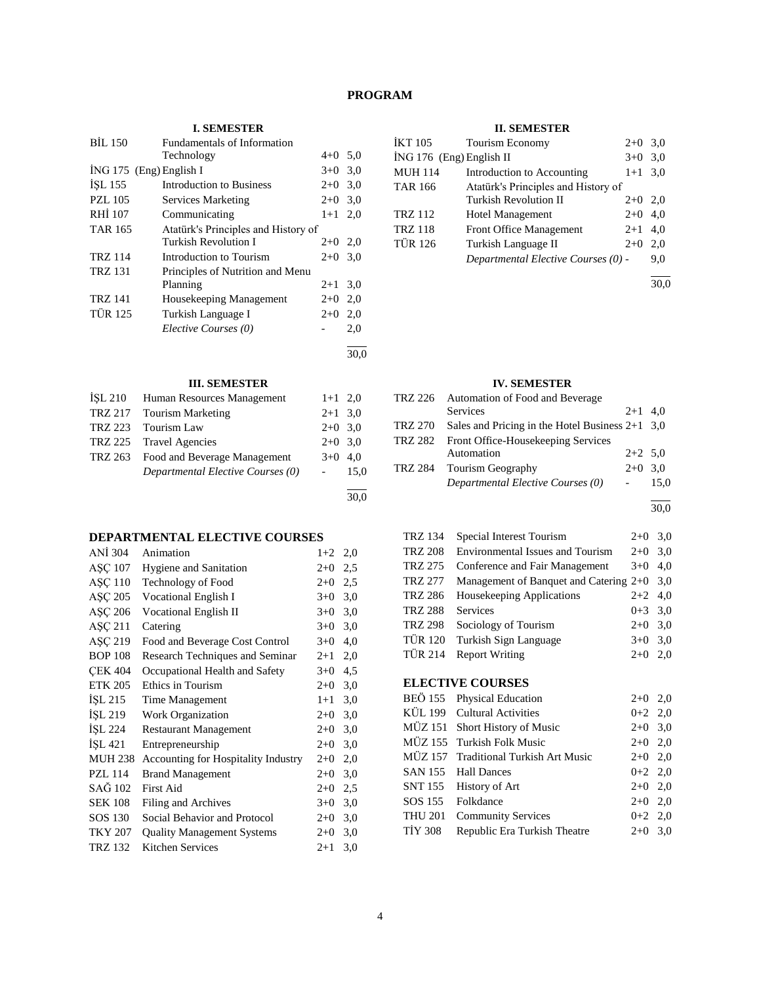# **PROGRAM**

30,0

# **I. SEMESTER**

| <b>BIL 150</b>            | <b>Fundamentals of Information</b>  |           |      |
|---------------------------|-------------------------------------|-----------|------|
|                           | Technology                          | $4+0$ 5.0 |      |
| $ING 175$ (Eng) English I |                                     | $3+0$ 3.0 |      |
| ISL 155                   | Introduction to Business            | $2+0$ 3.0 |      |
| <b>PZL 105</b>            | Services Marketing                  | $2+0$ 3.0 |      |
| RHI 107                   | Communicating                       | $1+1$ 2,0 |      |
| <b>TAR 165</b>            | Atatürk's Principles and History of |           |      |
|                           | <b>Turkish Revolution I</b>         | $2+0$ 2,0 |      |
| <b>TRZ 114</b>            | Introduction to Tourism             | $2+0$     | 3,0  |
| <b>TRZ 131</b>            | Principles of Nutrition and Menu    |           |      |
|                           | Planning                            | $2 + 1$   | 3,0  |
| <b>TRZ 141</b>            | Housekeeping Management             | $2+0$ 2,0 |      |
| <b>TÜR 125</b>            | Turkish Language I                  | $2+0$ 2,0 |      |
|                           | Elective Courses (0)                |           | 2,0  |
|                           |                                     |           | 30,0 |

# **III. SEMESTER**

| <b>İSL 210</b> | Human Resources Management           | $1+1$ 2,0 |      |
|----------------|--------------------------------------|-----------|------|
|                | TRZ 217 Tourism Marketing            | $2+1$ 3.0 |      |
| TRZ 223        | Tourism Law                          | $2+0$ 3.0 |      |
|                | TRZ 225 Travel Agencies              | $2+0$ 3.0 |      |
|                | TRZ 263 Food and Beverage Management | $3+0$ 4.0 |      |
|                | Departmental Elective Courses (0)    |           | 15.0 |
|                |                                      |           |      |

# **DEPARTMENTAL ELECTIVE COURSES**

| ANI 304        | Animation                           | $1+2$   | 2,0 |
|----------------|-------------------------------------|---------|-----|
| ASC 107        | <b>Hygiene and Sanitation</b>       | $2 + 0$ | 2,5 |
| <b>ASC 110</b> | Technology of Food                  | $2 + 0$ | 2,5 |
| ASC 205        | Vocational English I                | $3+0$   | 3,0 |
| ASC 206        | <b>Vocational English II</b>        | $3+0$   | 3,0 |
| ASC 211        | Catering                            | $3+0$   | 3,0 |
| AŞÇ 219        | Food and Beverage Cost Control      | $3+0$   | 4,0 |
| <b>BOP 108</b> | Research Techniques and Seminar     | $2 + 1$ | 2,0 |
| <b>CEK 404</b> | Occupational Health and Safety      | $3+0$   | 4,5 |
| <b>ETK 205</b> | Ethics in Tourism                   | $2+0$   | 3,0 |
| ISL215         | Time Management                     | $1+1$   | 3,0 |
| ISL 219        | <b>Work Organization</b>            | $2+0$   | 3,0 |
| ISL 224        | <b>Restaurant Management</b>        | $2+0$   | 3,0 |
| İŞL 421        | Entrepreneurship                    | $2+0$   | 3,0 |
| <b>MUH 238</b> | Accounting for Hospitality Industry | $2+0$   | 2,0 |
| <b>PZL 114</b> | <b>Brand Management</b>             | $2+0$   | 3,0 |
| SAĞ 102        | First Aid                           | $2+0$   | 2,5 |
| <b>SEK 108</b> | Filing and Archives                 | $3+0$   | 3,0 |
| SOS 130        | Social Behavior and Protocol        | $2+0$   | 3,0 |
| <b>TKY 207</b> | <b>Quality Management Systems</b>   | $2+0$   | 3,0 |
| <b>TRZ 132</b> | <b>Kitchen Services</b>             | $2 + 1$ | 3,0 |

# **II. SEMESTER**

| İKT 105                  | Tourism Economy                     | $2+0$     | 3,0 |
|--------------------------|-------------------------------------|-----------|-----|
| İNG 176 (Eng) English II |                                     | $3+0$     | 3,0 |
| <b>MUH 114</b>           | Introduction to Accounting          | $1+1$ 3,0 |     |
| <b>TAR 166</b>           | Atatürk's Principles and History of |           |     |
|                          | Turkish Revolution II               | $2+0$     | 2.0 |
| <b>TRZ 112</b>           | <b>Hotel Management</b>             | $2+0$     | 4,0 |
| <b>TRZ 118</b>           | <b>Front Office Management</b>      | $2+1$     | 4.0 |
| <b>TÜR 126</b>           | Turkish Language II                 | $2+0$     | 2,0 |
|                          | Departmental Elective Courses (0) - |           | 9,0 |
|                          |                                     |           |     |

30,0

# **IV. SEMESTER**

| TRZ 226 | Automation of Food and Beverage                   |           |      |
|---------|---------------------------------------------------|-----------|------|
|         | <b>Services</b>                                   | $2+1$ 4.0 |      |
| TRZ 270 | Sales and Pricing in the Hotel Business $2+1$ 3,0 |           |      |
| TRZ 282 | Front Office-Housekeeping Services                |           |      |
|         | Automation                                        | $2+2$ 5,0 |      |
|         | TRZ 284 Tourism Geography                         | $2+0$ 3.0 |      |
|         | Departmental Elective Courses (0)                 |           | 15.0 |
|         |                                                   |           |      |

30,0

| <b>TRZ 134</b> | Special Interest Tourism                     | $2+0$     | 3,0 |
|----------------|----------------------------------------------|-----------|-----|
| <b>TRZ 208</b> | Environmental Issues and Tourism             | $2+0$     | 3,0 |
| TRZ 275        | Conference and Fair Management               | $3+0$     | 4,0 |
| TRZ 277        | Management of Banquet and Catering $2+0$ 3,0 |           |     |
| TRZ 286        | Housekeeping Applications                    | $2+2$ 4,0 |     |
| <b>TRZ 288</b> | Services                                     | $0+3$ 3.0 |     |
| <b>TRZ 298</b> | Sociology of Tourism                         | $2+0$ 3,0 |     |
| TÜR 120        | Turkish Sign Language                        | $3+0$     | 3,0 |
| TÜR 214        | <b>Report Writing</b>                        | $2+0$     | 2.0 |
|                |                                              |           |     |

# **ELECTIVE COURSES**

|                | BEÖ 155 Physical Education            | $2+0$ 2,0 |  |
|----------------|---------------------------------------|-----------|--|
|                | KÜL 199 Cultural Activities           | $0+2$ 2,0 |  |
|                | MÜZ 151 Short History of Music        | $2+0$ 3,0 |  |
|                | MÜZ 155 Turkish Folk Music            | $2+0$ 2,0 |  |
|                | MÜZ 157 Traditional Turkish Art Music | $2+0$ 2,0 |  |
|                | SAN 155 Hall Dances                   | $0+2$ 2,0 |  |
|                | SNT 155 History of Art                | $2+0$ 2,0 |  |
|                | SOS 155 Folkdance                     | $2+0$ 2,0 |  |
| <b>THU 201</b> | <b>Community Services</b>             | $0+2$ 2,0 |  |
| TIY 308        | Republic Era Turkish Theatre          | $2+0$ 3,0 |  |
|                |                                       |           |  |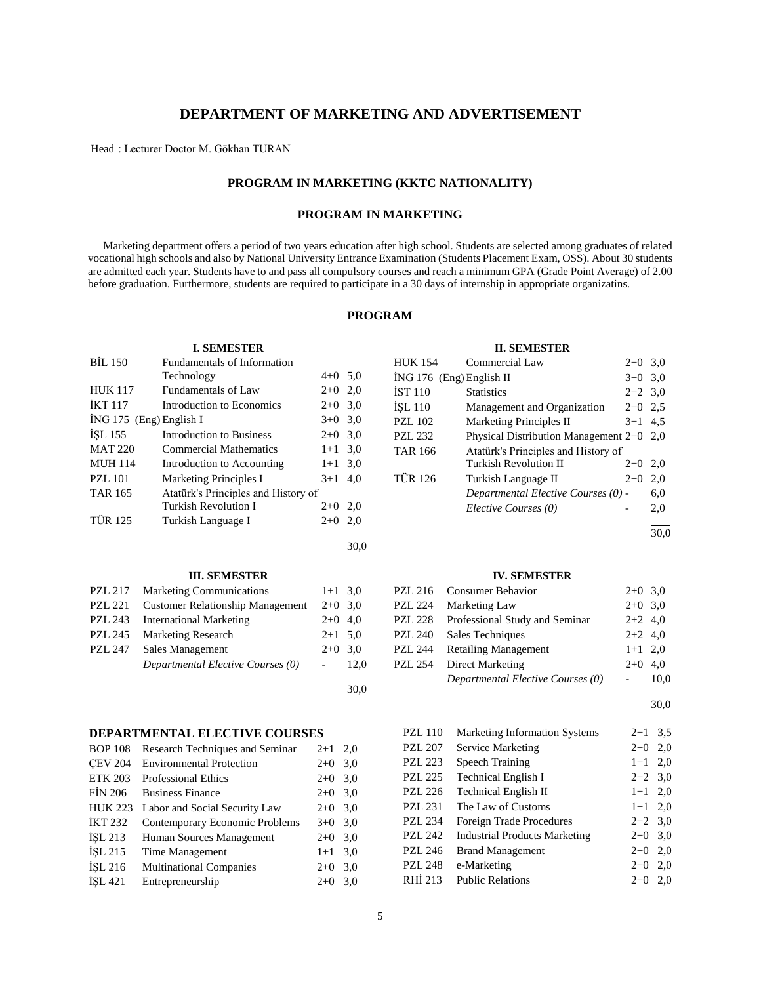# **DEPARTMENT OF MARKETING AND ADVERTISEMENT**

Head : Lecturer Doctor M. Gökhan TURAN

# **PROGRAM IN MARKETING (KKTC NATIONALITY)**

# **PROGRAM IN MARKETING**

 Marketing department offers a period of two years education after high school. Students are selected among graduates of related vocational high schools and also by National University Entrance Examination (Students Placement Exam, OSS). About 30 students are admitted each year. Students have to and pass all compulsory courses and reach a minimum GPA (Grade Point Average) of 2.00 before graduation. Furthermore, students are required to participate in a 30 days of internship in appropriate organizatins.

# **PROGRAM**

| <b>BIL 150</b><br>Fundamentals of Information<br>Commercial Law<br>$2+0$ 3,0<br><b>HUK 154</b><br>$4+0$ 5.0<br>Technology<br>İNG 176 (Eng) English II<br>3,0<br>$3+0$<br>Fundamentals of Law<br>$2+0$<br>2,0<br><b>HUK 117</b><br><b>IST 110</b><br>3,0<br><b>Statistics</b><br>$2 + 2$<br><b>IKT 117</b><br>Introduction to Economics<br>$2 + 0$<br>3,0<br>İŞL 110<br>Management and Organization<br>2.5<br>$2 + 0$<br>İNG 175 (Eng) English I<br>$3+0$<br>3,0<br><b>Marketing Principles II</b><br><b>PZL 102</b><br>$3+1$ 4.5<br><b>Introduction to Business</b><br>ISL 155<br>$2 + 0$<br>3,0<br><b>PZL 232</b><br>Physical Distribution Management 2+0 2,0<br><b>Commercial Mathematics</b><br><b>MAT 220</b><br>$1 + 1$<br>3,0<br>Atatürk's Principles and History of<br><b>TAR 166</b> |     |
|----------------------------------------------------------------------------------------------------------------------------------------------------------------------------------------------------------------------------------------------------------------------------------------------------------------------------------------------------------------------------------------------------------------------------------------------------------------------------------------------------------------------------------------------------------------------------------------------------------------------------------------------------------------------------------------------------------------------------------------------------------------------------------------------|-----|
|                                                                                                                                                                                                                                                                                                                                                                                                                                                                                                                                                                                                                                                                                                                                                                                              |     |
|                                                                                                                                                                                                                                                                                                                                                                                                                                                                                                                                                                                                                                                                                                                                                                                              |     |
|                                                                                                                                                                                                                                                                                                                                                                                                                                                                                                                                                                                                                                                                                                                                                                                              |     |
|                                                                                                                                                                                                                                                                                                                                                                                                                                                                                                                                                                                                                                                                                                                                                                                              |     |
|                                                                                                                                                                                                                                                                                                                                                                                                                                                                                                                                                                                                                                                                                                                                                                                              |     |
|                                                                                                                                                                                                                                                                                                                                                                                                                                                                                                                                                                                                                                                                                                                                                                                              |     |
|                                                                                                                                                                                                                                                                                                                                                                                                                                                                                                                                                                                                                                                                                                                                                                                              |     |
| Turkish Revolution II<br><b>MUH 114</b><br>Introduction to Accounting<br>3,0<br>2,0<br>$1 + 1$<br>$2 + 0$                                                                                                                                                                                                                                                                                                                                                                                                                                                                                                                                                                                                                                                                                    |     |
| <b>TÜR 126</b><br><b>PZL 101</b><br>Marketing Principles I<br>$3 + 1$<br>4,0<br>Turkish Language II<br>$2 + 0$<br>2,0                                                                                                                                                                                                                                                                                                                                                                                                                                                                                                                                                                                                                                                                        |     |
| Atatürk's Principles and History of<br>Departmental Elective Courses (0) -<br><b>TAR 165</b><br>6,0                                                                                                                                                                                                                                                                                                                                                                                                                                                                                                                                                                                                                                                                                          |     |
| Turkish Revolution I<br>2,0<br>$2+0$<br>Elective Courses (0)<br>2,0                                                                                                                                                                                                                                                                                                                                                                                                                                                                                                                                                                                                                                                                                                                          |     |
| <b>TÜR 125</b><br>Turkish Language I<br>$2+0$ 2,0                                                                                                                                                                                                                                                                                                                                                                                                                                                                                                                                                                                                                                                                                                                                            |     |
| 30,0                                                                                                                                                                                                                                                                                                                                                                                                                                                                                                                                                                                                                                                                                                                                                                                         |     |
| 30,0                                                                                                                                                                                                                                                                                                                                                                                                                                                                                                                                                                                                                                                                                                                                                                                         |     |
| <b>III. SEMESTER</b><br><b>IV. SEMESTER</b>                                                                                                                                                                                                                                                                                                                                                                                                                                                                                                                                                                                                                                                                                                                                                  |     |
| Marketing Communications<br><b>PZL 217</b><br>$1+1$ 3,0<br><b>PZL 216</b><br><b>Consumer Behavior</b><br>$2+0$ 3,0                                                                                                                                                                                                                                                                                                                                                                                                                                                                                                                                                                                                                                                                           |     |
| <b>PZL 221</b><br><b>Customer Relationship Management</b><br>$2 + 0$<br>3,0<br><b>PZL 224</b><br>Marketing Law<br>3,0<br>$2 + 0$                                                                                                                                                                                                                                                                                                                                                                                                                                                                                                                                                                                                                                                             |     |
| <b>International Marketing</b><br>Professional Study and Seminar<br><b>PZL 243</b><br>$2+0$ 4,0<br><b>PZL 228</b><br>$2 + 2$<br>4,0                                                                                                                                                                                                                                                                                                                                                                                                                                                                                                                                                                                                                                                          |     |
| <b>PZL 245</b><br><b>PZL 240</b><br>Marketing Research<br>$2+1$ 5.0<br>Sales Techniques<br>$2+2$ 4,0                                                                                                                                                                                                                                                                                                                                                                                                                                                                                                                                                                                                                                                                                         |     |
| <b>PZL 247</b><br>Sales Management<br>$2+0$ 3,0<br><b>PZL 244</b><br><b>Retailing Management</b><br>$1 + 1$<br>2,0                                                                                                                                                                                                                                                                                                                                                                                                                                                                                                                                                                                                                                                                           |     |
| Departmental Elective Courses (0)<br><b>Direct Marketing</b><br>12,0<br><b>PZL 254</b><br>$2 + 0$<br>4,0<br>$\overline{\phantom{a}}$                                                                                                                                                                                                                                                                                                                                                                                                                                                                                                                                                                                                                                                         |     |
| Departmental Elective Courses (0)<br>10,0<br>$\overline{\phantom{0}}$                                                                                                                                                                                                                                                                                                                                                                                                                                                                                                                                                                                                                                                                                                                        |     |
| 30,0                                                                                                                                                                                                                                                                                                                                                                                                                                                                                                                                                                                                                                                                                                                                                                                         |     |
| 30,0                                                                                                                                                                                                                                                                                                                                                                                                                                                                                                                                                                                                                                                                                                                                                                                         |     |
| <b>PZL 110</b><br>DEPARTMENTAL ELECTIVE COURSES<br><b>Marketing Information Systems</b><br>$2+1$ 3,5                                                                                                                                                                                                                                                                                                                                                                                                                                                                                                                                                                                                                                                                                         |     |
| <b>PZL 207</b><br><b>Service Marketing</b><br>$2+0$<br>Research Techniques and Seminar<br><b>BOP 108</b><br>2,0<br>$2+1$                                                                                                                                                                                                                                                                                                                                                                                                                                                                                                                                                                                                                                                                     | 2,0 |
| <b>PZL 223</b><br><b>Speech Training</b><br>$1+1$<br><b>Environmental Protection</b><br><b>CEV 204</b><br>$2+0$ 3,0                                                                                                                                                                                                                                                                                                                                                                                                                                                                                                                                                                                                                                                                          | 2,0 |
| <b>PZL 225</b><br><b>Technical English I</b><br>$2 + 2$<br><b>ETK 203</b><br><b>Professional Ethics</b><br>3,0<br>$2+0$                                                                                                                                                                                                                                                                                                                                                                                                                                                                                                                                                                                                                                                                      | 3,0 |
| <b>PZL 226</b><br><b>Technical English II</b><br>$1 + 1$<br><b>FIN 206</b><br><b>Business Finance</b><br>3,0<br>$2+0$                                                                                                                                                                                                                                                                                                                                                                                                                                                                                                                                                                                                                                                                        | 2,0 |
| <b>PZL 231</b><br>The Law of Customs<br>$1+1$ 2,0<br>Labor and Social Security Law<br><b>HUK 223</b><br>$2+0$ 3,0                                                                                                                                                                                                                                                                                                                                                                                                                                                                                                                                                                                                                                                                            |     |
| <b>PZL 234</b><br>Foreign Trade Procedures<br>$2+2$ 3,0<br><b>İKT 232</b><br>Contemporary Economic Problems<br>3,0<br>$3+0$                                                                                                                                                                                                                                                                                                                                                                                                                                                                                                                                                                                                                                                                  |     |
| $2+0$ 3,0<br><b>PZL 242</b><br><b>Industrial Products Marketing</b><br><b>İSL 213</b><br>$2+0$ 3.0<br>Human Sources Management                                                                                                                                                                                                                                                                                                                                                                                                                                                                                                                                                                                                                                                               |     |

PZL 246 Brand Management 2+0 2,0 PZL 248 e-Marketing 2+0 2,0 RHİ 213 Public Relations 2+0 2,0

 $I=1$  Time Management  $1+1$  3,0 İŞL 216 Multinational Companies 2+0 3,0 İŞL 421 Entrepreneurship 2+0 3,0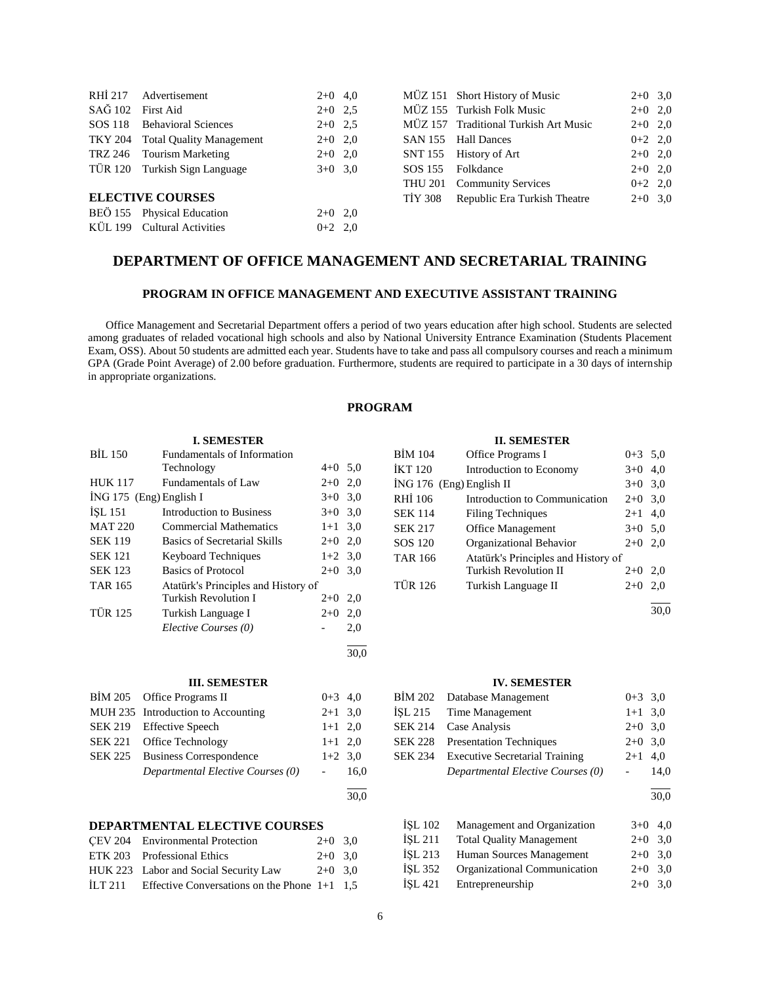| RHI 217 |                                  |           |         |                                       |           |  |
|---------|----------------------------------|-----------|---------|---------------------------------------|-----------|--|
|         | Advertisement                    | $2+0$ 4,0 |         | MÜZ 151 Short History of Music        | $2+0$ 3,0 |  |
| SAĞ 102 | First Aid                        | $2+0$ 2.5 |         | MÜZ 155 Turkish Folk Music            | $2+0$ 2,0 |  |
| SOS 118 | <b>Behavioral Sciences</b>       | $2+0$ 2.5 |         | MÜZ 157 Traditional Turkish Art Music | $2+0$ 2,0 |  |
|         | TKY 204 Total Quality Management | $2+0$ 2,0 | SAN 155 | <b>Hall Dances</b>                    | $0+2$ 2,0 |  |
|         | TRZ 246 Tourism Marketing        | $2+0$ 2,0 | SNT 155 | History of Art                        | $2+0$ 2,0 |  |
|         | TÜR 120 Turkish Sign Language    | $3+0$ 3.0 | SOS 155 | Folkdance                             | $2+0$ 2,0 |  |
|         |                                  |           | THU 201 | <b>Community Services</b>             | $0+2$ 2,0 |  |
|         | <b>ELECTIVE COURSES</b>          |           | TIY 308 | Republic Era Turkish Theatre          | $2+0$ 3.0 |  |
|         | BEÖ 155 Physical Education       | $2+0$ 2,0 |         |                                       |           |  |
|         | KÜL 199 Cultural Activities      | $0+2$ 2,0 |         |                                       |           |  |
|         |                                  |           |         |                                       |           |  |

# **DEPARTMENT OF OFFICE MANAGEMENT AND SECRETARIAL TRAINING**

# **PROGRAM IN OFFICE MANAGEMENT AND EXECUTIVE ASSISTANT TRAINING**

 Office Management and Secretarial Department offers a period of two years education after high school. Students are selected among graduates of reladed vocational high schools and also by National University Entrance Examination (Students Placement Exam, OSS). About 50 students are admitted each year. Students have to take and pass all compulsory courses and reach a minimum GPA (Grade Point Average) of 2.00 before graduation. Furthermore, students are required to participate in a 30 days of internship in appropriate organizations.

# **PROGRAM**

# **I. SEMESTER**

| <b>BIL 150</b>            | <b>Fundamentals of Information</b>  |           |      |
|---------------------------|-------------------------------------|-----------|------|
|                           | Technology                          | $4+0$ 5,0 |      |
| <b>HUK 117</b>            | Fundamentals of Law                 | $2+0$ 2,0 |      |
| $ING 175$ (Eng) English I |                                     | $3+0$ 3.0 |      |
| <b>ISL 151</b>            | <b>Introduction to Business</b>     | $3+0$ 3.0 |      |
| <b>MAT 220</b>            | <b>Commercial Mathematics</b>       | $1+1$ 3.0 |      |
| <b>SEK 119</b>            | <b>Basics of Secretarial Skills</b> | $2+0$ 2,0 |      |
| <b>SEK 121</b>            | <b>Keyboard Techniques</b>          | $1+2$ 3.0 |      |
| <b>SEK 123</b>            | <b>Basics of Protocol</b>           | $2+0$ 3.0 |      |
| <b>TAR 165</b>            | Atatürk's Principles and History of |           |      |
|                           | Turkish Revolution I                | $2+0$     | 2,0  |
| <b>TÜR 125</b>            | Turkish Language I                  | $2+0$     | 2,0  |
|                           | Elective Courses (0)                |           | 2,0  |
|                           |                                     |           | 30.0 |

#### **III. SEMESTER**

| BİM 205 Office Programs II         | $0+3$ 4,0              |      |
|------------------------------------|------------------------|------|
| MUH 235 Introduction to Accounting | $2+1$ 3.0              |      |
| SEK 219 Effective Speech           | $1+1$ 2,0              |      |
| SEK 221 Office Technology          | $1+1$ 2,0              |      |
| SEK 225 Business Correspondence    | $1+2$ 3.0              |      |
| Departmental Elective Courses (0)  | $\Delta \sim 10^{-11}$ | 16.0 |
|                                    |                        |      |

#### 30,0

# **DEPARTMENTAL ELECTIVE COURSES**

|         | CEV 204 Environmental Protection               | $2+0$ 3.0 |  |
|---------|------------------------------------------------|-----------|--|
|         | ETK 203 Professional Ethics                    | $2+0$ 3.0 |  |
|         | HUK 223 Labor and Social Security Law          | $2+0$ 3.0 |  |
| ILT 211 | Effective Conversations on the Phone $1+1$ 1.5 |           |  |

# **II. SEMESTER**

| <b>BİM 104</b>             | Office Programs I                   | $0+3$ 5.0 |     |
|----------------------------|-------------------------------------|-----------|-----|
| <b>IKT 120</b>             | Introduction to Economy             | $3+0$     | 4,0 |
| $ING 176$ (Eng) English II |                                     | $3+0$     | 3,0 |
| RHI 106                    | Introduction to Communication       | $2+0$ 3,0 |     |
| <b>SEK 114</b>             | <b>Filing Techniques</b>            | $2+1$ 4,0 |     |
| <b>SEK 217</b>             | <b>Office Management</b>            | $3+0$ 5.0 |     |
| SOS 120                    | Organizational Behavior             | $2+0$     | 2,0 |
| <b>TAR 166</b>             | Atatürk's Principles and History of |           |     |
|                            | Turkish Revolution II               | $2+0$     | 2,0 |
| <b>TÜR 126</b>             | Turkish Language II                 | $2+0$     | 2,0 |
|                            |                                     |           |     |

30,0

# **IV. SEMESTER**

|                | BIM 202 Database Management           | $0+3$ 3.0 |               |
|----------------|---------------------------------------|-----------|---------------|
|                | ISL 215 Time Management               | $1+1$ 3.0 |               |
|                | SEK 214 Case Analysis                 | $2+0$ 3,0 |               |
|                | SEK 228 Presentation Techniques       | $2+0$ 3,0 |               |
| <b>SEK 234</b> | <b>Executive Secretarial Training</b> | $2+1$ 4,0 |               |
|                | Departmental Elective Courses (0)     |           | 14,0          |
|                |                                       |           | $\sim$ $\sim$ |

30,0

| <b>İSL 102</b> | Management and Organization     | $3+0$ 4,0 |  |
|----------------|---------------------------------|-----------|--|
| İSL 211        | <b>Total Quality Management</b> | $2+0$ 3,0 |  |
| <b>İSL 213</b> | Human Sources Management        | $2+0$ 3,0 |  |
| <b>İSL 352</b> | Organizational Communication    | $2+0$ 3.0 |  |
| İSL 421        | Entrepreneurship                | $2+0$ 3.0 |  |
|                |                                 |           |  |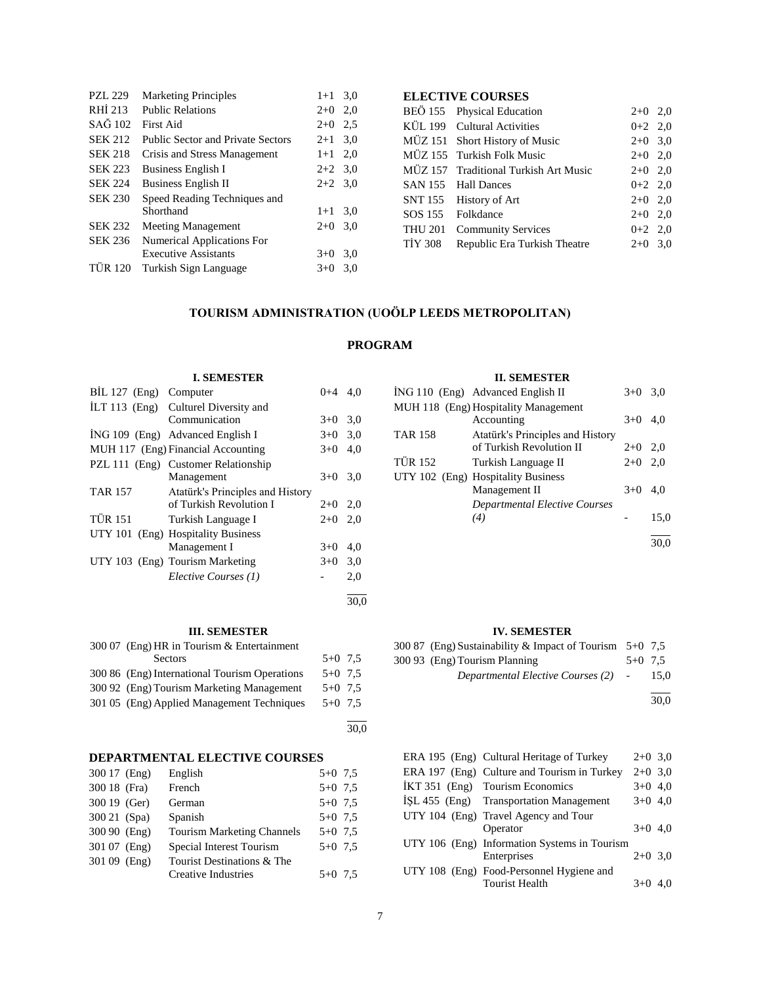| <b>PZL 229</b> | <b>Marketing Principles</b>              | $1+1$     | 3,0 |
|----------------|------------------------------------------|-----------|-----|
| RHI 213        | <b>Public Relations</b>                  | $2+0$     | 2,0 |
| SAĞ 102        | First Aid                                | $2+0$     | 2.5 |
| <b>SEK 212</b> | <b>Public Sector and Private Sectors</b> | $2+1$     | 3,0 |
| <b>SEK 218</b> | Crisis and Stress Management             | $1+1$     | 2,0 |
| <b>SEK 223</b> | <b>Business English I</b>                | $2+2$ 3.0 |     |
| <b>SEK 224</b> | <b>Business English II</b>               | $2+2$     | 3,0 |
| <b>SEK 230</b> | Speed Reading Techniques and             |           |     |
|                | Shorthand                                | $1+1$     | 3,0 |
| <b>SEK 232</b> | <b>Meeting Management</b>                | $2+0$     | 3,0 |
| <b>SEK 236</b> | Numerical Applications For               |           |     |
|                | <b>Executive Assistants</b>              | $3+0$     | 3,0 |
| <b>TUR 120</b> | Turkish Sign Language                    | $3+0$     | 3.0 |

**I. SEMESTER** BİL 127 (Eng) Computer 0+4 4,0

 $i$ NG 109 (Eng) Advanced English I  $3+0$  3,0 MUH 117 (Eng) Financial Accounting 3+0 4,0

TÜR 151 Turkish Language I 2+0 2,0

UTY 103 (Eng) Tourism Marketing 3+0 3,0

Communication 3+0 3,0

Management 3+0 3,0

of Turkish Revolution I 2+0 2,0

Management I  $3+0$  4,0

*Elective Courses (1)* - 2,0

İLT 113 (Eng) Culturel Diversity and

PZL 111 (Eng) Customer Relationship

UTY 101 (Eng) Hospitality Business

TAR 157 Atatürk's Principles and History

# **ELECTIVE COURSES**

|         | BEÖ 155 Physical Education            | $2+0$ 2,0 |  |
|---------|---------------------------------------|-----------|--|
|         | KÜL 199 Cultural Activities           | $0+2$ 2,0 |  |
|         | MÜZ 151 Short History of Music        | $2+0$ 3,0 |  |
|         | MÜZ 155 Turkish Folk Music            | $2+0$ 2,0 |  |
|         | MÜZ 157 Traditional Turkish Art Music | $2+0$ 2,0 |  |
|         | SAN 155 Hall Dances                   | $0+2$ 2,0 |  |
|         | SNT 155 History of Art                | $2+0$ 2,0 |  |
|         | SOS 155 Folkdance                     | $2+0$ 2,0 |  |
|         | THU 201 Community Services            | $0+2$ 2,0 |  |
| TIY 308 | Republic Era Turkish Theatre          | $2+0$ 3,0 |  |
|         |                                       |           |  |

# **TOURISM ADMINISTRATION (UOÖLP LEEDS METROPOLITAN)**

# **PROGRAM**

# **II. SEMESTER**

|                | п. эрипрэни                          |       |      |
|----------------|--------------------------------------|-------|------|
|                | ING 110 (Eng) Advanced English II    | $3+0$ | 3.0  |
|                | MUH 118 (Eng) Hospitality Management |       |      |
|                | Accounting                           | $3+0$ | 4.0  |
| <b>TAR 158</b> | Atatürk's Principles and History     |       |      |
|                | of Turkish Revolution II             | $2+0$ | 2.0  |
| <b>TÜR 152</b> | Turkish Language II                  | $2+0$ | 2,0  |
|                | UTY 102 (Eng) Hospitality Business   |       |      |
|                | Management II                        | $3+0$ | 4.0  |
|                | <b>Departmental Elective Courses</b> |       |      |
|                | (4)                                  |       | 15,0 |
|                |                                      |       |      |
|                |                                      |       |      |

#### **IV. SEMESTER**

| 300 87 (Eng) Sustainability & Impact of Tourism $5+0$ 7.5 |           |      |
|-----------------------------------------------------------|-----------|------|
| 300 93 (Eng) Tourism Planning                             | $5+0$ 7.5 |      |
| Departmental Elective Courses (2) -                       |           | 15.0 |
|                                                           |           |      |

30,0

| ERA 195 (Eng) Cultural Heritage of Turkey    | $2+0$ 3,0 |  |
|----------------------------------------------|-----------|--|
| ERA 197 (Eng) Culture and Tourism in Turkey  | $2+0$ 3,0 |  |
| İKT 351 (Eng) Tourism Economics              | $3+0$ 4,0 |  |
| ISL 455 (Eng) Transportation Management      | $3+0$ 4,0 |  |
| UTY 104 (Eng) Travel Agency and Tour         |           |  |
| Operator                                     | $3+0$ 4.0 |  |
| UTY 106 (Eng) Information Systems in Tourism |           |  |
| Enterprises                                  | $2+0$ 3.0 |  |
| UTY 108 (Eng) Food-Personnel Hygiene and     |           |  |
| <b>Tourist Health</b>                        | $3+0$     |  |
|                                              |           |  |

## **III. SEMESTER**

| 300 07 (Eng) HR in Tourism & Entertainment    |           |  |
|-----------------------------------------------|-----------|--|
| Sectors                                       | $5+0$ 7.5 |  |
| 300 86 (Eng) International Tourism Operations | $5+0$ 7.5 |  |
| 300.92 (Eng) Tourism Marketing Management     | $5+0$ 7.5 |  |
| 301 05 (Eng) Applied Management Techniques    | $5+0$ 7.5 |  |
|                                               |           |  |

30,0

l 30,0

# **DEPARTMENTAL ELECTIVE COURSES**<br>300.17 (Eng) English 5+0.75

| 300 17 (Eng) | English                           | $5+0$ 7.5 |
|--------------|-----------------------------------|-----------|
| 300 18 (Fra) | French                            | $5+0$ 7.5 |
| 300 19 (Ger) | German                            | $5+0$ 7.5 |
| 300 21 (Spa) | Spanish                           | $5+0$ 7.5 |
| 300 90 (Eng) | <b>Tourism Marketing Channels</b> | $5+0$ 7.5 |
| 301 07 (Eng) | Special Interest Tourism          | $5+0$ 7.5 |
| 301 09 (Eng) | Tourist Destinations & The        |           |
|              | <b>Creative Industries</b>        | $5+0$ 7.5 |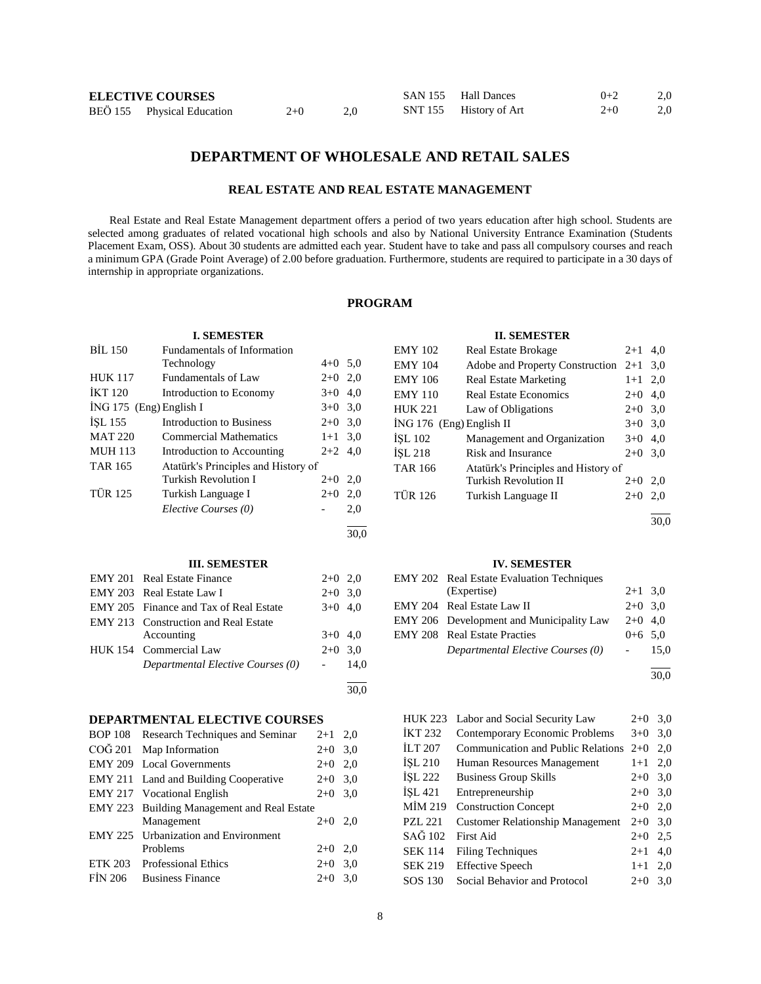| <b>ELECTIVE COURSES</b> |                            |       | SAN 155 Hall Dances | $0+2$                  | 2.0   |     |
|-------------------------|----------------------------|-------|---------------------|------------------------|-------|-----|
|                         | BEÖ 155 Physical Education | $2+0$ | 2.0                 | SNT 155 History of Art | $2+0$ | 2,0 |

# **DEPARTMENT OF WHOLESALE AND RETAIL SALES**

# **REAL ESTATE AND REAL ESTATE MANAGEMENT**

 Real Estate and Real Estate Management department offers a period of two years education after high school. Students are selected among graduates of related vocational high schools and also by National University Entrance Examination (Students Placement Exam, OSS). About 30 students are admitted each year. Student have to take and pass all compulsory courses and reach a minimum GPA (Grade Point Average) of 2.00 before graduation. Furthermore, students are required to participate in a 30 days of internship in appropriate organizations.

# **PROGRAM**

30,0

30,0

# **I. SEMESTER**

| <b>BIL 150</b>            | <b>Fundamentals of Information</b>  |           |     |
|---------------------------|-------------------------------------|-----------|-----|
|                           | Technology                          | $4+0$ 5.0 |     |
| <b>HUK 117</b>            | Fundamentals of Law                 | $2+0$ 2,0 |     |
| <b>IKT 120</b>            | Introduction to Economy             | $3+0$     | 4,0 |
| $ING 175$ (Eng) English I |                                     | $3+0$ 3.0 |     |
| <b>ISL 155</b>            | Introduction to Business            | $2+0$     | 3,0 |
| <b>MAT 220</b>            | <b>Commercial Mathematics</b>       | $1+1$ 3.0 |     |
| <b>MUH 113</b>            | Introduction to Accounting          | $2+2$ 4,0 |     |
| <b>TAR 165</b>            | Atatürk's Principles and History of |           |     |
|                           | Turkish Revolution I                | $2+0$     | 2,0 |
| <b>TÜR 125</b>            | Turkish Language I                  | $2+0$     | 2,0 |
|                           | Elective Courses (0)                |           | 2,0 |
|                           |                                     |           |     |

#### **III. SEMESTER**

| <b>EMY 201</b> Real Estate Finance          | $2+0$ 2,0 |  |
|---------------------------------------------|-----------|--|
| EMY 203 Real Estate Law I                   | $2+0$ 3.0 |  |
| EMY 205 Finance and Tax of Real Estate      | $3+0$ 4,0 |  |
| <b>EMY 213</b> Construction and Real Estate |           |  |
| Accounting                                  | $3+0$ 4,0 |  |
| HUK 154 Commercial Law                      | $2+0$ 3.0 |  |
| Departmental Elective Courses (0)           | $-14.0$   |  |
|                                             |           |  |

# **DEPARTMENTAL ELECTIVE COURSES**

| BOP 108 Research Techniques and Seminar     | $2+1$ 2,0 |     |
|---------------------------------------------|-----------|-----|
| COĞ 201 Map Information                     | $2+0$ 3.0 |     |
| EMY 209 Local Governments                   | $2+0$ 2,0 |     |
| EMY 211 Land and Building Cooperative       | $2+0$ 3.0 |     |
| EMY 217 Vocational English                  | $2+0$ 3.0 |     |
| EMY 223 Building Management and Real Estate |           |     |
| Management                                  | $2+0$     | 2,0 |
| <b>EMY 225</b> Urbanization and Environment |           |     |
| Problems                                    | $2+0$ 2,0 |     |
| ETK 203 Professional Ethics                 | $2+0$ 3.0 |     |
| FIN 206 Business Finance                    | $2+0$     | 3,0 |
|                                             |           |     |

# **II. SEMESTER**

| <b>EMY 102</b>           | <b>Real Estate Brokage</b>          | $2+1$     | 4,0 |
|--------------------------|-------------------------------------|-----------|-----|
| EMY 104                  | Adobe and Property Construction     | $2+1$     | 3,0 |
| EMY 106                  | <b>Real Estate Marketing</b>        | $1 + 1$   | 2,0 |
| EMY 110                  | <b>Real Estate Economics</b>        | $2+0$     | 4,0 |
| <b>HUK 221</b>           | Law of Obligations                  | $2+0$ 3,0 |     |
| ING 176 (Eng) English II |                                     | $3+0$     | 3,0 |
| ÍSL 102                  | Management and Organization         | $3+0$     | 4,0 |
| İSL 218                  | Risk and Insurance                  | $2+0$     | 3,0 |
| TAR 166                  | Atatürk's Principles and History of |           |     |
|                          | <b>Turkish Revolution II</b>        | $2+0$     | 2,0 |
| TÜR 126                  | Turkish Language II                 | $2+0$     | 2,0 |
|                          |                                     |           |     |

30,0

#### **IV. SEMESTER**

| EMY 202 Real Estate Evaluation Techniques |           |      |
|-------------------------------------------|-----------|------|
| (Expertise)                               | $2+1$ 3,0 |      |
| EMY 204 Real Estate Law II                | $2+0$ 3.0 |      |
| EMY 206 Development and Municipality Law  | $2+0$ 4.0 |      |
| <b>EMY 208</b> Real Estate Practies       | $0+6$ 5.0 |      |
| Departmental Elective Courses (0)         |           | 15.0 |
|                                           |           |      |

30,0

| <b>HUK 223</b> | Labor and Social Security Law           | $2+0$   | 3,0 |
|----------------|-----------------------------------------|---------|-----|
| İKT 232        | Contemporary Economic Problems          | $3+0$   | 3,0 |
| <b>ILT 207</b> | Communication and Public Relations      | $2+0$   | 2.0 |
| ISL 210        | Human Resources Management              | $1 + 1$ | 2,0 |
| İSL 222        | <b>Business Group Skills</b>            | $2+0$   | 3,0 |
| ISL 421        | Entrepreneurship                        | $2+0$   | 3,0 |
| MİM 219        | <b>Construction Concept</b>             | $2+0$   | 2,0 |
| <b>PZL 221</b> | <b>Customer Relationship Management</b> | $2+0$   | 3,0 |
| SAĞ 102        | <b>First Aid</b>                        | $2+0$   | 2.5 |
| <b>SEK 114</b> | <b>Filing Techniques</b>                | $2 + 1$ | 4,0 |
| <b>SEK 219</b> | <b>Effective Speech</b>                 | $1 + 1$ | 2,0 |
| SOS 130        | Social Behavior and Protocol            | $2+0$   | 3.0 |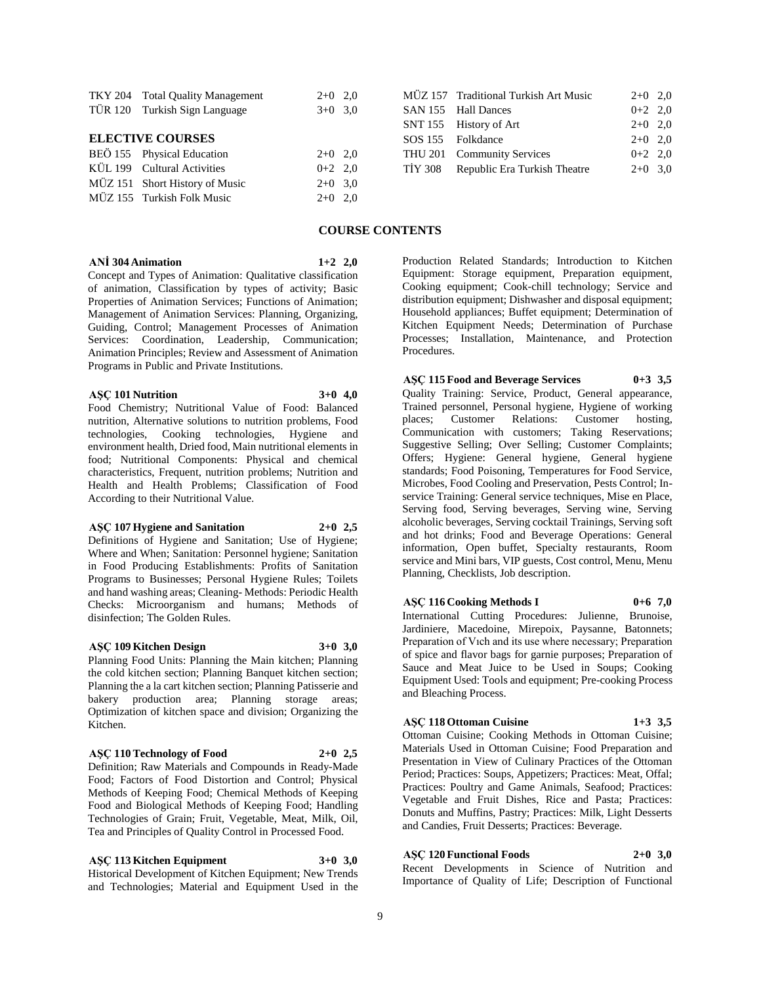|                         | TKY 204 Total Quality Management | $2+0$ 2,0 |  |  |  |  |
|-------------------------|----------------------------------|-----------|--|--|--|--|
|                         | TÜR 120 Turkish Sign Language    | $3+0$ 3,0 |  |  |  |  |
|                         |                                  |           |  |  |  |  |
| <b>ELECTIVE COURSES</b> |                                  |           |  |  |  |  |
|                         | BEÖ 155 Physical Education       | $2+0$ 2.0 |  |  |  |  |
|                         | KÜL 199 Cultural Activities      | $0+2$ 2.0 |  |  |  |  |
|                         | MÜZ 151 Short History of Music   | $2+0$ 3,0 |  |  |  |  |
|                         | MÜZ 155 Turkish Folk Music       | $2+0$ 2.0 |  |  |  |  |
|                         |                                  |           |  |  |  |  |

|  | MÜZ 157 Traditional Turkish Art Music | $2+0$ 2.0 |  |
|--|---------------------------------------|-----------|--|
|  | SAN 155 Hall Dances                   | $0+2$ 2,0 |  |
|  | SNT 155 History of Art                | $2+0$ 2,0 |  |
|  | SOS 155 Folkdance                     | $2+0$ 2.0 |  |
|  | THU 201 Community Services            | $0+2$ 2.0 |  |
|  | TIY 308 Republic Era Turkish Theatre  | $2+0$ 3.0 |  |
|  |                                       |           |  |

# **COURSE CONTENTS**

**ANİ 304 Animation 1+2 2,0** Concept and Types of Animation: Qualitative classification

of animation, Classification by types of activity; Basic Properties of Animation Services; Functions of Animation; Management of Animation Services: Planning, Organizing, Guiding, Control; Management Processes of Animation Services: Coordination, Leadership, Communication; Animation Principles; Review and Assessment of Animation Programs in Public and Private Institutions.

#### **AŞÇ 101 Nutrition 3+0 4,0**

Food Chemistry; Nutritional Value of Food: Balanced nutrition, Alternative solutions to nutrition problems, Food technologies, Cooking technologies, Hygiene and environment health, Dried food, Main nutritional elements in food; Nutritional Components: Physical and chemical characteristics, Frequent, nutrition problems; Nutrition and Health and Health Problems; Classification of Food According to their Nutritional Value.

#### **AŞÇ 107 Hygiene and Sanitation 2+0 2,5**

Definitions of Hygiene and Sanitation; Use of Hygiene; Where and When; Sanitation: Personnel hygiene; Sanitation in Food Producing Establishments: Profits of Sanitation Programs to Businesses; Personal Hygiene Rules; Toilets and hand washing areas; Cleaning- Methods: Periodic Health Checks: Microorganism and humans; Methods of disinfection; The Golden Rules.

#### **AŞÇ 109 Kitchen Design 3+0 3,0**

Planning Food Units: Planning the Main kitchen; Planning the cold kitchen section; Planning Banquet kitchen section; Planning the a la cart kitchen section; Planning Patisserie and bakery production area; Planning storage areas; Optimization of kitchen space and division; Organizing the Kitchen.

#### **AŞÇ 110 Technology of Food 2+0 2,5**

Definition; Raw Materials and Compounds in Ready-Made Food; Factors of Food Distortion and Control; Physical Methods of Keeping Food; Chemical Methods of Keeping Food and Biological Methods of Keeping Food; Handling Technologies of Grain; Fruit, Vegetable, Meat, Milk, Oil, Tea and Principles of Quality Control in Processed Food.

# **AŞÇ 113 Kitchen Equipment 3+0 3,0**

Historical Development of Kitchen Equipment; New Trends and Technologies; Material and Equipment Used in the Production Related Standards; Introduction to Kitchen Equipment: Storage equipment, Preparation equipment, Cooking equipment; Cook-chill technology; Service and distribution equipment; Dishwasher and disposal equipment; Household appliances; Buffet equipment; Determination of Kitchen Equipment Needs; Determination of Purchase Processes; Installation, Maintenance, and Protection Procedures.

**AŞÇ 115 Food and Beverage Services 0+3 3,5** Quality Training: Service, Product, General appearance, Trained personnel, Personal hygiene, Hygiene of working places; Customer Relations: Customer hosting, Communication with customers; Taking Reservations; Suggestive Selling; Over Selling; Customer Complaints; Offers; Hygiene: General hygiene, General hygiene standards; Food Poisoning, Temperatures for Food Service, Microbes, Food Cooling and Preservation, Pests Control; Inservice Training: General service techniques, Mise en Place, Serving food, Serving beverages, Serving wine, Serving alcoholic beverages, Serving cocktail Trainings, Serving soft and hot drinks; Food and Beverage Operations: General information, Open buffet, Specialty restaurants, Room service and Mini bars, VIP guests, Cost control, Menu, Menu Planning, Checklists, Job description.

# **AŞÇ 116 Cooking Methods I 0+6 7,0**

International Cutting Procedures: Julienne, Brunoise, Jardiniere, Macedoine, Mirepoix, Paysanne, Batonnets; Preparation of Vıch and its use where necessary; Preparation of spice and flavor bags for garnie purposes; Preparation of Sauce and Meat Juice to be Used in Soups; Cooking Equipment Used: Tools and equipment; Pre-cooking Process and Bleaching Process.

#### **AŞÇ 118 Ottoman Cuisine 1+3 3,5**

Ottoman Cuisine; Cooking Methods in Ottoman Cuisine; Materials Used in Ottoman Cuisine; Food Preparation and Presentation in View of Culinary Practices of the Ottoman Period; Practices: Soups, Appetizers; Practices: Meat, Offal; Practices: Poultry and Game Animals, Seafood; Practices: Vegetable and Fruit Dishes, Rice and Pasta; Practices: Donuts and Muffins, Pastry; Practices: Milk, Light Desserts and Candies, Fruit Desserts; Practices: Beverage.

# **AŞÇ 120 Functional Foods 2+0 3,0**

Recent Developments in Science of Nutrition and Importance of Quality of Life; Description of Functional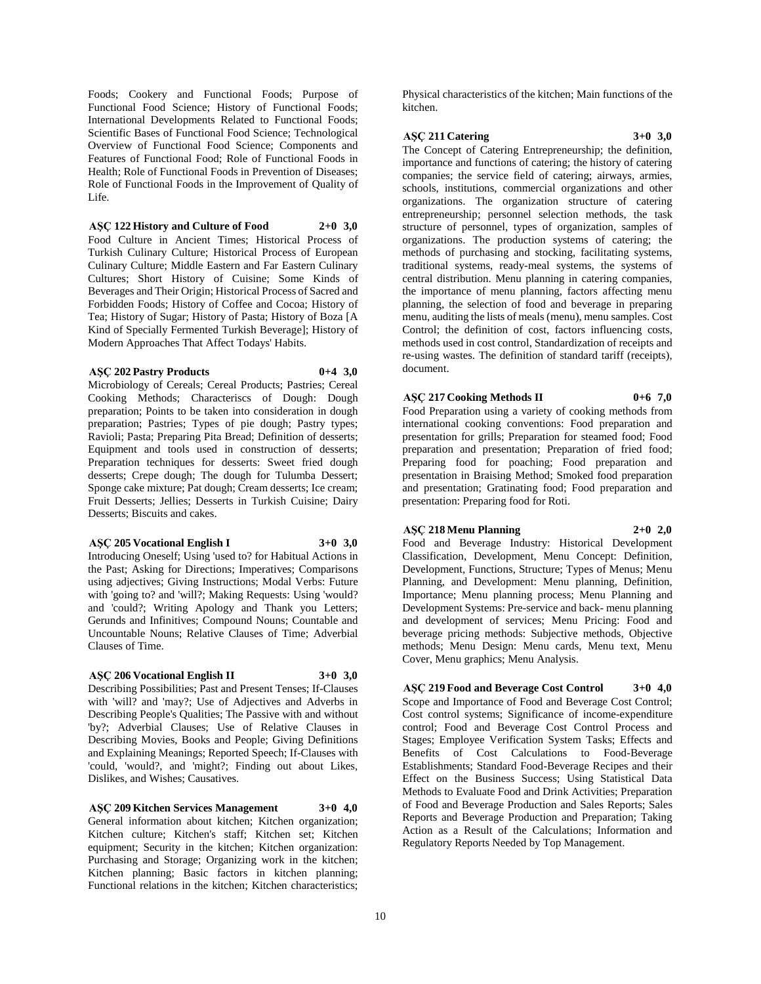Foods; Cookery and Functional Foods; Purpose of Functional Food Science; History of Functional Foods; International Developments Related to Functional Foods; Scientific Bases of Functional Food Science; Technological Overview of Functional Food Science; Components and Features of Functional Food; Role of Functional Foods in Health; Role of Functional Foods in Prevention of Diseases; Role of Functional Foods in the Improvement of Quality of Life.

**AŞÇ 122 History and Culture of Food 2+0 3,0** Food Culture in Ancient Times; Historical Process of Turkish Culinary Culture; Historical Process of European Culinary Culture; Middle Eastern and Far Eastern Culinary Cultures; Short History of Cuisine; Some Kinds of Beverages and Their Origin; Historical Process of Sacred and Forbidden Foods; History of Coffee and Cocoa; History of Tea; History of Sugar; History of Pasta; History of Boza [A Kind of Specially Fermented Turkish Beverage]; History of Modern Approaches That Affect Todays' Habits.

#### **AŞÇ 202 Pastry Products 0+4 3,0**

Microbiology of Cereals; Cereal Products; Pastries; Cereal Cooking Methods; Characteriscs of Dough: Dough preparation; Points to be taken into consideration in dough preparation; Pastries; Types of pie dough; Pastry types; Ravioli; Pasta; Preparing Pita Bread; Definition of desserts; Equipment and tools used in construction of desserts; Preparation techniques for desserts: Sweet fried dough desserts; Crepe dough; The dough for Tulumba Dessert; Sponge cake mixture; Pat dough; Cream desserts; Ice cream; Fruit Desserts; Jellies; Desserts in Turkish Cuisine; Dairy Desserts; Biscuits and cakes.

#### **AŞÇ 205 Vocational English I 3+0 3,0**

Introducing Oneself; Using 'used to? for Habitual Actions in the Past; Asking for Directions; Imperatives; Comparisons using adjectives; Giving Instructions; Modal Verbs: Future with 'going to? and 'will?; Making Requests: Using 'would? and 'could?; Writing Apology and Thank you Letters; Gerunds and Infinitives; Compound Nouns; Countable and Uncountable Nouns; Relative Clauses of Time; Adverbial Clauses of Time.

# **AŞÇ 206 Vocational English II 3+0 3,0**

Describing Possibilities; Past and Present Tenses; If-Clauses with 'will? and 'may?; Use of Adjectives and Adverbs in Describing People's Qualities; The Passive with and without 'by?; Adverbial Clauses; Use of Relative Clauses in Describing Movies, Books and People; Giving Definitions and Explaining Meanings; Reported Speech; If-Clauses with 'could, 'would?, and 'might?; Finding out about Likes, Dislikes, and Wishes; Causatives.

**AŞÇ 209 Kitchen Services Management 3+0 4,0** General information about kitchen; Kitchen organization; Kitchen culture; Kitchen's staff; Kitchen set; Kitchen equipment; Security in the kitchen; Kitchen organization: Purchasing and Storage; Organizing work in the kitchen; Kitchen planning; Basic factors in kitchen planning; Functional relations in the kitchen; Kitchen characteristics;

Physical characteristics of the kitchen; Main functions of the kitchen.

# **AŞÇ 211 Catering 3+0 3,0**

The Concept of Catering Entrepreneurship; the definition, importance and functions of catering; the history of catering companies; the service field of catering; airways, armies, schools, institutions, commercial organizations and other organizations. The organization structure of catering entrepreneurship; personnel selection methods, the task structure of personnel, types of organization, samples of organizations. The production systems of catering; the methods of purchasing and stocking, facilitating systems, traditional systems, ready-meal systems, the systems of central distribution. Menu planning in catering companies, the importance of menu planning, factors affecting menu planning, the selection of food and beverage in preparing menu, auditing the lists of meals (menu), menu samples. Cost Control; the definition of cost, factors influencing costs, methods used in cost control, Standardization of receipts and re-using wastes. The definition of standard tariff (receipts), document.

# **AŞÇ 217 Cooking Methods II 0+6 7,0**

Food Preparation using a variety of cooking methods from international cooking conventions: Food preparation and presentation for grills; Preparation for steamed food; Food preparation and presentation; Preparation of fried food; Preparing food for poaching; Food preparation and presentation in Braising Method; Smoked food preparation and presentation; Gratinating food; Food preparation and presentation: Preparing food for Roti.

#### **AŞÇ 218 Menu Planning 2+0 2,0**

Food and Beverage Industry: Historical Development Classification, Development, Menu Concept: Definition, Development, Functions, Structure; Types of Menus; Menu Planning, and Development: Menu planning, Definition, Importance; Menu planning process; Menu Planning and Development Systems: Pre-service and back- menu planning and development of services; Menu Pricing: Food and beverage pricing methods: Subjective methods, Objective methods; Menu Design: Menu cards, Menu text, Menu Cover, Menu graphics; Menu Analysis.

**AŞÇ 219 Food and Beverage Cost Control 3+0 4,0** Scope and Importance of Food and Beverage Cost Control; Cost control systems; Significance of income-expenditure control; Food and Beverage Cost Control Process and Stages; Employee Verification System Tasks; Effects and Benefits of Cost Calculations to Food-Beverage Establishments; Standard Food-Beverage Recipes and their Effect on the Business Success; Using Statistical Data Methods to Evaluate Food and Drink Activities; Preparation of Food and Beverage Production and Sales Reports; Sales Reports and Beverage Production and Preparation; Taking Action as a Result of the Calculations; Information and Regulatory Reports Needed by Top Management.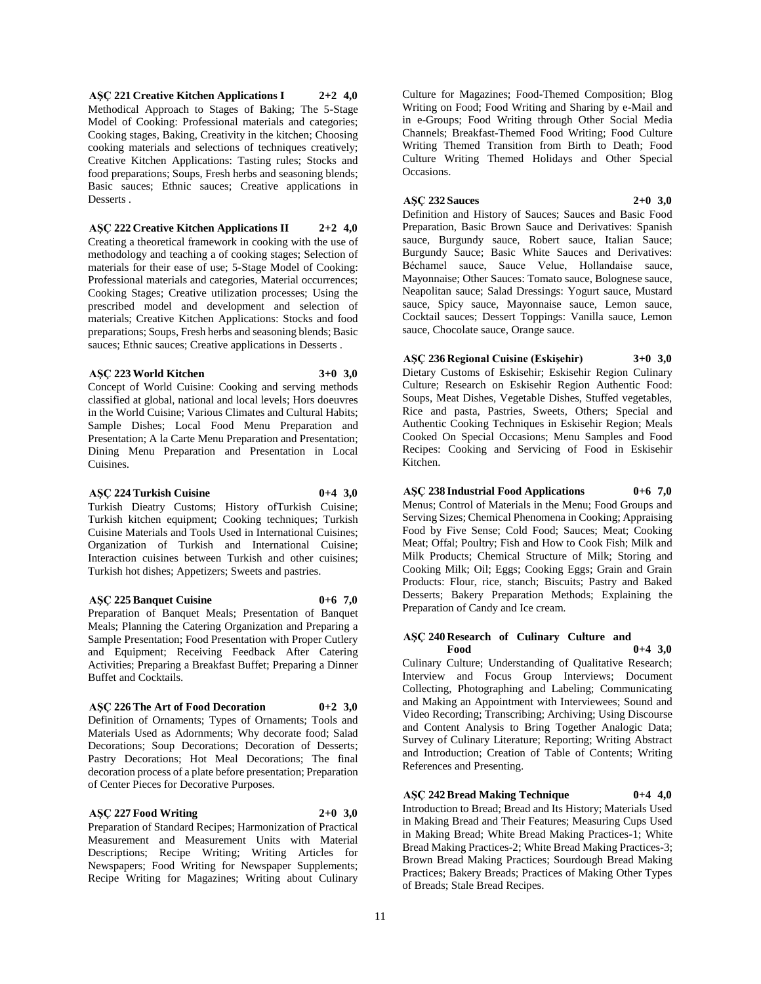**AŞÇ 221 Creative Kitchen Applications I 2+2 4,0** Methodical Approach to Stages of Baking; The 5-Stage Model of Cooking: Professional materials and categories; Cooking stages, Baking, Creativity in the kitchen; Choosing cooking materials and selections of techniques creatively; Creative Kitchen Applications: Tasting rules; Stocks and food preparations; Soups, Fresh herbs and seasoning blends; Basic sauces; Ethnic sauces; Creative applications in Desserts .

**AŞÇ 222 Creative Kitchen Applications II 2+2 4,0** Creating a theoretical framework in cooking with the use of methodology and teaching a of cooking stages; Selection of materials for their ease of use; 5-Stage Model of Cooking: Professional materials and categories, Material occurrences; Cooking Stages; Creative utilization processes; Using the prescribed model and development and selection of materials; Creative Kitchen Applications: Stocks and food preparations; Soups, Fresh herbs and seasoning blends; Basic sauces; Ethnic sauces; Creative applications in Desserts .

#### **AŞÇ 223 World Kitchen 3+0 3,0**

Concept of World Cuisine: Cooking and serving methods classified at global, national and local levels; Hors doeuvres in the World Cuisine; Various Climates and Cultural Habits; Sample Dishes; Local Food Menu Preparation and Presentation; A la Carte Menu Preparation and Presentation; Dining Menu Preparation and Presentation in Local Cuisines.

#### **AŞÇ 224 Turkish Cuisine 0+4 3,0**

Turkish Dieatry Customs; History ofTurkish Cuisine; Turkish kitchen equipment; Cooking techniques; Turkish Cuisine Materials and Tools Used in International Cuisines; Organization of Turkish and International Cuisine; Interaction cuisines between Turkish and other cuisines; Turkish hot dishes; Appetizers; Sweets and pastries.

#### **AŞÇ 225 Banquet Cuisine 0+6 7,0**

Preparation of Banquet Meals; Presentation of Banquet Meals; Planning the Catering Organization and Preparing a Sample Presentation; Food Presentation with Proper Cutlery and Equipment; Receiving Feedback After Catering Activities; Preparing a Breakfast Buffet; Preparing a Dinner Buffet and Cocktails.

# **AŞÇ 226 The Art of Food Decoration 0+2 3,0**

of Center Pieces for Decorative Purposes.

Definition of Ornaments; Types of Ornaments; Tools and Materials Used as Adornments; Why decorate food; Salad Decorations; Soup Decorations; Decoration of Desserts; Pastry Decorations; Hot Meal Decorations; The final

decoration process of a plate before presentation; Preparation

#### **AŞÇ 227 Food Writing 2+0 3,0**

Preparation of Standard Recipes; Harmonization of Practical Measurement and Measurement Units with Material Descriptions; Recipe Writing; Writing Articles for Newspapers; Food Writing for Newspaper Supplements; Recipe Writing for Magazines; Writing about Culinary

Culture for Magazines; Food-Themed Composition; Blog Writing on Food; Food Writing and Sharing by e-Mail and in e-Groups; Food Writing through Other Social Media Channels; Breakfast-Themed Food Writing; Food Culture Writing Themed Transition from Birth to Death; Food Culture Writing Themed Holidays and Other Special Occasions.

# **AŞÇ 232 Sauces 2+0 3,0**

Definition and History of Sauces; Sauces and Basic Food Preparation, Basic Brown Sauce and Derivatives: Spanish sauce, Burgundy sauce, Robert sauce, Italian Sauce; Burgundy Sauce; Basic White Sauces and Derivatives: Béchamel sauce, Sauce Velue, Hollandaise sauce, Mayonnaise; Other Sauces: Tomato sauce, Bolognese sauce, Neapolitan sauce; Salad Dressings: Yogurt sauce, Mustard sauce, Spicy sauce, Mayonnaise sauce, Lemon sauce, Cocktail sauces; Dessert Toppings: Vanilla sauce, Lemon sauce, Chocolate sauce, Orange sauce.

# **AŞÇ 236 Regional Cuisine (Eskişehir) 3+0 3,0**

Dietary Customs of Eskisehir; Eskisehir Region Culinary Culture; Research on Eskisehir Region Authentic Food: Soups, Meat Dishes, Vegetable Dishes, Stuffed vegetables, Rice and pasta, Pastries, Sweets, Others; Special and Authentic Cooking Techniques in Eskisehir Region; Meals Cooked On Special Occasions; Menu Samples and Food Recipes: Cooking and Servicing of Food in Eskisehir Kitchen.

# **AŞÇ 238 Industrial Food Applications 0+6 7,0**

Menus; Control of Materials in the Menu; Food Groups and Serving Sizes; Chemical Phenomena in Cooking; Appraising Food by Five Sense; Cold Food; Sauces; Meat; Cooking Meat; Offal; Poultry; Fish and How to Cook Fish; Milk and Milk Products; Chemical Structure of Milk; Storing and Cooking Milk; Oil; Eggs; Cooking Eggs; Grain and Grain Products: Flour, rice, stanch; Biscuits; Pastry and Baked Desserts; Bakery Preparation Methods; Explaining the Preparation of Candy and Ice cream.

# **AŞÇ 240 Research of Culinary Culture and Food 0+4 3,0**

Culinary Culture; Understanding of Qualitative Research; Interview and Focus Group Interviews; Document Collecting, Photographing and Labeling; Communicating and Making an Appointment with Interviewees; Sound and Video Recording; Transcribing; Archiving; Using Discourse and Content Analysis to Bring Together Analogic Data; Survey of Culinary Literature; Reporting; Writing Abstract and Introduction; Creation of Table of Contents; Writing References and Presenting.

**AŞÇ 242 Bread Making Technique 0+4 4,0**

Introduction to Bread; Bread and Its History; Materials Used in Making Bread and Their Features; Measuring Cups Used in Making Bread; White Bread Making Practices-1; White Bread Making Practices-2; White Bread Making Practices-3; Brown Bread Making Practices; Sourdough Bread Making Practices; Bakery Breads; Practices of Making Other Types of Breads; Stale Bread Recipes.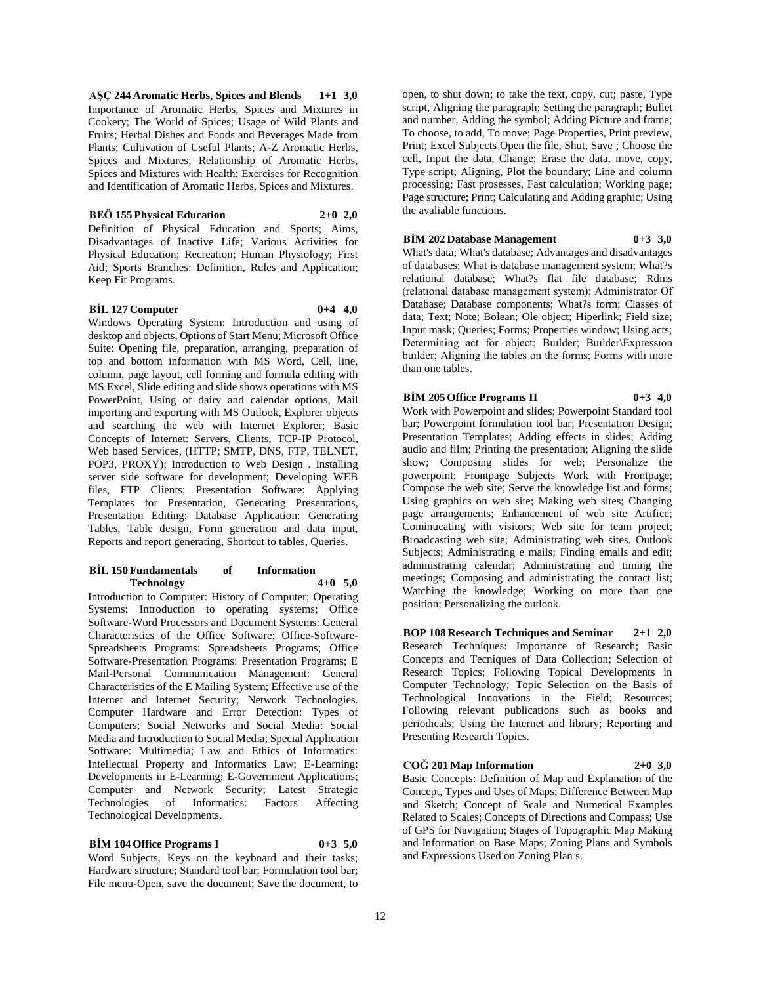**AŞÇ 244 Aromatic Herbs, Spices and Blends 1+1 3,0** Importance of Aromatic Herbs, Spices and Mixtures in Cookery; The World of Spices; Usage of Wild Plants and Fruits; Herbal Dishes and Foods and Beverages Made from Plants; Cultivation of Useful Plants; A-Z Aromatic Herbs, Spices and Mixtures; Relationship of Aromatic Herbs, Spices and Mixtures with Health; Exercises for Recognition and Identification of Aromatic Herbs, Spices and Mixtures.

#### **BEÖ 155 Physical Education 2+0 2,0**

Definition of Physical Education and Sports; Aims, Disadvantages of Inactive Life; Various Activities for Physical Education; Recreation; Human Physiology; First Aid; Sports Branches: Definition, Rules and Application; Keep Fit Programs.

#### **BİL 127 Computer 0+4 4,0**

Windows Operating System: Introduction and using of desktop and objects, Options of Start Menu; Microsoft Office Suite: Opening file, preparation, arranging, preparation of top and bottom information with MS Word, Cell, line, column, page layout, cell forming and formula editing with MS Excel, Slide editing and slide shows operations with MS PowerPoint, Using of dairy and calendar options, Mail importing and exporting with MS Outlook, Explorer objects and searching the web with Internet Explorer; Basic Concepts of Internet: Servers, Clients, TCP-IP Protocol, Web based Services, (HTTP; SMTP, DNS, FTP, TELNET, POP3, PROXY); Introduction to Web Design . Installing server side software for development; Developing WEB files, FTP Clients; Presentation Software: Applying Templates for Presentation, Generating Presentations, Presentation Editing; Database Application: Generating Tables, Table design, Form generation and data input, Reports and report generating, Shortcut to tables, Queries.

#### **BİL 150 Fundamentals of Information Technology 4+0 5,0**

Introduction to Computer: History of Computer; Operating Systems: Introduction to operating systems; Office Software-Word Processors and Document Systems: General Characteristics of the Office Software; Office-Software-Spreadsheets Programs: Spreadsheets Programs; Office Software-Presentation Programs: Presentation Programs; E Mail-Personal Communication Management: General Characteristics of the E Mailing System; Effective use of the Internet and Internet Security; Network Technologies. Computer Hardware and Error Detection: Types of Computers; Social Networks and Social Media: Social Media and Introduction to Social Media; Special Application Software: Multimedia; Law and Ethics of Informatics: Intellectual Property and Informatics Law; E-Learning: Developments in E-Learning; E-Government Applications; Computer and Network Security; Latest Strategic Technologies of Informatics: Factors Affecting Technological Developments.

#### **BİM 104 Office Programs I 0+3 5,0**

Word Subjects, Keys on the keyboard and their tasks; Hardware structure; Standard tool bar; Formulation tool bar; File menu-Open, save the document; Save the document, to

open, to shut down; to take the text, copy, cut; paste, Type script, Aligning the paragraph; Setting the paragraph; Bullet and number, Adding the symbol; Adding Picture and frame; To choose, to add, To move; Page Properties, Print preview, Print; Excel Subjects Open the file, Shut, Save ; Choose the cell, Input the data, Change; Erase the data, move, copy, Type script; Aligning, Plot the boundary; Line and column processing; Fast prosesses, Fast calculation; Working page; Page structure; Print; Calculating and Adding graphic; Using the avaliable functions.

# **BİM 202 Database Management 0+3 3,0**

What's data; What's database; Advantages and disadvantages of databases; What is database management system; What?s relational database; What?s flat file database; Rdms (relatıonal database management system); Administrator Of Database; Database components; What?s form; Classes of data; Text; Note; Bolean; Ole object; Hiperlink; Field size; Input mask; Queries; Forms; Properties window; Using acts; Determining act for object; Builder; Builder\Expression buılder; Aligning the tables on the forms; Forms with more than one tables.

# **BİM 205 Office Programs II 0+3 4,0**

Work with Powerpoint and slides; Powerpoint Standard tool bar; Powerpoint formulation tool bar; Presentation Design; Presentation Templates; Adding effects in slides; Adding audio and film; Printing the presentation; Aligning the slide show; Composing slides for web; Personalize the powerpoint; Frontpage Subjects Work with Frontpage; Compose the web site; Serve the knowledge list and forms; Using graphics on web site; Making web sites; Changing page arrangements; Enhancement of web site Artifice; Cominucating with visitors; Web site for team project; Broadcasting web site; Administrating web sites. Outlook Subjects; Administrating e mails; Finding emails and edit; administrating calendar; Administrating and timing the meetings; Composing and administrating the contact list; Watching the knowledge; Working on more than one position; Personalizing the outlook.

**BOP 108 Research Techniques and Seminar 2+1 2,0** Research Techniques: Importance of Research; Basic Concepts and Tecniques of Data Collection; Selection of Research Topics; Following Topical Developments in Computer Technology; Topic Selection on the Basis of Technological Innovations in the Field; Resources; Following relevant publications such as books and periodicals; Using the Internet and library; Reporting and Presenting Research Topics.

# **COĞ 201 Map Information 2+0 3,0**

Basic Concepts: Definition of Map and Explanation of the Concept, Types and Uses of Maps; Difference Between Map and Sketch; Concept of Scale and Numerical Examples Related to Scales; Concepts of Directions and Compass; Use of GPS for Navigation; Stages of Topographic Map Making and Information on Base Maps; Zoning Plans and Symbols and Expressions Used on Zoning Plan s.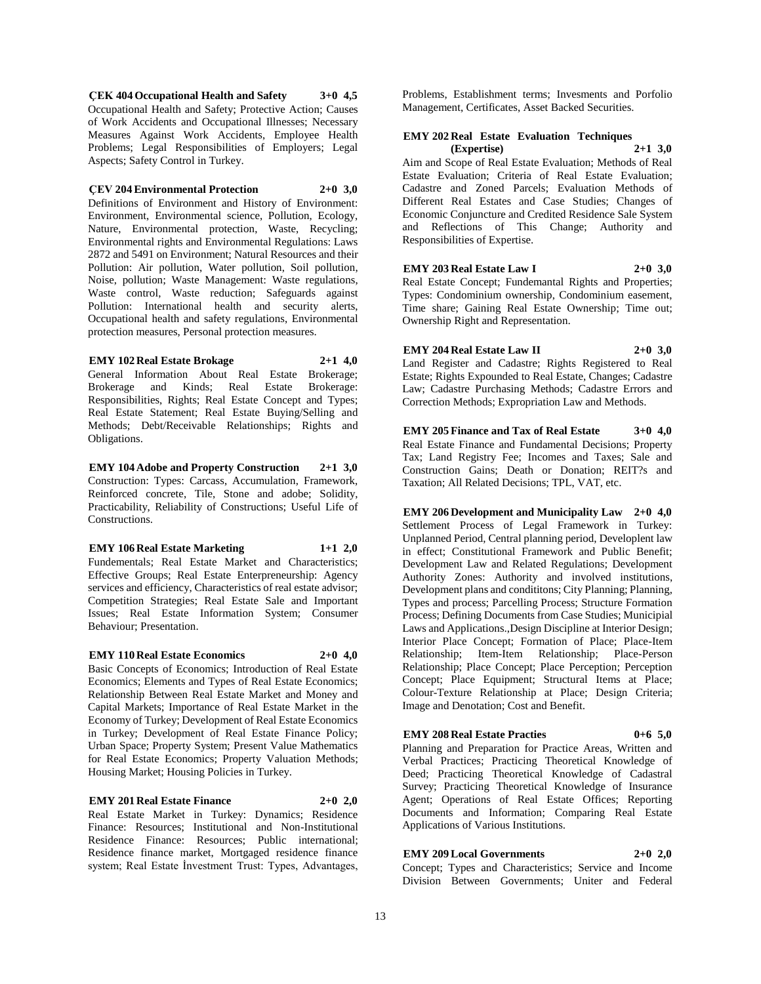**ÇEK 404 Occupational Health and Safety 3+0 4,5** Occupational Health and Safety; Protective Action; Causes of Work Accidents and Occupational Illnesses; Necessary Measures Against Work Accidents, Employee Health Problems; Legal Responsibilities of Employers; Legal Aspects; Safety Control in Turkey.

#### **ÇEV 204 Environmental Protection 2+0 3,0**

Definitions of Environment and History of Environment: Environment, Environmental science, Pollution, Ecology, Nature, Environmental protection, Waste, Recycling; Environmental rights and Environmental Regulations: Laws 2872 and 5491 on Environment; Natural Resources and their Pollution: Air pollution, Water pollution, Soil pollution, Noise, pollution; Waste Management: Waste regulations, Waste control, Waste reduction; Safeguards against Pollution: International health and security alerts, Occupational health and safety regulations, Environmental protection measures, Personal protection measures.

#### **EMY 102 Real Estate Brokage 2+1 4,0**

General Information About Real Estate Brokerage; Brokerage and Kinds; Real Estate Brokerage: Responsibilities, Rights; Real Estate Concept and Types; Real Estate Statement; Real Estate Buying/Selling and Methods; Debt/Receivable Relationships; Rights and Obligations.

**EMY 104 Adobe and Property Construction 2+1 3,0** Construction: Types: Carcass, Accumulation, Framework, Reinforced concrete, Tile, Stone and adobe; Solidity, Practicability, Reliability of Constructions; Useful Life of Constructions.

**EMY 106 Real Estate Marketing 1+1 2,0**

Fundementals; Real Estate Market and Characteristics; Effective Groups; Real Estate Enterpreneurship: Agency services and efficiency, Characteristics of real estate advisor; Competition Strategies; Real Estate Sale and Important Issues; Real Estate Information System; Consumer Behaviour; Presentation.

#### **EMY 110 Real Estate Economics 2+0 4,0**

Basic Concepts of Economics; Introduction of Real Estate Economics; Elements and Types of Real Estate Economics; Relationship Between Real Estate Market and Money and Capital Markets; Importance of Real Estate Market in the Economy of Turkey; Development of Real Estate Economics in Turkey; Development of Real Estate Finance Policy; Urban Space; Property System; Present Value Mathematics for Real Estate Economics; Property Valuation Methods; Housing Market; Housing Policies in Turkey.

### **EMY 201 Real Estate Finance 2+0 2,0**

Real Estate Market in Turkey: Dynamics; Residence Finance: Resources; Institutional and Non-Institutional Residence Finance: Resources; Public international; Residence finance market, Mortgaged residence finance system; Real Estate İnvestment Trust: Types, Advantages,

Problems, Establishment terms; Invesments and Porfolio Management, Certificates, Asset Backed Securities.

#### **EMY 202 Real Estate Evaluation Techniques (Expertise) 2+1 3,0**

Aim and Scope of Real Estate Evaluation; Methods of Real Estate Evaluation; Criteria of Real Estate Evaluation; Cadastre and Zoned Parcels; Evaluation Methods of Different Real Estates and Case Studies; Changes of Economic Conjuncture and Credited Residence Sale System and Reflections of This Change; Authority and Responsibilities of Expertise.

# **EMY 203 Real Estate Law I 2+0 3,0**

Real Estate Concept; Fundemantal Rights and Properties; Types: Condominium ownership, Condominium easement, Time share; Gaining Real Estate Ownership; Time out; Ownership Right and Representation.

# **EMY 204 Real Estate Law II 2+0 3,0**

Land Register and Cadastre; Rights Registered to Real Estate; Rights Expounded to Real Estate, Changes; Cadastre Law; Cadastre Purchasing Methods; Cadastre Errors and Correction Methods; Expropriation Law and Methods.

**EMY 205 Finance and Tax of Real Estate 3+0 4,0** Real Estate Finance and Fundamental Decisions; Property Tax; Land Registry Fee; Incomes and Taxes; Sale and Construction Gains; Death or Donation; REIT?s and Taxation; All Related Decisions; TPL, VAT, etc.

**EMY 206 Development and Municipality Law 2+0 4,0** Settlement Process of Legal Framework in Turkey: Unplanned Period, Central planning period, Developlent law in effect; Constitutional Framework and Public Benefit; Development Law and Related Regulations; Development Authority Zones: Authority and involved institutions, Development plans and condititons; City Planning; Planning, Types and process; Parcelling Process; Structure Formation Process; Defining Documents from Case Studies; Municipial Laws and Applications.,Design Discipline at Interior Design; Interior Place Concept; Formation of Place; Place-Item Relationship; Item-Item Relationship; Place-Person Relationship; Place Concept; Place Perception; Perception Concept; Place Equipment; Structural Items at Place; Colour-Texture Relationship at Place; Design Criteria; Image and Denotation; Cost and Benefit.

#### **EMY 208 Real Estate Practies 0+6 5,0**

Planning and Preparation for Practice Areas, Written and Verbal Practices; Practicing Theoretical Knowledge of Deed; Practicing Theoretical Knowledge of Cadastral Survey; Practicing Theoretical Knowledge of Insurance Agent; Operations of Real Estate Offices; Reporting Documents and Information; Comparing Real Estate Applications of Various Institutions.

# **EMY 209 Local Governments 2+0 2,0**

Concept; Types and Characteristics; Service and Income Division Between Governments; Uniter and Federal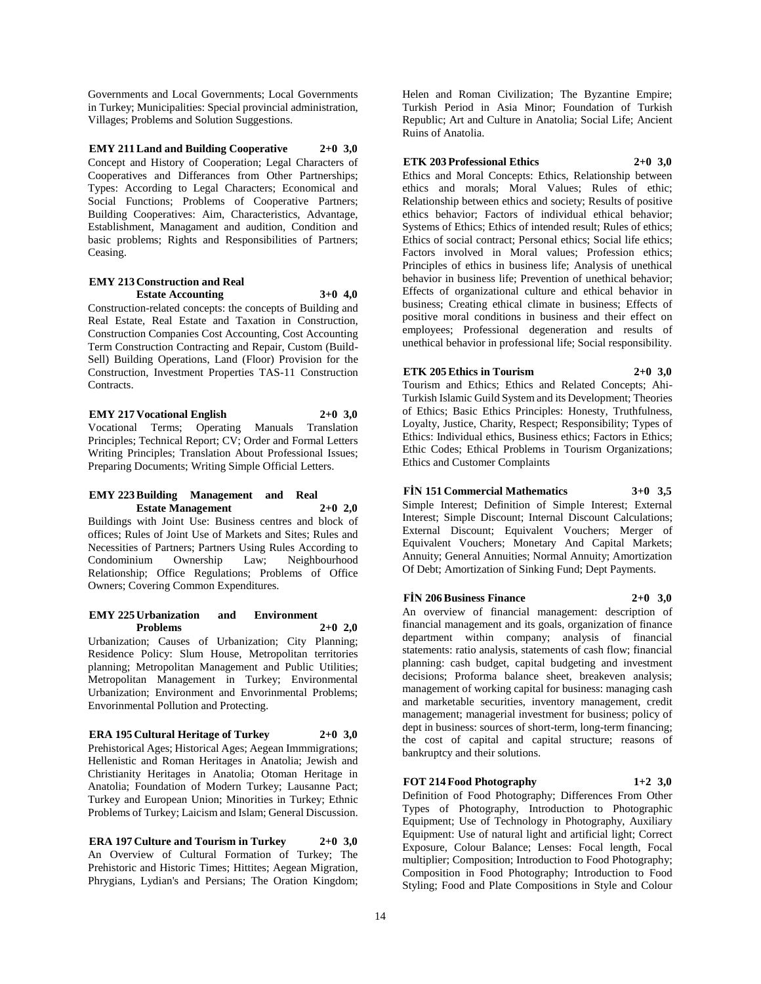Governments and Local Governments; Local Governments in Turkey; Municipalities: Special provincial administration, Villages; Problems and Solution Suggestions.

**EMY 211 Land and Building Cooperative 2+0 3,0** Concept and History of Cooperation; Legal Characters of Cooperatives and Differances from Other Partnerships; Types: According to Legal Characters; Economical and Social Functions; Problems of Cooperative Partners; Building Cooperatives: Aim, Characteristics, Advantage, Establishment, Managament and audition, Condition and basic problems; Rights and Responsibilities of Partners; Ceasing.

# **EMY 213 Construction and Real Estate Accounting 3+0 4,0**

Construction-related concepts: the concepts of Building and Real Estate, Real Estate and Taxation in Construction, Construction Companies Cost Accounting, Cost Accounting Term Construction Contracting and Repair, Custom (Build-Sell) Building Operations, Land (Floor) Provision for the Construction, Investment Properties TAS-11 Construction Contracts.

**EMY 217 Vocational English 2+0 3,0** Vocational Terms; Operating Manuals Translation Principles; Technical Report; CV; Order and Formal Letters Writing Principles; Translation About Professional Issues; Preparing Documents; Writing Simple Official Letters.

# **EMY 223 Building Management and Real Estate Management 2+0 2,0**

Buildings with Joint Use: Business centres and block of offices; Rules of Joint Use of Markets and Sites; Rules and Necessities of Partners; Partners Using Rules According to Condominium Ownership Law; Neighbourhood Relationship; Office Regulations; Problems of Office Owners; Covering Common Expenditures.

#### **EMY 225 Urbanization and Environment Problems 2+0 2,0**

Urbanization; Causes of Urbanization; City Planning; Residence Policy: Slum House, Metropolitan territories planning; Metropolitan Management and Public Utilities; Metropolitan Management in Turkey; Environmental Urbanization; Environment and Envorinmental Problems; Envorinmental Pollution and Protecting.

# **ERA 195 Cultural Heritage of Turkey 2+0 3,0**

Prehistorical Ages; Historical Ages; Aegean Immmigrations; Hellenistic and Roman Heritages in Anatolia; Jewish and Christianity Heritages in Anatolia; Otoman Heritage in Anatolia; Foundation of Modern Turkey; Lausanne Pact; Turkey and European Union; Minorities in Turkey; Ethnic Problems of Turkey; Laicism and Islam; General Discussion.

**ERA 197 Culture and Tourism in Turkey 2+0 3,0** An Overview of Cultural Formation of Turkey; The Prehistoric and Historic Times; Hittites; Aegean Migration, Phrygians, Lydian's and Persians; The Oration Kingdom; Helen and Roman Civilization; The Byzantine Empire; Turkish Period in Asia Minor; Foundation of Turkish Republic; Art and Culture in Anatolia; Social Life; Ancient Ruins of Anatolia.

# **ETK 203 Professional Ethics 2+0 3,0**

Ethics and Moral Concepts: Ethics, Relationship between ethics and morals; Moral Values; Rules of ethic; Relationship between ethics and society; Results of positive ethics behavior; Factors of individual ethical behavior; Systems of Ethics; Ethics of intended result; Rules of ethics; Ethics of social contract; Personal ethics; Social life ethics; Factors involved in Moral values; Profession ethics; Principles of ethics in business life; Analysis of unethical behavior in business life; Prevention of unethical behavior; Effects of organizational culture and ethical behavior in business; Creating ethical climate in business; Effects of positive moral conditions in business and their effect on employees; Professional degeneration and results of unethical behavior in professional life; Social responsibility.

# **ETK 205 Ethics in Tourism 2+0 3,0**

Tourism and Ethics; Ethics and Related Concepts; Ahi-Turkish Islamic Guild System and its Development; Theories of Ethics; Basic Ethics Principles: Honesty, Truthfulness, Loyalty, Justice, Charity, Respect; Responsibility; Types of Ethics: Individual ethics, Business ethics; Factors in Ethics; Ethic Codes; Ethical Problems in Tourism Organizations; Ethics and Customer Complaints

# **FİN 151 Commercial Mathematics 3+0 3,5**

Simple Interest; Definition of Simple Interest; External Interest; Simple Discount; Internal Discount Calculations; External Discount; Equivalent Vouchers; Merger of Equivalent Vouchers; Monetary And Capital Markets; Annuity; General Annuities; Normal Annuity; Amortization Of Debt; Amortization of Sinking Fund; Dept Payments.

# **FİN 206 Business Finance 2+0 3,0**

An overview of financial management: description of financial management and its goals, organization of finance department within company; analysis of financial statements: ratio analysis, statements of cash flow; financial planning: cash budget, capital budgeting and investment decisions; Proforma balance sheet, breakeven analysis; management of working capital for business: managing cash and marketable securities, inventory management, credit management; managerial investment for business; policy of dept in business: sources of short-term, long-term financing; the cost of capital and capital structure; reasons of bankruptcy and their solutions.

# **FOT 214 Food Photography 1+2 3,0**

Definition of Food Photography; Differences From Other Types of Photography, Introduction to Photographic Equipment; Use of Technology in Photography, Auxiliary Equipment: Use of natural light and artificial light; Correct Exposure, Colour Balance; Lenses: Focal length, Focal multiplier; Composition; Introduction to Food Photography; Composition in Food Photography; Introduction to Food Styling; Food and Plate Compositions in Style and Colour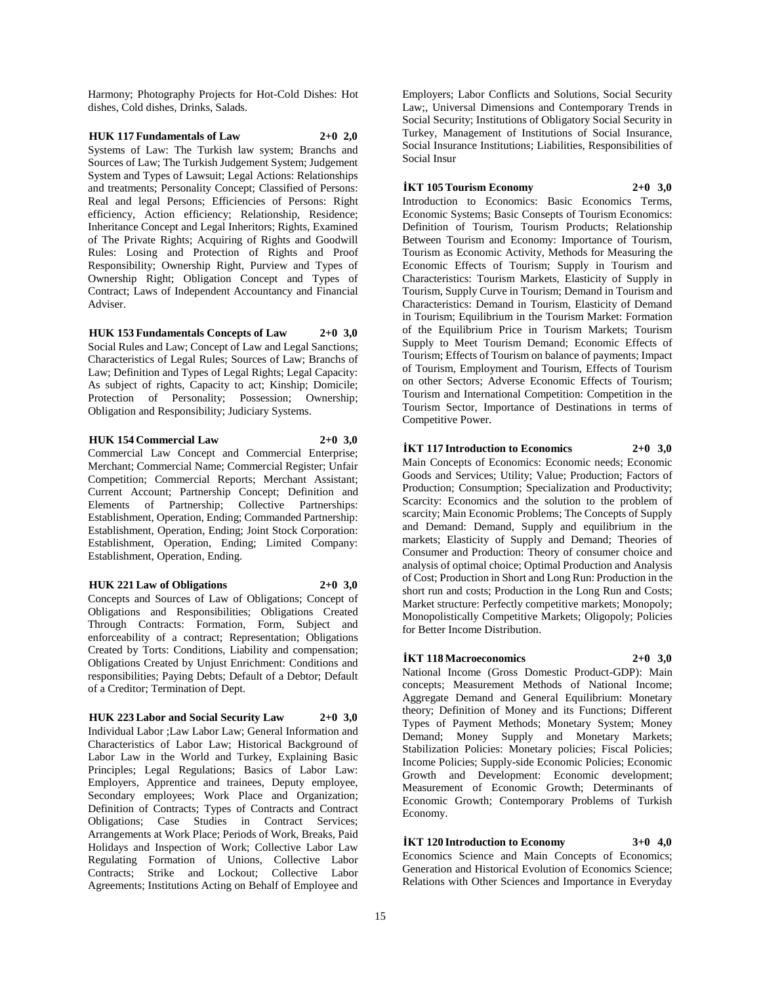Harmony; Photography Projects for Hot-Cold Dishes: Hot dishes, Cold dishes, Drinks, Salads.

# **HUK 117 Fundamentals of Law 2+0 2,0**

Systems of Law: The Turkish law system; Branchs and Sources of Law; The Turkish Judgement System; Judgement System and Types of Lawsuit; Legal Actions: Relationships and treatments; Personality Concept; Classified of Persons: Real and legal Persons; Efficiencies of Persons: Right efficiency, Action efficiency; Relationship, Residence; Inheritance Concept and Legal Inheritors; Rights, Examined of The Private Rights; Acquiring of Rights and Goodwill Rules: Losing and Protection of Rights and Proof Responsibility; Ownership Right, Purview and Types of Ownership Right; Obligation Concept and Types of Contract; Laws of Independent Accountancy and Financial Adviser.

#### **HUK 153 Fundamentals Concepts of Law 2+0 3,0**

Social Rules and Law; Concept of Law and Legal Sanctions; Characteristics of Legal Rules; Sources of Law; Branchs of Law; Definition and Types of Legal Rights; Legal Capacity: As subject of rights, Capacity to act; Kinship; Domicile; Protection of Personality; Possession; Ownership; Obligation and Responsibility; Judiciary Systems.

## **HUK 154 Commercial Law 2+0 3,0**

Commercial Law Concept and Commercial Enterprise; Merchant; Commercial Name; Commercial Register; Unfair Competition; Commercial Reports; Merchant Assistant; Current Account; Partnership Concept; Definition and Elements of Partnership; Collective Partnerships: Establishment, Operation, Ending; Commanded Partnership: Establishment, Operation, Ending; Joint Stock Corporation: Establishment, Operation, Ending; Limited Company: Establishment, Operation, Ending.

#### **HUK 221 Law of Obligations 2+0 3,0**

Concepts and Sources of Law of Obligations; Concept of Obligations and Responsibilities; Obligations Created Through Contracts: Formation, Form, Subject and enforceability of a contract; Representation; Obligations Created by Torts: Conditions, Liability and compensation; Obligations Created by Unjust Enrichment: Conditions and responsibilities; Paying Debts; Default of a Debtor; Default of a Creditor; Termination of Dept.

#### **HUK 223 Labor and Social Security Law 2+0 3,0**

Individual Labor ;Law Labor Law; General Information and Characteristics of Labor Law; Historical Background of Labor Law in the World and Turkey, Explaining Basic Principles; Legal Regulations; Basics of Labor Law: Employers, Apprentice and trainees, Deputy employee, Secondary employees; Work Place and Organization; Definition of Contracts; Types of Contracts and Contract Obligations; Case Studies in Contract Services; Arrangements at Work Place; Periods of Work, Breaks, Paid Holidays and Inspection of Work; Collective Labor Law Regulating Formation of Unions, Collective Labor Contracts; Strike and Lockout; Collective Labor Agreements; Institutions Acting on Behalf of Employee and

Employers; Labor Conflicts and Solutions, Social Security Law;, Universal Dimensions and Contemporary Trends in Social Security; Institutions of Obligatory Social Security in Turkey, Management of Institutions of Social Insurance, Social Insurance Institutions; Liabilities, Responsibilities of Social Insur

# **İKT 105 Tourism Economy 2+0 3,0**

Introduction to Economics: Basic Economics Terms, Economic Systems; Basic Consepts of Tourism Economics: Definition of Tourism, Tourism Products; Relationship Between Tourism and Economy: Importance of Tourism, Tourism as Economic Activity, Methods for Measuring the Economic Effects of Tourism; Supply in Tourism and Characteristics: Tourism Markets, Elasticity of Supply in Tourism, Supply Curve in Tourism; Demand in Tourism and Characteristics: Demand in Tourism, Elasticity of Demand in Tourism; Equilibrium in the Tourism Market: Formation of the Equilibrium Price in Tourism Markets; Tourism Supply to Meet Tourism Demand; Economic Effects of Tourism; Effects of Tourism on balance of payments; Impact of Tourism, Employment and Tourism, Effects of Tourism on other Sectors; Adverse Economic Effects of Tourism; Tourism and International Competition: Competition in the Tourism Sector, Importance of Destinations in terms of Competitive Power.

# **İKT 117 Introduction to Economics 2+0 3,0**

Main Concepts of Economics: Economic needs; Economic Goods and Services; Utility; Value; Production; Factors of Production; Consumption; Specialization and Productivity; Scarcity: Economics and the solution to the problem of scarcity; Main Economic Problems; The Concepts of Supply and Demand: Demand, Supply and equilibrium in the markets; Elasticity of Supply and Demand; Theories of Consumer and Production: Theory of consumer choice and analysis of optimal choice; Optimal Production and Analysis of Cost; Production in Short and Long Run: Production in the short run and costs; Production in the Long Run and Costs; Market structure: Perfectly competitive markets; Monopoly; Monopolistically Competitive Markets; Oligopoly; Policies for Better Income Distribution.

#### **İKT 118 Macroeconomics 2+0 3,0**

National Income (Gross Domestic Product-GDP): Main concepts; Measurement Methods of National Income; Aggregate Demand and General Equilibrium: Monetary theory; Definition of Money and its Functions; Different Types of Payment Methods; Monetary System; Money Demand; Money Supply and Monetary Markets; Stabilization Policies: Monetary policies; Fiscal Policies; Income Policies; Supply-side Economic Policies; Economic Growth and Development: Economic development; Measurement of Economic Growth; Determinants of Economic Growth; Contemporary Problems of Turkish Economy.

# **İKT 120 Introduction to Economy 3+0 4,0**

Economics Science and Main Concepts of Economics; Generation and Historical Evolution of Economics Science; Relations with Other Sciences and Importance in Everyday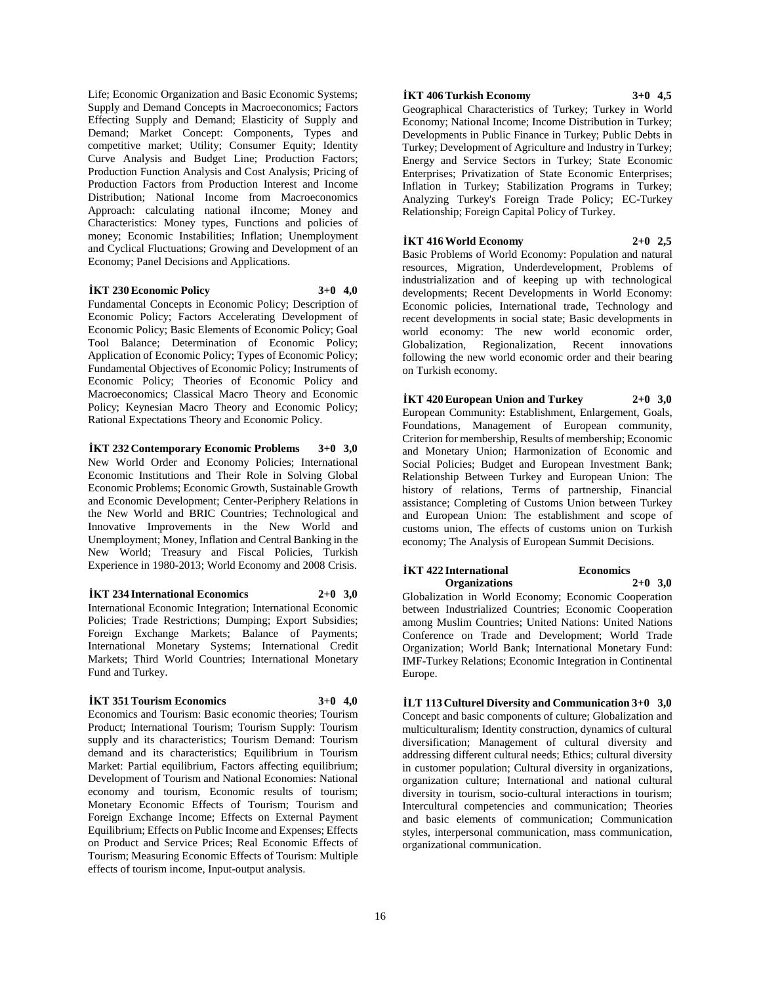Life; Economic Organization and Basic Economic Systems; Supply and Demand Concepts in Macroeconomics; Factors Effecting Supply and Demand; Elasticity of Supply and Demand; Market Concept: Components, Types and competitive market; Utility; Consumer Equity; Identity Curve Analysis and Budget Line; Production Factors; Production Function Analysis and Cost Analysis; Pricing of Production Factors from Production Interest and Income Distribution; National Income from Macroeconomics Approach: calculating national iIncome; Money and Characteristics: Money types, Functions and policies of money; Economic Instabilities; Inflation; Unemployment and Cyclical Fluctuations; Growing and Development of an Economy; Panel Decisions and Applications.

#### **İKT 230 Economic Policy 3+0 4,0**

Fundamental Concepts in Economic Policy; Description of Economic Policy; Factors Accelerating Development of Economic Policy; Basic Elements of Economic Policy; Goal Tool Balance; Determination of Economic Policy; Application of Economic Policy; Types of Economic Policy; Fundamental Objectives of Economic Policy; Instruments of Economic Policy; Theories of Economic Policy and Macroeconomics; Classical Macro Theory and Economic Policy; Keynesian Macro Theory and Economic Policy; Rational Expectations Theory and Economic Policy.

**İKT 232 Contemporary Economic Problems 3+0 3,0** New World Order and Economy Policies; International Economic Institutions and Their Role in Solving Global Economic Problems; Economic Growth, Sustainable Growth and Economic Development; Center-Periphery Relations in the New World and BRIC Countries; Technological and Innovative Improvements in the New World and Unemployment; Money, Inflation and Central Banking in the New World; Treasury and Fiscal Policies, Turkish Experience in 1980-2013; World Economy and 2008 Crisis.

#### **İKT 234 International Economics 2+0 3,0**

International Economic Integration; International Economic Policies; Trade Restrictions; Dumping; Export Subsidies; Foreign Exchange Markets; Balance of Payments; International Monetary Systems; International Credit Markets; Third World Countries; International Monetary Fund and Turkey.

#### **İKT 351 Tourism Economics 3+0 4,0**

Economics and Tourism: Basic economic theories; Tourism Product; International Tourism; Tourism Supply: Tourism supply and its characteristics; Tourism Demand: Tourism demand and its characteristics; Equilibrium in Tourism Market: Partial equilibrium, Factors affecting equilibrium; Development of Tourism and National Economies: National economy and tourism, Economic results of tourism; Monetary Economic Effects of Tourism; Tourism and Foreign Exchange Income; Effects on External Payment Equilibrium; Effects on Public Income and Expenses; Effects on Product and Service Prices; Real Economic Effects of Tourism; Measuring Economic Effects of Tourism: Multiple effects of tourism income, Input-output analysis.

#### **İKT 406 Turkish Economy 3+0 4,5**

Geographical Characteristics of Turkey; Turkey in World Economy; National Income; Income Distribution in Turkey; Developments in Public Finance in Turkey; Public Debts in Turkey; Development of Agriculture and Industry in Turkey; Energy and Service Sectors in Turkey; State Economic Enterprises; Privatization of State Economic Enterprises; Inflation in Turkey; Stabilization Programs in Turkey; Analyzing Turkey's Foreign Trade Policy; EC-Turkey Relationship; Foreign Capital Policy of Turkey.

# **İKT 416 World Economy 2+0 2,5**

Basic Problems of World Economy: Population and natural resources, Migration, Underdevelopment, Problems of industrialization and of keeping up with technological developments; Recent Developments in World Economy: Economic policies, International trade, Technology and recent developments in social state; Basic developments in world economy: The new world economic order, Globalization, Regionalization, Recent innovations following the new world economic order and their bearing on Turkish economy.

**İKT 420 European Union and Turkey 2+0 3,0** European Community: Establishment, Enlargement, Goals, Foundations, Management of European community, Criterion for membership, Results of membership; Economic and Monetary Union; Harmonization of Economic and Social Policies; Budget and European Investment Bank; Relationship Between Turkey and European Union: The history of relations, Terms of partnership, Financial assistance; Completing of Customs Union between Turkey and European Union: The establishment and scope of customs union, The effects of customs union on Turkish economy; The Analysis of European Summit Decisions.

#### **İKT 422 International Economics Organizations 2+0 3,0**

Globalization in World Economy; Economic Cooperation between Industrialized Countries; Economic Cooperation among Muslim Countries; United Nations: United Nations Conference on Trade and Development; World Trade Organization; World Bank; International Monetary Fund: IMF-Turkey Relations; Economic Integration in Continental Europe.

**İLT 113 Culturel Diversity and Communication 3+0 3,0** Concept and basic components of culture; Globalization and multiculturalism; Identity construction, dynamics of cultural diversification; Management of cultural diversity and addressing different cultural needs; Ethics; cultural diversity in customer population; Cultural diversity in organizations, organization culture; International and national cultural diversity in tourism, socio-cultural interactions in tourism; Intercultural competencies and communication; Theories and basic elements of communication; Communication styles, interpersonal communication, mass communication, organizational communication.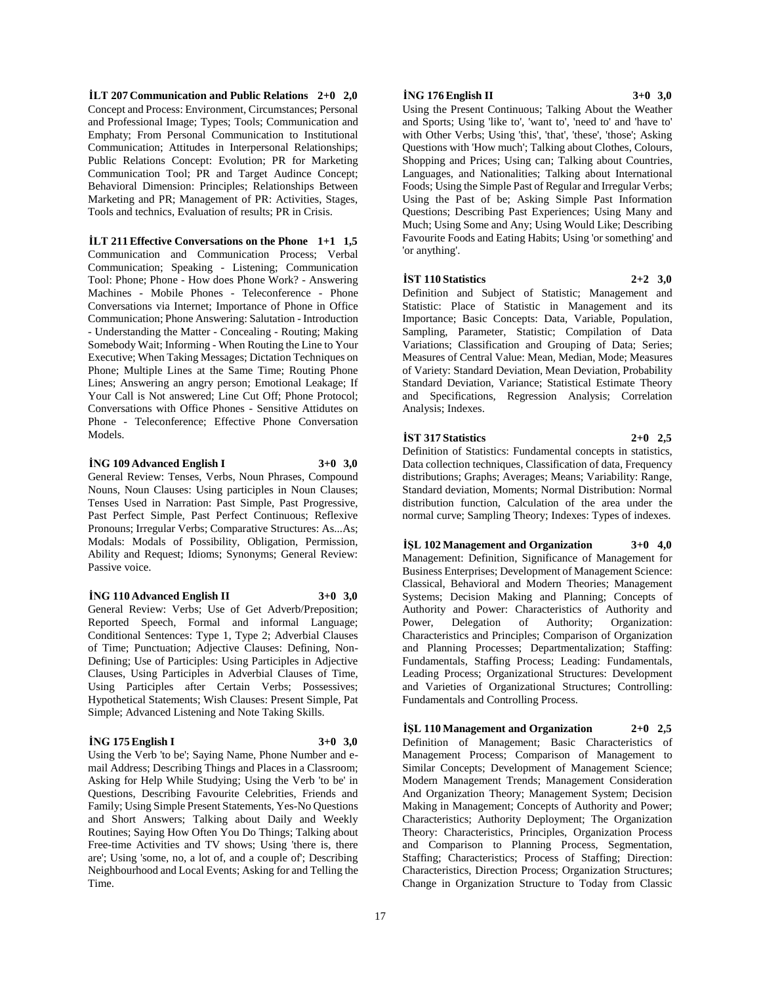**İLT 207 Communication and Public Relations 2+0 2,0** Concept and Process: Environment, Circumstances; Personal and Professional Image; Types; Tools; Communication and Emphaty; From Personal Communication to Institutional Communication; Attitudes in Interpersonal Relationships; Public Relations Concept: Evolution; PR for Marketing Communication Tool; PR and Target Audince Concept; Behavioral Dimension: Principles; Relationships Between Marketing and PR; Management of PR: Activities, Stages, Tools and technics, Evaluation of results; PR in Crisis.

**İLT 211 Effective Conversations on the Phone 1+1 1,5** Communication and Communication Process; Verbal Communication; Speaking - Listening; Communication Tool: Phone; Phone - How does Phone Work? - Answering Machines - Mobile Phones - Teleconference - Phone Conversations via Internet; Importance of Phone in Office Communication; Phone Answering: Salutation - Introduction - Understanding the Matter - Concealing - Routing; Making Somebody Wait; Informing - When Routing the Line to Your Executive; When Taking Messages; Dictation Techniques on Phone; Multiple Lines at the Same Time; Routing Phone Lines; Answering an angry person; Emotional Leakage; If Your Call is Not answered; Line Cut Off; Phone Protocol; Conversations with Office Phones - Sensitive Attidutes on Phone - Teleconference; Effective Phone Conversation Models.

#### **İNG 109 Advanced English I 3+0 3,0**

General Review: Tenses, Verbs, Noun Phrases, Compound Nouns, Noun Clauses: Using participles in Noun Clauses; Tenses Used in Narration: Past Simple, Past Progressive, Past Perfect Simple, Past Perfect Continuous; Reflexive Pronouns; Irregular Verbs; Comparative Structures: As...As; Modals: Modals of Possibility, Obligation, Permission, Ability and Request; Idioms; Synonyms; General Review: Passive voice.

#### **İNG 110 Advanced English II 3+0 3,0**

General Review: Verbs; Use of Get Adverb/Preposition; Reported Speech, Formal and informal Language; Conditional Sentences: Type 1, Type 2; Adverbial Clauses of Time; Punctuation; Adjective Clauses: Defining, Non-Defining; Use of Participles: Using Participles in Adjective Clauses, Using Participles in Adverbial Clauses of Time, Using Participles after Certain Verbs; Possessives; Hypothetical Statements; Wish Clauses: Present Simple, Pat Simple; Advanced Listening and Note Taking Skills.

# **İNG 175 English I 3+0 3,0**

Using the Verb 'to be'; Saying Name, Phone Number and email Address; Describing Things and Places in a Classroom; Asking for Help While Studying; Using the Verb 'to be' in Questions, Describing Favourite Celebrities, Friends and Family; Using Simple Present Statements, Yes-No Questions and Short Answers; Talking about Daily and Weekly Routines; Saying How Often You Do Things; Talking about Free-time Activities and TV shows; Using 'there is, there are'; Using 'some, no, a lot of, and a couple of'; Describing Neighbourhood and Local Events; Asking for and Telling the Time.

# **İNG 176 English II 3+0 3,0**

Using the Present Continuous; Talking About the Weather and Sports; Using 'like to', 'want to', 'need to' and 'have to' with Other Verbs; Using 'this', 'that', 'these', 'those'; Asking Questions with 'How much'; Talking about Clothes, Colours, Shopping and Prices; Using can; Talking about Countries, Languages, and Nationalities; Talking about International Foods; Using the Simple Past of Regular and Irregular Verbs; Using the Past of be; Asking Simple Past Information Questions; Describing Past Experiences; Using Many and Much; Using Some and Any; Using Would Like; Describing Favourite Foods and Eating Habits; Using 'or something' and 'or anything'.

#### **İST 110 Statistics 2+2 3,0**

Definition and Subject of Statistic; Management and Statistic: Place of Statistic in Management and its Importance; Basic Concepts: Data, Variable, Population, Sampling, Parameter, Statistic; Compilation of Data Variations; Classification and Grouping of Data; Series; Measures of Central Value: Mean, Median, Mode; Measures of Variety: Standard Deviation, Mean Deviation, Probability Standard Deviation, Variance; Statistical Estimate Theory and Specifications, Regression Analysis; Correlation Analysis; Indexes.

# **İST 317 Statistics 2+0 2,5**

Definition of Statistics: Fundamental concepts in statistics, Data collection techniques, Classification of data, Frequency distributions; Graphs; Averages; Means; Variability: Range, Standard deviation, Moments; Normal Distribution: Normal distribution function, Calculation of the area under the normal curve; Sampling Theory; Indexes: Types of indexes.

**İŞL 102 Management and Organization 3+0 4,0** Management: Definition, Significance of Management for Business Enterprises; Development of Management Science: Classical, Behavioral and Modern Theories; Management Systems; Decision Making and Planning; Concepts of Authority and Power: Characteristics of Authority and Power, Delegation of Authority; Organization: Characteristics and Principles; Comparison of Organization and Planning Processes; Departmentalization; Staffing: Fundamentals, Staffing Process; Leading: Fundamentals, Leading Process; Organizational Structures: Development and Varieties of Organizational Structures; Controlling: Fundamentals and Controlling Process.

**İŞL 110 Management and Organization 2+0 2,5** Definition of Management; Basic Characteristics of Management Process; Comparison of Management to Similar Concepts; Development of Management Science; Modern Management Trends; Management Consideration And Organization Theory; Management System; Decision Making in Management; Concepts of Authority and Power; Characteristics; Authority Deployment; The Organization Theory: Characteristics, Principles, Organization Process and Comparison to Planning Process, Segmentation, Staffing; Characteristics; Process of Staffing; Direction: Characteristics, Direction Process; Organization Structures; Change in Organization Structure to Today from Classic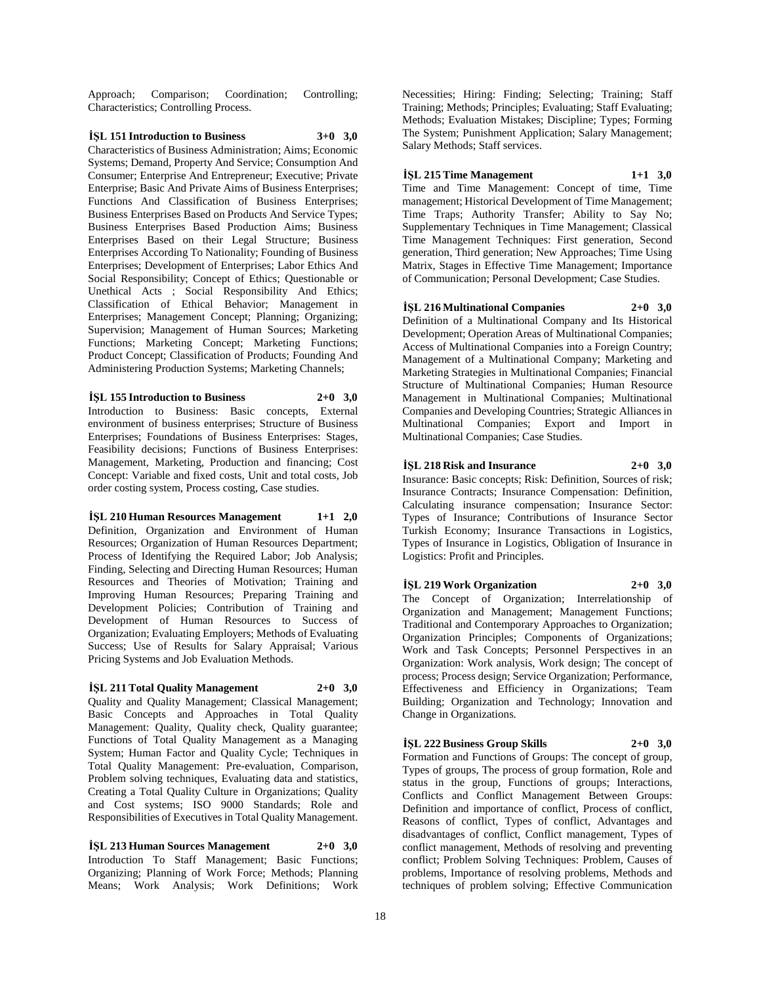Approach; Comparison; Coordination; Controlling; Characteristics; Controlling Process.

# **İŞL 151 Introduction to Business 3+0 3,0**

Characteristics of Business Administration; Aims; Economic Systems; Demand, Property And Service; Consumption And Consumer; Enterprise And Entrepreneur; Executive; Private Enterprise; Basic And Private Aims of Business Enterprises; Functions And Classification of Business Enterprises; Business Enterprises Based on Products And Service Types; Business Enterprises Based Production Aims; Business Enterprises Based on their Legal Structure; Business Enterprises According To Nationality; Founding of Business Enterprises; Development of Enterprises; Labor Ethics And Social Responsibility; Concept of Ethics; Questionable or Unethical Acts ; Social Responsibility And Ethics; Classification of Ethical Behavior; Management in Enterprises; Management Concept; Planning; Organizing; Supervision; Management of Human Sources; Marketing Functions; Marketing Concept; Marketing Functions; Product Concept; Classification of Products; Founding And Administering Production Systems; Marketing Channels;

# **İŞL 155 Introduction to Business 2+0 3,0**

Introduction to Business: Basic concepts, External environment of business enterprises; Structure of Business Enterprises; Foundations of Business Enterprises: Stages, Feasibility decisions; Functions of Business Enterprises: Management, Marketing, Production and financing; Cost Concept: Variable and fixed costs, Unit and total costs, Job order costing system, Process costing, Case studies.

**İŞL 210 Human Resources Management 1+1 2,0** Definition, Organization and Environment of Human Resources; Organization of Human Resources Department; Process of Identifying the Required Labor; Job Analysis; Finding, Selecting and Directing Human Resources; Human Resources and Theories of Motivation; Training and Improving Human Resources; Preparing Training and Development Policies; Contribution of Training and Development of Human Resources to Success of Organization; Evaluating Employers; Methods of Evaluating Success; Use of Results for Salary Appraisal; Various Pricing Systems and Job Evaluation Methods.

#### **İŞL 211 Total Quality Management 2+0 3,0**

Quality and Quality Management; Classical Management; Basic Concepts and Approaches in Total Quality Management: Quality, Quality check, Quality guarantee; Functions of Total Quality Management as a Managing System; Human Factor and Quality Cycle; Techniques in Total Quality Management: Pre-evaluation, Comparison, Problem solving techniques, Evaluating data and statistics, Creating a Total Quality Culture in Organizations; Quality and Cost systems; ISO 9000 Standards; Role and Responsibilities of Executives in Total Quality Management.

**İŞL 213 Human Sources Management 2+0 3,0** Introduction To Staff Management; Basic Functions; Organizing; Planning of Work Force; Methods; Planning Means; Work Analysis; Work Definitions; Work

Necessities; Hiring: Finding; Selecting; Training; Staff Training; Methods; Principles; Evaluating; Staff Evaluating; Methods; Evaluation Mistakes; Discipline; Types; Forming The System; Punishment Application; Salary Management; Salary Methods; Staff services.

**İŞL 215 Time Management 1+1 3,0** Time and Time Management: Concept of time, Time management; Historical Development of Time Management; Time Traps; Authority Transfer; Ability to Say No; Supplementary Techniques in Time Management; Classical Time Management Techniques: First generation, Second generation, Third generation; New Approaches; Time Using Matrix, Stages in Effective Time Management; Importance of Communication; Personal Development; Case Studies.

**İŞL 216 Multinational Companies 2+0 3,0** Definition of a Multinational Company and Its Historical Development; Operation Areas of Multinational Companies; Access of Multinational Companies into a Foreign Country; Management of a Multinational Company; Marketing and Marketing Strategies in Multinational Companies; Financial Structure of Multinational Companies; Human Resource Management in Multinational Companies; Multinational Companies and Developing Countries; Strategic Alliances in Multinational Companies; Export and Import in Multinational Companies; Case Studies.

**İŞL 218 Risk and Insurance 2+0 3,0** Insurance: Basic concepts; Risk: Definition, Sources of risk; Insurance Contracts; Insurance Compensation: Definition, Calculating insurance compensation; Insurance Sector: Types of Insurance; Contributions of Insurance Sector Turkish Economy; Insurance Transactions in Logistics, Types of Insurance in Logistics, Obligation of Insurance in Logistics: Profit and Principles.

**İŞL 219 Work Organization 2+0 3,0** The Concept of Organization; Interrelationship of Organization and Management; Management Functions; Traditional and Contemporary Approaches to Organization; Organization Principles; Components of Organizations; Work and Task Concepts; Personnel Perspectives in an Organization: Work analysis, Work design; The concept of process; Process design; Service Organization; Performance, Effectiveness and Efficiency in Organizations; Team Building; Organization and Technology; Innovation and Change in Organizations.

# **İŞL 222 Business Group Skills 2+0 3,0**

Formation and Functions of Groups: The concept of group, Types of groups, The process of group formation, Role and status in the group, Functions of groups; Interactions, Conflicts and Conflict Management Between Groups: Definition and importance of conflict, Process of conflict, Reasons of conflict, Types of conflict, Advantages and disadvantages of conflict, Conflict management, Types of conflict management, Methods of resolving and preventing conflict; Problem Solving Techniques: Problem, Causes of problems, Importance of resolving problems, Methods and techniques of problem solving; Effective Communication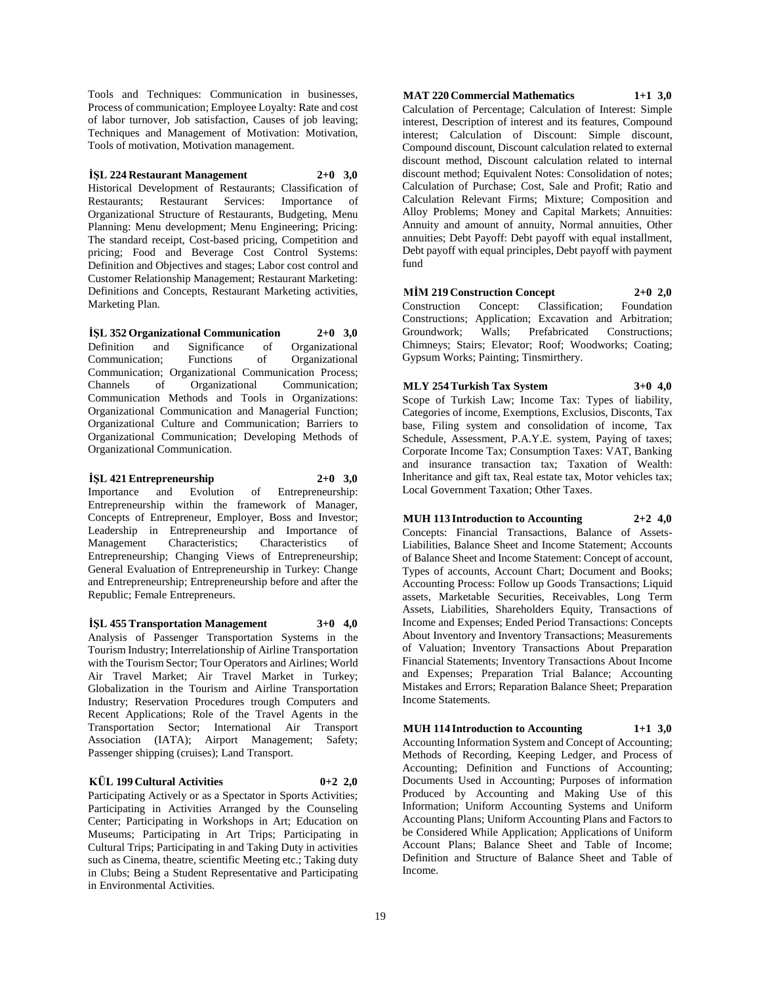Tools and Techniques: Communication in businesses, Process of communication; Employee Loyalty: Rate and cost of labor turnover, Job satisfaction, Causes of job leaving; Techniques and Management of Motivation: Motivation, Tools of motivation, Motivation management.

**İŞL 224 Restaurant Management 2+0 3,0** Historical Development of Restaurants; Classification of Restaurants; Restaurant Services: Importance of Organizational Structure of Restaurants, Budgeting, Menu Planning: Menu development; Menu Engineering; Pricing: The standard receipt, Cost-based pricing, Competition and pricing; Food and Beverage Cost Control Systems: Definition and Objectives and stages; Labor cost control and Customer Relationship Management; Restaurant Marketing: Definitions and Concepts, Restaurant Marketing activities, Marketing Plan.

**İŞL 352 Organizational Communication 2+0 3,0** Definition and Significance of Organizational Communication; Functions of Organizational Communication; Organizational Communication Process; Channels of Organizational Communication; Communication Methods and Tools in Organizations: Organizational Communication and Managerial Function; Organizational Culture and Communication; Barriers to Organizational Communication; Developing Methods of Organizational Communication.

**İŞL 421 Entrepreneurship 2+0 3,0** Importance and Evolution of Entrepreneurship: Entrepreneurship within the framework of Manager, Concepts of Entrepreneur, Employer, Boss and Investor; Leadership in Entrepreneurship and Importance of Management Characteristics; Characteristics of Entrepreneurship; Changing Views of Entrepreneurship; General Evaluation of Entrepreneurship in Turkey: Change and Entrepreneurship; Entrepreneurship before and after the Republic; Female Entrepreneurs.

**İŞL 455 Transportation Management 3+0 4,0** Analysis of Passenger Transportation Systems in the Tourism Industry; Interrelationship of Airline Transportation with the Tourism Sector; Tour Operators and Airlines; World Air Travel Market; Air Travel Market in Turkey; Globalization in the Tourism and Airline Transportation Industry; Reservation Procedures trough Computers and Recent Applications; Role of the Travel Agents in the Transportation Sector; International Air Transport Association (IATA); Airport Management; Safety; Passenger shipping (cruises); Land Transport.

#### **KÜL 199 Cultural Activities 0+2 2,0**

Participating Actively or as a Spectator in Sports Activities; Participating in Activities Arranged by the Counseling Center; Participating in Workshops in Art; Education on Museums; Participating in Art Trips; Participating in Cultural Trips; Participating in and Taking Duty in activities such as Cinema, theatre, scientific Meeting etc.; Taking duty in Clubs; Being a Student Representative and Participating in Environmental Activities.

**MAT 220 Commercial Mathematics 1+1 3,0** Calculation of Percentage; Calculation of Interest: Simple interest, Description of interest and its features, Compound interest; Calculation of Discount: Simple discount, Compound discount, Discount calculation related to external discount method, Discount calculation related to internal discount method; Equivalent Notes: Consolidation of notes; Calculation of Purchase; Cost, Sale and Profit; Ratio and Calculation Relevant Firms; Mixture; Composition and Alloy Problems; Money and Capital Markets; Annuities: Annuity and amount of annuity, Normal annuities, Other annuities; Debt Payoff: Debt payoff with equal installment, Debt payoff with equal principles, Debt payoff with payment fund

**MİM 219 Construction Concept 2+0 2,0** Construction Concept: Classification; Foundation Constructions; Application; Excavation and Arbitration; Groundwork; Walls; Prefabricated Constructions; Chimneys; Stairs; Elevator; Roof; Woodworks; Coating; Gypsum Works; Painting; Tinsmirthery.

**MLY 254 Turkish Tax System 3+0 4,0** Scope of Turkish Law; Income Tax: Types of liability, Categories of income, Exemptions, Exclusios, Disconts, Tax base, Filing system and consolidation of income, Tax Schedule, Assessment, P.A.Y.E. system, Paying of taxes; Corporate Income Tax; Consumption Taxes: VAT, Banking and insurance transaction tax; Taxation of Wealth: Inheritance and gift tax, Real estate tax, Motor vehicles tax; Local Government Taxation; Other Taxes.

**MUH 113 Introduction to Accounting 2+2 4,0** Concepts: Financial Transactions, Balance of Assets-Liabilities, Balance Sheet and Income Statement; Accounts of Balance Sheet and Income Statement: Concept of account, Types of accounts, Account Chart; Document and Books; Accounting Process: Follow up Goods Transactions; Liquid assets, Marketable Securities, Receivables, Long Term Assets, Liabilities, Shareholders Equity, Transactions of Income and Expenses; Ended Period Transactions: Concepts About Inventory and Inventory Transactions; Measurements of Valuation; Inventory Transactions About Preparation Financial Statements; Inventory Transactions About Income and Expenses; Preparation Trial Balance; Accounting Mistakes and Errors; Reparation Balance Sheet; Preparation Income Statements.

**MUH 114 Introduction to Accounting 1+1 3,0** Accounting Information System and Concept of Accounting; Methods of Recording, Keeping Ledger, and Process of Accounting; Definition and Functions of Accounting; Documents Used in Accounting; Purposes of information Produced by Accounting and Making Use of this Information; Uniform Accounting Systems and Uniform Accounting Plans; Uniform Accounting Plans and Factors to be Considered While Application; Applications of Uniform Account Plans; Balance Sheet and Table of Income; Definition and Structure of Balance Sheet and Table of Income.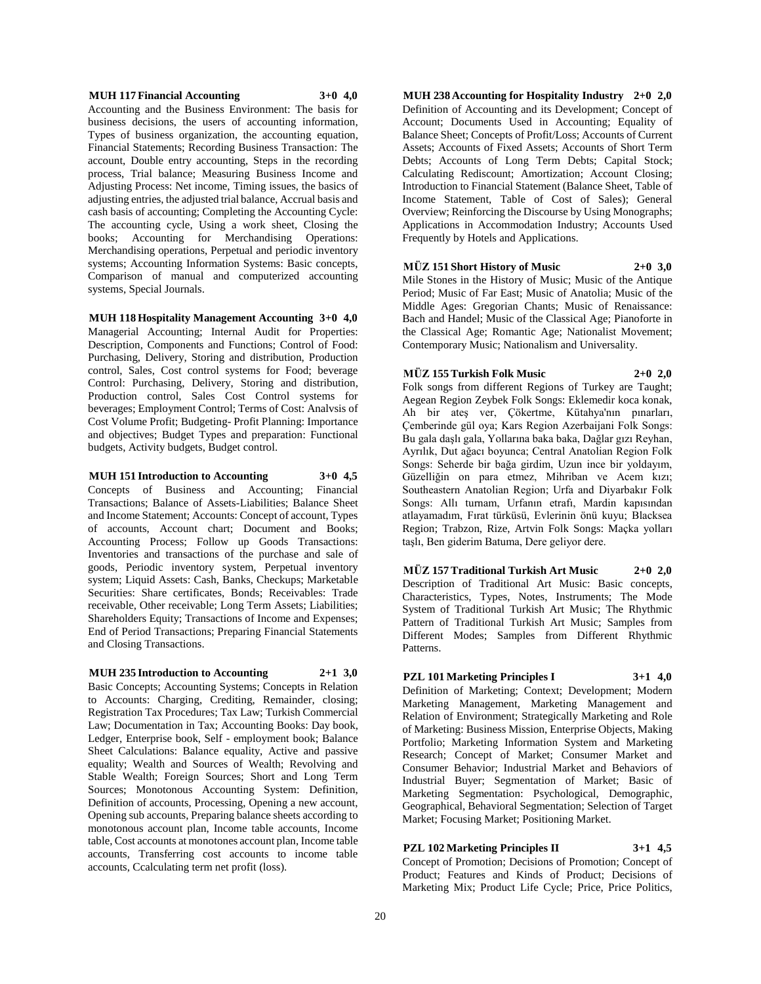#### **MUH 117 Financial Accounting 3+0 4,0**

Accounting and the Business Environment: The basis for business decisions, the users of accounting information, Types of business organization, the accounting equation, Financial Statements; Recording Business Transaction: The account, Double entry accounting, Steps in the recording process, Trial balance; Measuring Business Income and Adjusting Process: Net income, Timing issues, the basics of adjusting entries, the adjusted trial balance, Accrual basis and cash basis of accounting; Completing the Accounting Cycle: The accounting cycle, Using a work sheet, Closing the books; Accounting for Merchandising Operations: Merchandising operations, Perpetual and periodic inventory systems; Accounting Information Systems: Basic concepts, Comparison of manual and computerized accounting systems, Special Journals.

#### **MUH 118 Hospitality Management Accounting 3+0 4,0**

Managerial Accounting; Internal Audit for Properties: Description, Components and Functions; Control of Food: Purchasing, Delivery, Storing and distribution, Production control, Sales, Cost control systems for Food; beverage Control: Purchasing, Delivery, Storing and distribution, Production control, Sales Cost Control systems for beverages; Employment Control; Terms of Cost: Analvsis of Cost Volume Profit; Budgeting- Profit Planning: Importance and objectives; Budget Types and preparation: Functional budgets, Activity budgets, Budget control.

#### **MUH 151 Introduction to Accounting 3+0 4,5**

Concepts of Business and Accounting; Financial Transactions; Balance of Assets-Liabilities; Balance Sheet and Income Statement; Accounts: Concept of account, Types of accounts, Account chart; Document and Books; Accounting Process; Follow up Goods Transactions: Inventories and transactions of the purchase and sale of goods, Periodic inventory system, Perpetual inventory system; Liquid Assets: Cash, Banks, Checkups; Marketable Securities: Share certificates, Bonds; Receivables: Trade receivable, Other receivable; Long Term Assets; Liabilities; Shareholders Equity; Transactions of Income and Expenses; End of Period Transactions; Preparing Financial Statements and Closing Transactions.

#### **MUH 235 Introduction to Accounting 2+1 3,0**

Basic Concepts; Accounting Systems; Concepts in Relation to Accounts: Charging, Crediting, Remainder, closing; Registration Tax Procedures; Tax Law; Turkish Commercial Law; Documentation in Tax; Accounting Books: Day book, Ledger, Enterprise book, Self - employment book; Balance Sheet Calculations: Balance equality, Active and passive equality; Wealth and Sources of Wealth; Revolving and Stable Wealth; Foreign Sources; Short and Long Term Sources; Monotonous Accounting System: Definition, Definition of accounts, Processing, Opening a new account, Opening sub accounts, Preparing balance sheets according to monotonous account plan, Income table accounts, Income table, Cost accounts at monotones account plan, Income table accounts, Transferring cost accounts to income table accounts, Ccalculating term net profit (loss).

**MUH 238 Accounting for Hospitality Industry 2+0 2,0** Definition of Accounting and its Development; Concept of Account; Documents Used in Accounting; Equality of Balance Sheet; Concepts of Profit/Loss; Accounts of Current Assets; Accounts of Fixed Assets; Accounts of Short Term Debts; Accounts of Long Term Debts; Capital Stock; Calculating Rediscount; Amortization; Account Closing; Introduction to Financial Statement (Balance Sheet, Table of Income Statement, Table of Cost of Sales); General Overview; Reinforcing the Discourse by Using Monographs; Applications in Accommodation Industry; Accounts Used Frequently by Hotels and Applications.

#### **MÜZ 151 Short History of Music 2+0 3,0**

Mile Stones in the History of Music; Music of the Antique Period; Music of Far East; Music of Anatolia; Music of the Middle Ages: Gregorian Chants; Music of Renaissance: Bach and Handel; Music of the Classical Age; Pianoforte in the Classical Age; Romantic Age; Nationalist Movement; Contemporary Music; Nationalism and Universality.

#### **MÜZ 155 Turkish Folk Music 2+0 2,0**

Folk songs from different Regions of Turkey are Taught; Aegean Region Zeybek Folk Songs: Eklemedir koca konak, Ah bir ateş ver, Çökertme, Kütahya'nın pınarları, Çemberinde gül oya; Kars Region Azerbaijani Folk Songs: Bu gala daşlı gala, Yollarına baka baka, Dağlar gızı Reyhan, Ayrılık, Dut ağacı boyunca; Central Anatolian Region Folk Songs: Seherde bir bağa girdim, Uzun ince bir yoldayım, Güzelliğin on para etmez, Mihriban ve Acem kızı; Southeastern Anatolian Region; Urfa and Diyarbakır Folk Songs: Allı turnam, Urfanın etrafı, Mardin kapısından atlayamadım, Fırat türküsü, Evlerinin önü kuyu; Blacksea Region; Trabzon, Rize, Artvin Folk Songs: Maçka yolları taşlı, Ben giderim Batuma, Dere geliyor dere.

**MÜZ 157 Traditional Turkish Art Music 2+0 2,0** Description of Traditional Art Music: Basic concepts, Characteristics, Types, Notes, Instruments; The Mode System of Traditional Turkish Art Music; The Rhythmic Pattern of Traditional Turkish Art Music; Samples from Different Modes; Samples from Different Rhythmic Patterns.

# **PZL 101 Marketing Principles I 3+1 4,0**

Definition of Marketing; Context; Development; Modern Marketing Management, Marketing Management and Relation of Environment; Strategically Marketing and Role of Marketing: Business Mission, Enterprise Objects, Making Portfolio; Marketing Information System and Marketing Research; Concept of Market; Consumer Market and Consumer Behavior; Industrial Market and Behaviors of Industrial Buyer; Segmentation of Market; Basic of Marketing Segmentation: Psychological, Demographic, Geographical, Behavioral Segmentation; Selection of Target Market; Focusing Market; Positioning Market.

# **PZL 102 Marketing Principles II 3+1 4,5**

Concept of Promotion; Decisions of Promotion; Concept of Product; Features and Kinds of Product; Decisions of Marketing Mix; Product Life Cycle; Price, Price Politics,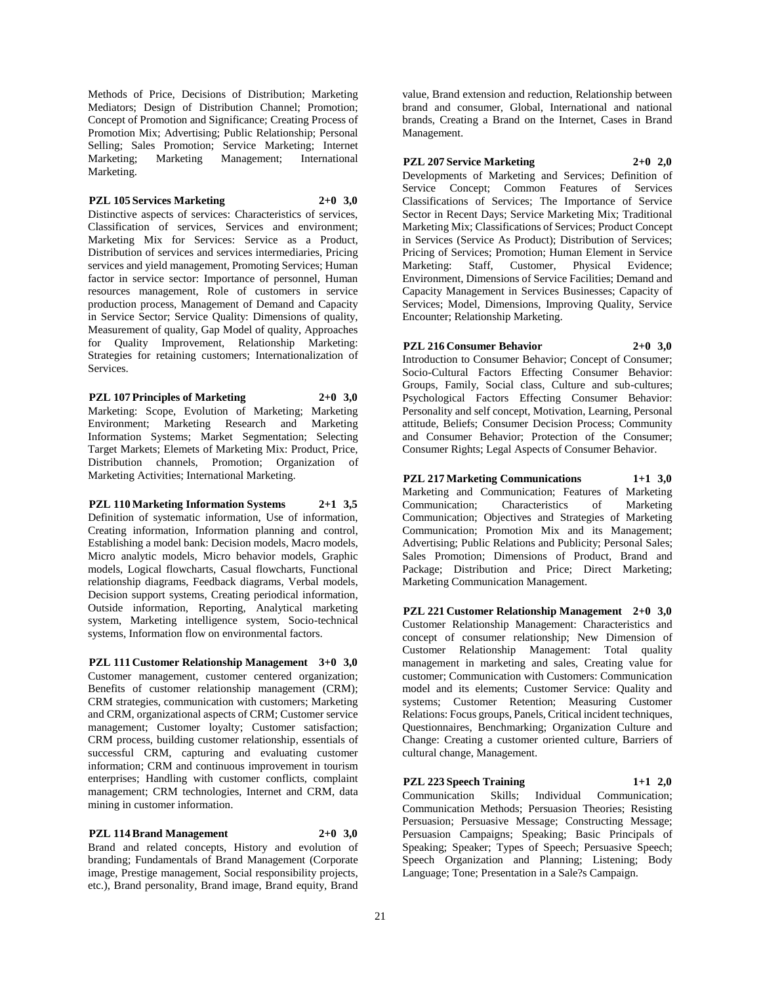Methods of Price, Decisions of Distribution; Marketing Mediators; Design of Distribution Channel; Promotion; Concept of Promotion and Significance; Creating Process of Promotion Mix; Advertising; Public Relationship; Personal Selling; Sales Promotion; Service Marketing; Internet Marketing; Marketing Management; International Marketing.

# **PZL 105 Services Marketing 2+0 3,0**

Distinctive aspects of services: Characteristics of services, Classification of services, Services and environment; Marketing Mix for Services: Service as a Product, Distribution of services and services intermediaries, Pricing services and yield management, Promoting Services; Human factor in service sector: Importance of personnel, Human resources management, Role of customers in service production process, Management of Demand and Capacity in Service Sector; Service Quality: Dimensions of quality, Measurement of quality, Gap Model of quality, Approaches for Quality Improvement, Relationship Marketing: Strategies for retaining customers; Internationalization of Services.

**PZL 107 Principles of Marketing 2+0 3,0** Marketing: Scope, Evolution of Marketing; Marketing Environment; Marketing Research and Marketing Information Systems; Market Segmentation; Selecting Target Markets; Elemets of Marketing Mix: Product, Price, Distribution channels, Promotion; Organization of

Marketing Activities; International Marketing.

**PZL 110 Marketing Information Systems 2+1 3,5** Definition of systematic information, Use of information, Creating information, Information planning and control, Establishing a model bank: Decision models, Macro models, Micro analytic models, Micro behavior models, Graphic models, Logical flowcharts, Casual flowcharts, Functional relationship diagrams, Feedback diagrams, Verbal models, Decision support systems, Creating periodical information, Outside information, Reporting, Analytical marketing system, Marketing intelligence system, Socio-technical systems, Information flow on environmental factors.

**PZL 111 Customer Relationship Management 3+0 3,0** Customer management, customer centered organization; Benefits of customer relationship management (CRM); CRM strategies, communication with customers; Marketing and CRM, organizational aspects of CRM; Customer service management; Customer loyalty; Customer satisfaction; CRM process, building customer relationship, essentials of successful CRM, capturing and evaluating customer information; CRM and continuous improvement in tourism enterprises; Handling with customer conflicts, complaint management; CRM technologies, Internet and CRM, data mining in customer information.

**PZL 114 Brand Management 2+0 3,0** Brand and related concepts, History and evolution of branding; Fundamentals of Brand Management (Corporate image, Prestige management, Social responsibility projects, etc.), Brand personality, Brand image, Brand equity, Brand

value, Brand extension and reduction, Relationship between brand and consumer, Global, International and national brands, Creating a Brand on the Internet, Cases in Brand Management.

**PZL 207 Service Marketing 2+0 2,0**

Developments of Marketing and Services; Definition of Service Concept; Common Features of Services Classifications of Services; The Importance of Service Sector in Recent Days; Service Marketing Mix; Traditional Marketing Mix; Classifications of Services; Product Concept in Services (Service As Product); Distribution of Services; Pricing of Services; Promotion; Human Element in Service Marketing: Staff, Customer, Physical Evidence; Environment, Dimensions of Service Facilities; Demand and Capacity Management in Services Businesses; Capacity of Services; Model, Dimensions, Improving Quality, Service Encounter; Relationship Marketing.

**PZL 216 Consumer Behavior 2+0 3,0**

Introduction to Consumer Behavior; Concept of Consumer; Socio-Cultural Factors Effecting Consumer Behavior: Groups, Family, Social class, Culture and sub-cultures; Psychological Factors Effecting Consumer Behavior: Personality and self concept, Motivation, Learning, Personal attitude, Beliefs; Consumer Decision Process; Community and Consumer Behavior; Protection of the Consumer; Consumer Rights; Legal Aspects of Consumer Behavior.

# **PZL 217 Marketing Communications 1+1 3,0**

Marketing and Communication; Features of Marketing Communication; Characteristics of Marketing Communication; Objectives and Strategies of Marketing Communication; Promotion Mix and its Management; Advertising; Public Relations and Publicity; Personal Sales; Sales Promotion; Dimensions of Product, Brand and Package; Distribution and Price; Direct Marketing; Marketing Communication Management.

**PZL 221 Customer Relationship Management 2+0 3,0** Customer Relationship Management: Characteristics and concept of consumer relationship; New Dimension of Customer Relationship Management: Total quality management in marketing and sales, Creating value for customer; Communication with Customers: Communication model and its elements; Customer Service: Quality and systems; Customer Retention; Measuring Customer Relations: Focus groups, Panels, Critical incident techniques, Questionnaires, Benchmarking; Organization Culture and Change: Creating a customer oriented culture, Barriers of cultural change, Management.

#### **PZL 223 Speech Training 1+1 2,0**

Communication Skills; Individual Communication; Communication Methods; Persuasion Theories; Resisting Persuasion; Persuasive Message; Constructing Message; Persuasion Campaigns; Speaking; Basic Principals of Speaking; Speaker; Types of Speech; Persuasive Speech; Speech Organization and Planning; Listening; Body Language; Tone; Presentation in a Sale?s Campaign.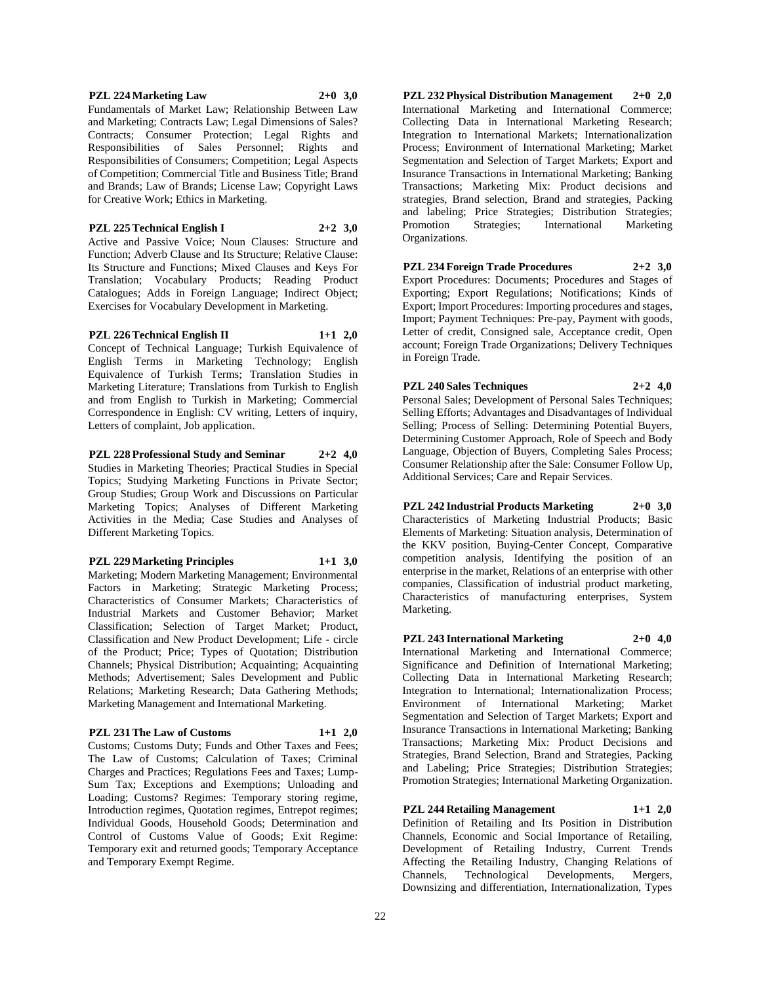#### Responsibilities of Sales Personnel; Rights and Responsibilities of Consumers; Competition; Legal Aspects

of Competition; Commercial Title and Business Title; Brand and Brands; Law of Brands; License Law; Copyright Laws for Creative Work; Ethics in Marketing.

**PZL 224 Marketing Law 2+0 3,0** Fundamentals of Market Law; Relationship Between Law and Marketing; Contracts Law; Legal Dimensions of Sales? Contracts; Consumer Protection; Legal Rights and

# **PZL 225 Technical English I 2+2 3,0**

Active and Passive Voice; Noun Clauses: Structure and Function; Adverb Clause and Its Structure; Relative Clause: Its Structure and Functions; Mixed Clauses and Keys For Translation; Vocabulary Products; Reading Product Catalogues; Adds in Foreign Language; Indirect Object; Exercises for Vocabulary Development in Marketing.

# **PZL 226 Technical English II 1+1 2,0**

Concept of Technical Language; Turkish Equivalence of English Terms in Marketing Technology; English Equivalence of Turkish Terms; Translation Studies in Marketing Literature; Translations from Turkish to English and from English to Turkish in Marketing; Commercial Correspondence in English: CV writing, Letters of inquiry, Letters of complaint, Job application.

**PZL 228 Professional Study and Seminar 2+2 4,0** Studies in Marketing Theories; Practical Studies in Special Topics; Studying Marketing Functions in Private Sector; Group Studies; Group Work and Discussions on Particular Marketing Topics; Analyses of Different Marketing Activities in the Media; Case Studies and Analyses of Different Marketing Topics.

# **PZL 229 Marketing Principles 1+1 3,0**

Marketing; Modern Marketing Management; Environmental Factors in Marketing; Strategic Marketing Process; Characteristics of Consumer Markets; Characteristics of Industrial Markets and Customer Behavior; Market Classification; Selection of Target Market; Product, Classification and New Product Development; Life - circle of the Product; Price; Types of Quotation; Distribution Channels; Physical Distribution; Acquainting; Acquainting Methods; Advertisement; Sales Development and Public Relations; Marketing Research; Data Gathering Methods; Marketing Management and International Marketing.

# **PZL 231 The Law of Customs 1+1 2,0**

Customs; Customs Duty; Funds and Other Taxes and Fees; The Law of Customs; Calculation of Taxes; Criminal Charges and Practices; Regulations Fees and Taxes; Lump-Sum Tax; Exceptions and Exemptions; Unloading and Loading; Customs? Regimes: Temporary storing regime, Introduction regimes, Quotation regimes, Entrepot regimes; Individual Goods, Household Goods; Determination and Control of Customs Value of Goods; Exit Regime: Temporary exit and returned goods; Temporary Acceptance and Temporary Exempt Regime.

**PZL 232 Physical Distribution Management 2+0 2,0** International Marketing and International Commerce; Collecting Data in International Marketing Research; Integration to International Markets; Internationalization Process; Environment of International Marketing; Market Segmentation and Selection of Target Markets; Export and Insurance Transactions in International Marketing; Banking Transactions; Marketing Mix: Product decisions and strategies, Brand selection, Brand and strategies, Packing and labeling; Price Strategies; Distribution Strategies; Promotion Strategies; International Marketing Organizations.

# **PZL 234 Foreign Trade Procedures 2+2 3,0**

Export Procedures: Documents; Procedures and Stages of Exporting; Export Regulations; Notifications; Kinds of Export; Import Procedures: Importing procedures and stages, Import; Payment Techniques: Pre-pay, Payment with goods, Letter of credit, Consigned sale, Acceptance credit, Open account; Foreign Trade Organizations; Delivery Techniques in Foreign Trade.

**PZL 240 Sales Techniques 2+2 4,0** Personal Sales; Development of Personal Sales Techniques; Selling Efforts; Advantages and Disadvantages of Individual Selling; Process of Selling: Determining Potential Buyers, Determining Customer Approach, Role of Speech and Body Language, Objection of Buyers, Completing Sales Process; Consumer Relationship after the Sale: Consumer Follow Up, Additional Services; Care and Repair Services.

**PZL 242 Industrial Products Marketing 2+0 3,0** Characteristics of Marketing Industrial Products; Basic Elements of Marketing: Situation analysis, Determination of the KKV position, Buying-Center Concept, Comparative competition analysis, Identifying the position of an enterprise in the market, Relations of an enterprise with other companies, Classification of industrial product marketing, Characteristics of manufacturing enterprises, System Marketing.

# **PZL 243 International Marketing 2+0 4,0**

International Marketing and International Commerce; Significance and Definition of International Marketing; Collecting Data in International Marketing Research; Integration to International; Internationalization Process; Environment of International Marketing; Market Segmentation and Selection of Target Markets; Export and Insurance Transactions in International Marketing; Banking Transactions; Marketing Mix: Product Decisions and Strategies, Brand Selection, Brand and Strategies, Packing and Labeling; Price Strategies; Distribution Strategies; Promotion Strategies; International Marketing Organization.

# **PZL 244 Retailing Management 1+1 2,0**

Definition of Retailing and Its Position in Distribution Channels, Economic and Social Importance of Retailing, Development of Retailing Industry, Current Trends Affecting the Retailing Industry, Changing Relations of Channels, Technological Developments, Mergers, Channels, Technological Developments, Mergers, Downsizing and differentiation, Internationalization, Types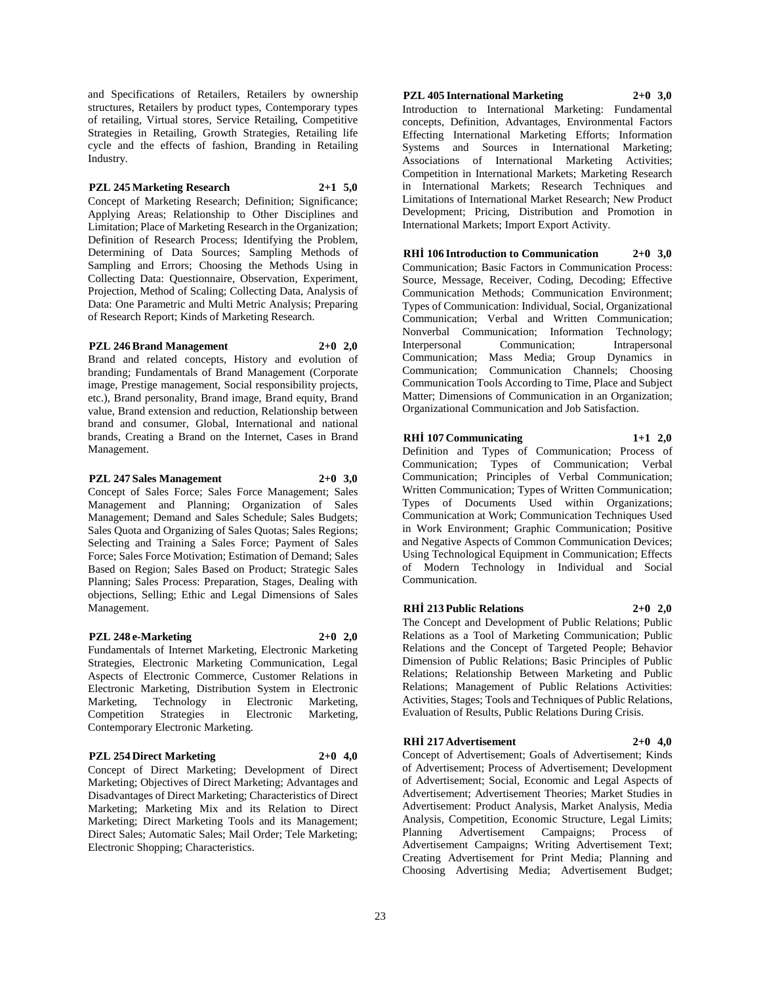and Specifications of Retailers, Retailers by ownership structures, Retailers by product types, Contemporary types of retailing, Virtual stores, Service Retailing, Competitive Strategies in Retailing, Growth Strategies, Retailing life cycle and the effects of fashion, Branding in Retailing Industry.

# **PZL 245 Marketing Research 2+1 5,0**

Concept of Marketing Research; Definition; Significance; Applying Areas; Relationship to Other Disciplines and Limitation; Place of Marketing Research in the Organization; Definition of Research Process; Identifying the Problem, Determining of Data Sources; Sampling Methods of Sampling and Errors; Choosing the Methods Using in Collecting Data: Questionnaire, Observation, Experiment, Projection, Method of Scaling; Collecting Data, Analysis of Data: One Parametric and Multi Metric Analysis; Preparing of Research Report; Kinds of Marketing Research.

# **PZL 246 Brand Management 2+0 2,0**

Brand and related concepts, History and evolution of branding; Fundamentals of Brand Management (Corporate image, Prestige management, Social responsibility projects, etc.), Brand personality, Brand image, Brand equity, Brand value, Brand extension and reduction, Relationship between brand and consumer, Global, International and national brands, Creating a Brand on the Internet, Cases in Brand Management.

# **PZL 247 Sales Management 2+0 3,0**

Concept of Sales Force; Sales Force Management; Sales Management and Planning; Organization of Sales Management; Demand and Sales Schedule; Sales Budgets; Sales Quota and Organizing of Sales Quotas; Sales Regions; Selecting and Training a Sales Force; Payment of Sales Force; Sales Force Motivation; Estimation of Demand; Sales Based on Region; Sales Based on Product; Strategic Sales Planning; Sales Process: Preparation, Stages, Dealing with objections, Selling; Ethic and Legal Dimensions of Sales Management.

# **PZL 248 e-Marketing 2+0 2,0**

Fundamentals of Internet Marketing, Electronic Marketing Strategies, Electronic Marketing Communication, Legal Aspects of Electronic Commerce, Customer Relations in Electronic Marketing, Distribution System in Electronic Marketing, Technology in Electronic Marketing, Competition Strategies in Electronic Marketing, Contemporary Electronic Marketing.

# **PZL 254 Direct Marketing 2+0 4,0**

Concept of Direct Marketing; Development of Direct Marketing; Objectives of Direct Marketing; Advantages and Disadvantages of Direct Marketing; Characteristics of Direct Marketing; Marketing Mix and its Relation to Direct Marketing; Direct Marketing Tools and its Management; Direct Sales; Automatic Sales; Mail Order; Tele Marketing; Electronic Shopping; Characteristics.

**PZL 405 International Marketing 2+0 3,0** Introduction to International Marketing: Fundamental

concepts, Definition, Advantages, Environmental Factors Effecting International Marketing Efforts; Information Systems and Sources in International Marketing; Associations of International Marketing Activities; Competition in International Markets; Marketing Research in International Markets; Research Techniques and Limitations of International Market Research; New Product Development; Pricing, Distribution and Promotion in International Markets; Import Export Activity.

**RHİ 106 Introduction to Communication 2+0 3,0** Communication; Basic Factors in Communication Process: Source, Message, Receiver, Coding, Decoding; Effective Communication Methods; Communication Environment; Types of Communication: Individual, Social, Organizational Communication; Verbal and Written Communication; Nonverbal Communication; Information Technology; Interpersonal Communication; Intrapersonal Communication; Mass Media; Group Dynamics in Communication; Communication Channels; Choosing Communication Tools According to Time, Place and Subject Matter; Dimensions of Communication in an Organization; Organizational Communication and Job Satisfaction.

# **RHİ 107 Communicating 1+1 2,0**

Definition and Types of Communication; Process of Communication; Types of Communication; Verbal Communication; Principles of Verbal Communication; Written Communication; Types of Written Communication; Types of Documents Used within Organizations; Communication at Work; Communication Techniques Used in Work Environment; Graphic Communication; Positive and Negative Aspects of Common Communication Devices; Using Technological Equipment in Communication; Effects of Modern Technology in Individual and Social Communication.

#### **RHİ 213 Public Relations 2+0 2,0**

The Concept and Development of Public Relations; Public Relations as a Tool of Marketing Communication; Public Relations and the Concept of Targeted People; Behavior Dimension of Public Relations; Basic Principles of Public Relations; Relationship Between Marketing and Public Relations; Management of Public Relations Activities: Activities, Stages; Tools and Techniques of Public Relations, Evaluation of Results, Public Relations During Crisis.

# **RHİ 217 Advertisement 2+0 4,0**

Concept of Advertisement; Goals of Advertisement; Kinds of Advertisement; Process of Advertisement; Development of Advertisement; Social, Economic and Legal Aspects of Advertisement; Advertisement Theories; Market Studies in Advertisement: Product Analysis, Market Analysis, Media Analysis, Competition, Economic Structure, Legal Limits; Planning Advertisement Campaigns; Process of Advertisement Campaigns; Writing Advertisement Text; Creating Advertisement for Print Media; Planning and Choosing Advertising Media; Advertisement Budget;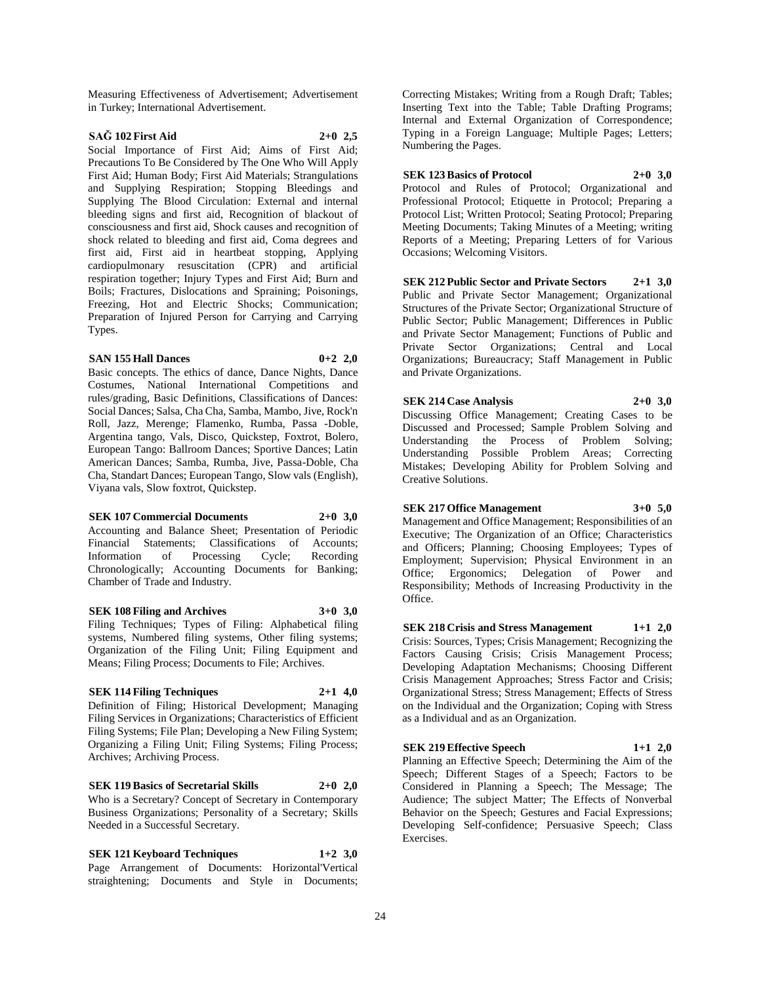Measuring Effectiveness of Advertisement; Advertisement in Turkey; International Advertisement.

# **SAĞ 102 First Aid 2+0 2,5**

Social Importance of First Aid; Aims of First Aid; Precautions To Be Considered by The One Who Will Apply First Aid; Human Body; First Aid Materials; Strangulations and Supplying Respiration; Stopping Bleedings and Supplying The Blood Circulation: External and internal bleeding signs and first aid, Recognition of blackout of consciousness and first aid, Shock causes and recognition of shock related to bleeding and first aid, Coma degrees and first aid, First aid in heartbeat stopping, Applying cardiopulmonary resuscitation (CPR) and artificial respiration together; Injury Types and First Aid; Burn and Boils; Fractures, Dislocations and Spraining; Poisonings, Freezing, Hot and Electric Shocks; Communication; Preparation of Injured Person for Carrying and Carrying Types.

#### **SAN 155 Hall Dances 0+2 2,0**

Basic concepts. The ethics of dance, Dance Nights, Dance Costumes, National International Competitions and rules/grading, Basic Definitions, Classifications of Dances: Social Dances; Salsa, Cha Cha, Samba, Mambo, Jive, Rock'n Roll, Jazz, Merenge; Flamenko, Rumba, Passa -Doble, Argentina tango, Vals, Disco, Quickstep, Foxtrot, Bolero, European Tango: Ballroom Dances; Sportive Dances; Latin American Dances; Samba, Rumba, Jive, Passa-Doble, Cha Cha, Standart Dances; European Tango, Slow vals (English), Viyana vals, Slow foxtrot, Quickstep.

#### **SEK 107 Commercial Documents 2+0 3,0**

Accounting and Balance Sheet; Presentation of Periodic Financial Statements; Classifications of Accounts;<br>Information of Processing Cycle; Recording Information of Processing Cycle; Recording Chronologically; Accounting Documents for Banking; Chamber of Trade and Industry.

# **SEK 108 Filing and Archives 3+0 3,0**

Filing Techniques; Types of Filing: Alphabetical filing systems, Numbered filing systems, Other filing systems; Organization of the Filing Unit; Filing Equipment and Means; Filing Process; Documents to File; Archives.

#### **SEK 114 Filing Techniques 2+1 4,0**

Definition of Filing; Historical Development; Managing Filing Services in Organizations; Characteristics of Efficient Filing Systems; File Plan; Developing a New Filing System; Organizing a Filing Unit; Filing Systems; Filing Process; Archives; Archiving Process.

# **SEK 119 Basics of Secretarial Skills 2+0 2,0**

Who is a Secretary? Concept of Secretary in Contemporary Business Organizations; Personality of a Secretary; Skills Needed in a Successful Secretary.

**SEK 121 Keyboard Techniques 1+2 3,0** Page Arrangement of Documents: Horizontal'Vertical straightening; Documents and Style in Documents;

Correcting Mistakes; Writing from a Rough Draft; Tables; Inserting Text into the Table; Table Drafting Programs; Internal and External Organization of Correspondence; Typing in a Foreign Language; Multiple Pages; Letters; Numbering the Pages.

**SEK 123 Basics of Protocol 2+0 3,0** Protocol and Rules of Protocol; Organizational and Professional Protocol; Etiquette in Protocol; Preparing a Protocol List; Written Protocol; Seating Protocol; Preparing Meeting Documents; Taking Minutes of a Meeting; writing Reports of a Meeting; Preparing Letters of for Various Occasions; Welcoming Visitors.

**SEK 212 Public Sector and Private Sectors 2+1 3,0** Public and Private Sector Management; Organizational Structures of the Private Sector; Organizational Structure of Public Sector; Public Management; Differences in Public and Private Sector Management; Functions of Public and Private Sector Organizations; Central and Local Organizations; Bureaucracy; Staff Management in Public and Private Organizations.

**SEK 214 Case Analysis 2+0 3,0** Discussing Office Management; Creating Cases to be Discussed and Processed; Sample Problem Solving and Understanding the Process of Problem Solving; Understanding Possible Problem Areas; Correcting Mistakes; Developing Ability for Problem Solving and

#### **SEK 217 Office Management 3+0 5,0**

Creative Solutions.

Management and Office Management; Responsibilities of an Executive; The Organization of an Office; Characteristics and Officers; Planning; Choosing Employees; Types of Employment; Supervision; Physical Environment in an Office; Ergonomics; Delegation of Power and Responsibility; Methods of Increasing Productivity in the Office.

**SEK 218 Crisis and Stress Management 1+1 2,0** Crisis: Sources, Types; Crisis Management; Recognizing the Factors Causing Crisis; Crisis Management Process; Developing Adaptation Mechanisms; Choosing Different Crisis Management Approaches; Stress Factor and Crisis; Organizational Stress; Stress Management; Effects of Stress on the Individual and the Organization; Coping with Stress as a Individual and as an Organization.

#### **SEK 219 Effective Speech 1+1 2,0**

Planning an Effective Speech; Determining the Aim of the Speech; Different Stages of a Speech; Factors to be Considered in Planning a Speech; The Message; The Audience; The subject Matter; The Effects of Nonverbal Behavior on the Speech; Gestures and Facial Expressions; Developing Self-confidence; Persuasive Speech; Class **Exercises**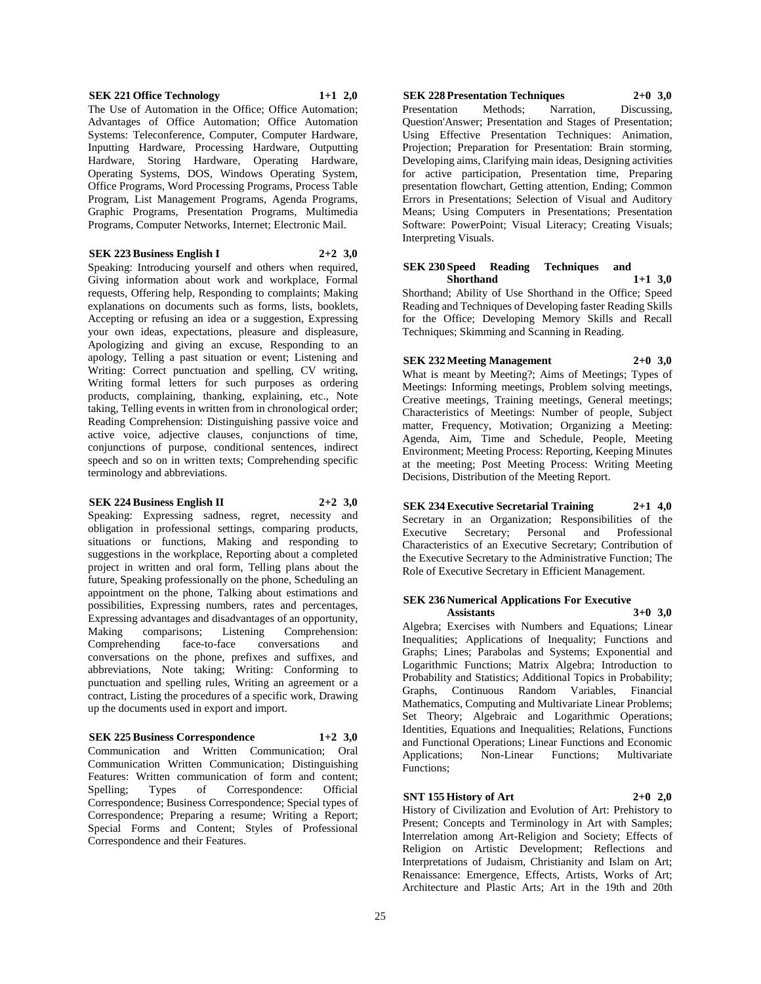#### **SEK 221 Office Technology 1+1 2,0**

The Use of Automation in the Office; Office Automation; Advantages of Office Automation; Office Automation Systems: Teleconference, Computer, Computer Hardware, Inputting Hardware, Processing Hardware, Outputting Hardware, Storing Hardware, Operating Hardware, Operating Systems, DOS, Windows Operating System, Office Programs, Word Processing Programs, Process Table Program, List Management Programs, Agenda Programs, Graphic Programs, Presentation Programs, Multimedia Programs, Computer Networks, Internet; Electronic Mail.

#### **SEK 223 Business English I 2+2 3,0**

Speaking: Introducing yourself and others when required, Giving information about work and workplace, Formal requests, Offering help, Responding to complaints; Making explanations on documents such as forms, lists, booklets, Accepting or refusing an idea or a suggestion, Expressing your own ideas, expectations, pleasure and displeasure, Apologizing and giving an excuse, Responding to an apology, Telling a past situation or event; Listening and Writing: Correct punctuation and spelling, CV writing, Writing formal letters for such purposes as ordering products, complaining, thanking, explaining, etc., Note taking, Telling events in written from in chronological order; Reading Comprehension: Distinguishing passive voice and active voice, adjective clauses, conjunctions of time, conjunctions of purpose, conditional sentences, indirect speech and so on in written texts; Comprehending specific terminology and abbreviations.

#### **SEK 224 Business English II 2+2 3,0**

Speaking: Expressing sadness, regret, necessity and obligation in professional settings, comparing products, situations or functions, Making and responding to suggestions in the workplace, Reporting about a completed project in written and oral form, Telling plans about the future, Speaking professionally on the phone, Scheduling an appointment on the phone, Talking about estimations and possibilities, Expressing numbers, rates and percentages, Expressing advantages and disadvantages of an opportunity,<br>Making comparisons; Listening Comprehension: Making comparisons; Listening Comprehension: Comprehending face-to-face conversations and conversations on the phone, prefixes and suffixes, and abbreviations, Note taking; Writing: Conforming to punctuation and spelling rules, Writing an agreement or a contract, Listing the procedures of a specific work, Drawing up the documents used in export and import.

# **SEK 225 Business Correspondence 1+2 3,0**

Communication and Written Communication; Oral Communication Written Communication; Distinguishing Features: Written communication of form and content; Spelling; Types of Correspondence: Official Correspondence; Business Correspondence; Special types of Correspondence; Preparing a resume; Writing a Report; Special Forms and Content; Styles of Professional Correspondence and their Features.

**SEK 228 Presentation Techniques 2+0 3,0** Presentation Methods; Narration, Discussing, Question'Answer; Presentation and Stages of Presentation; Using Effective Presentation Techniques: Animation, Projection; Preparation for Presentation: Brain storming, Developing aims, Clarifying main ideas, Designing activities for active participation, Presentation time, Preparing presentation flowchart, Getting attention, Ending; Common Errors in Presentations; Selection of Visual and Auditory Means; Using Computers in Presentations; Presentation Software: PowerPoint; Visual Literacy; Creating Visuals; Interpreting Visuals.

# **SEK 230 Speed Reading Techniques and Shorthand 1+1 3,0**

Shorthand; Ability of Use Shorthand in the Office; Speed Reading and Techniques of Developing faster Reading Skills for the Office; Developing Memory Skills and Recall Techniques; Skimming and Scanning in Reading.

**SEK 232 Meeting Management 2+0 3,0**

What is meant by Meeting?; Aims of Meetings; Types of Meetings: Informing meetings, Problem solving meetings, Creative meetings, Training meetings, General meetings; Characteristics of Meetings: Number of people, Subject matter, Frequency, Motivation; Organizing a Meeting: Agenda, Aim, Time and Schedule, People, Meeting Environment; Meeting Process: Reporting, Keeping Minutes at the meeting; Post Meeting Process: Writing Meeting Decisions, Distribution of the Meeting Report.

**SEK 234 Executive Secretarial Training 2+1 4,0** Secretary in an Organization; Responsibilities of the Executive Secretary; Personal and Professional Characteristics of an Executive Secretary; Contribution of the Executive Secretary to the Administrative Function; The Role of Executive Secretary in Efficient Management.

#### **SEK 236 Numerical Applications For Executive Assistants 3+0 3,0**

Algebra; Exercises with Numbers and Equations; Linear Inequalities; Applications of Inequality; Functions and Graphs; Lines; Parabolas and Systems; Exponential and Logarithmic Functions; Matrix Algebra; Introduction to Probability and Statistics; Additional Topics in Probability; Graphs, Continuous Random Variables, Financial Mathematics, Computing and Multivariate Linear Problems; Set Theory; Algebraic and Logarithmic Operations; Identities, Equations and Inequalities; Relations, Functions and Functional Operations; Linear Functions and Economic Applications; Non-Linear Functions; Multivariate Functions;

# **SNT 155 History of Art 2+0 2,0**

History of Civilization and Evolution of Art: Prehistory to Present; Concepts and Terminology in Art with Samples; Interrelation among Art-Religion and Society; Effects of Religion on Artistic Development; Reflections and Interpretations of Judaism, Christianity and Islam on Art; Renaissance: Emergence, Effects, Artists, Works of Art; Architecture and Plastic Arts; Art in the 19th and 20th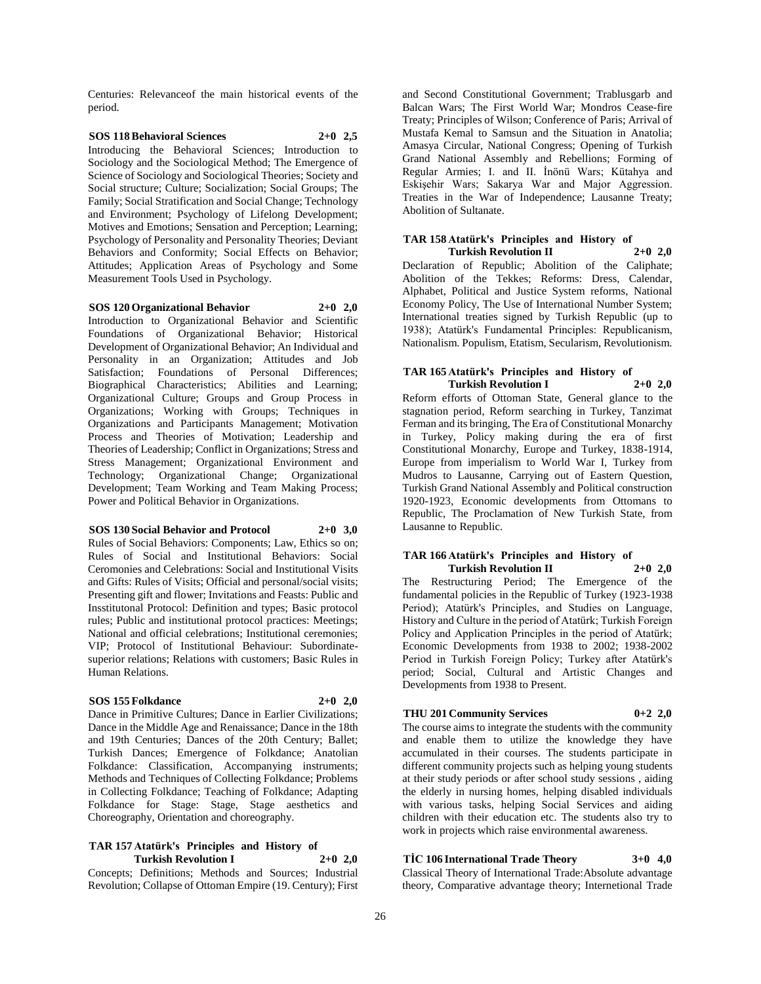Centuries: Relevanceof the main historical events of the period.

#### **SOS 118 Behavioral Sciences 2+0 2,5** Introducing the Behavioral Sciences; Introduction to Sociology and the Sociological Method; The Emergence of Science of Sociology and Sociological Theories; Society and Social structure; Culture; Socialization; Social Groups; The Family; Social Stratification and Social Change; Technology and Environment; Psychology of Lifelong Development; Motives and Emotions; Sensation and Perception; Learning; Psychology of Personality and Personality Theories; Deviant

Behaviors and Conformity; Social Effects on Behavior; Attitudes; Application Areas of Psychology and Some Measurement Tools Used in Psychology.

**SOS 120 Organizational Behavior 2+0 2,0** Introduction to Organizational Behavior and Scientific Foundations of Organizational Behavior; Historical Development of Organizational Behavior; An Individual and Personality in an Organization; Attitudes and Job Satisfaction; Foundations of Personal Differences; Biographical Characteristics; Abilities and Learning; Organizational Culture; Groups and Group Process in Organizations; Working with Groups; Techniques in Organizations and Participants Management; Motivation Process and Theories of Motivation; Leadership and Theories of Leadership; Conflict in Organizations; Stress and Stress Management; Organizational Environment and Technology; Organizational Change; Organizational Development; Team Working and Team Making Process; Power and Political Behavior in Organizations.

# **SOS 130 Social Behavior and Protocol 2+0 3,0**

Rules of Social Behaviors: Components; Law, Ethics so on; Rules of Social and Institutional Behaviors: Social Ceromonies and Celebrations: Social and Institutional Visits and Gifts: Rules of Visits; Official and personal/social visits; Presenting gift and flower; Invitations and Feasts: Public and Insstitutonal Protocol: Definition and types; Basic protocol rules; Public and institutional protocol practices: Meetings; National and official celebrations; Institutional ceremonies; VIP; Protocol of Institutional Behaviour: Subordinatesuperior relations; Relations with customers; Basic Rules in Human Relations.

#### **SOS 155 Folkdance 2+0 2,0**

Dance in Primitive Cultures; Dance in Earlier Civilizations; Dance in the Middle Age and Renaissance; Dance in the 18th and 19th Centuries; Dances of the 20th Century; Ballet; Turkish Dances; Emergence of Folkdance; Anatolian Folkdance: Classification, Accompanying instruments; Methods and Techniques of Collecting Folkdance; Problems in Collecting Folkdance; Teaching of Folkdance; Adapting Folkdance for Stage: Stage, Stage aesthetics and Choreography, Orientation and choreography.

# **TAR 157 Atatürk's Principles and History of Turkish Revolution I 2+0 2,0**

Concepts; Definitions; Methods and Sources; Industrial Revolution; Collapse of Ottoman Empire (19. Century); First and Second Constitutional Government; Trablusgarb and Balcan Wars; The First World War; Mondros Cease-fire Treaty; Principles of Wilson; Conference of Paris; Arrival of Mustafa Kemal to Samsun and the Situation in Anatolia; Amasya Circular, National Congress; Opening of Turkish Grand National Assembly and Rebellions; Forming of Regular Armies; I. and II. İnönü Wars; Kütahya and Eskişehir Wars; Sakarya War and Major Aggression. Treaties in the War of Independence; Lausanne Treaty; Abolition of Sultanate.

#### **TAR 158 Atatürk's Principles and History of Turkish Revolution II**

Declaration of Republic; Abolition of the Caliphate; Abolition of the Tekkes; Reforms: Dress, Calendar, Alphabet, Political and Justice System reforms, National Economy Policy, The Use of International Number System; International treaties signed by Turkish Republic (up to 1938); Atatürk's Fundamental Principles: Republicanism, Nationalism. Populism, Etatism, Secularism, Revolutionism.

#### **TAR 165 Atatürk's Principles and History of Turkish Revolution I 2+0 2,0**

Reform efforts of Ottoman State, General glance to the stagnation period, Reform searching in Turkey, Tanzimat Ferman and its bringing, The Era of Constitutional Monarchy in Turkey, Policy making during the era of first Constitutional Monarchy, Europe and Turkey, 1838-1914, Europe from imperialism to World War I, Turkey from Mudros to Lausanne, Carrying out of Eastern Question, Turkish Grand National Assembly and Political construction 1920-1923, Economic developments from Ottomans to Republic, The Proclamation of New Turkish State, from Lausanne to Republic.

#### **TAR 166 Atatürk's Principles and History of Turkish Revolution II 2+0 2,0**

The Restructuring Period; The Emergence of the fundamental policies in the Republic of Turkey (1923-1938 Period); Atatürk's Principles, and Studies on Language, History and Culture in the period of Atatürk; Turkish Foreign Policy and Application Principles in the period of Atatürk; Economic Developments from 1938 to 2002; 1938-2002 Period in Turkish Foreign Policy; Turkey after Atatürk's period; Social, Cultural and Artistic Changes and Developments from 1938 to Present.

# **THU 201 Community Services 0+2 2,0**

The course aims to integrate the students with the community and enable them to utilize the knowledge they have accumulated in their courses. The students participate in different community projects such as helping young students at their study periods or after school study sessions , aiding the elderly in nursing homes, helping disabled individuals with various tasks, helping Social Services and aiding children with their education etc. The students also try to work in projects which raise environmental awareness.

# **TİC 106 International Trade Theory 3+0 4,0**

Classical Theory of International Trade:Absolute advantage theory, Comparative advantage theory; Internetional Trade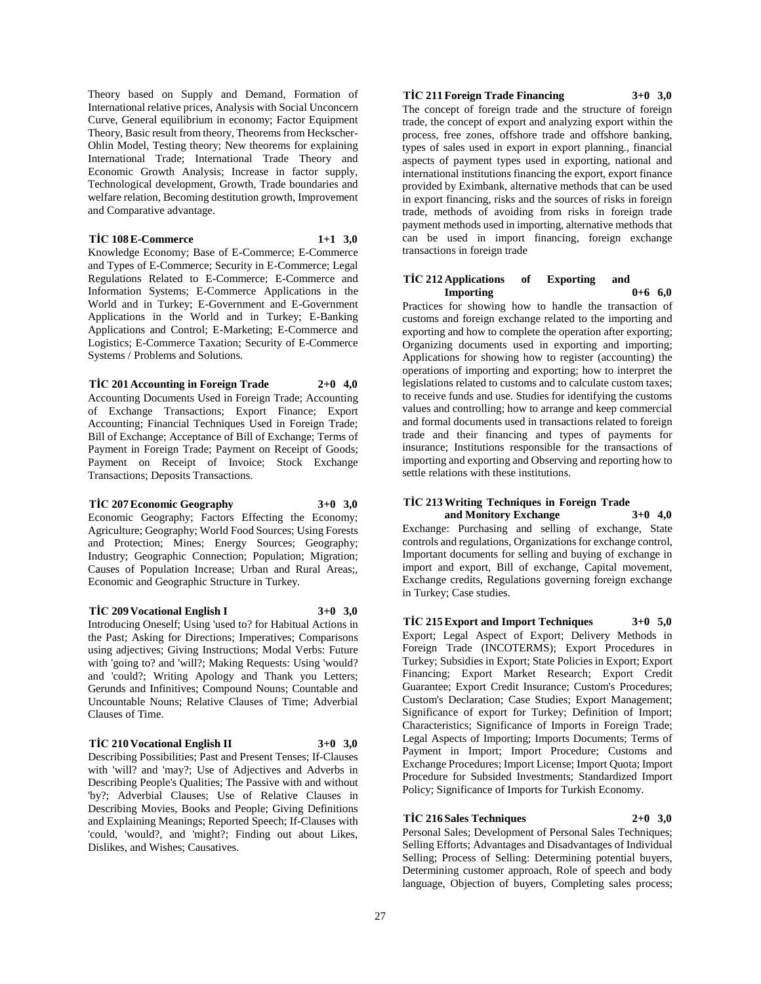Theory based on Supply and Demand, Formation of International relative prices, Analysis with Social Unconcern Curve, General equilibrium in economy; Factor Equipment Theory, Basic result from theory, Theorems from Heckscher-Ohlin Model, Testing theory; New theorems for explaining International Trade; International Trade Theory and Economic Growth Analysis; Increase in factor supply, Technological development, Growth, Trade boundaries and welfare relation, Becoming destitution growth, Improvement and Comparative advantage.

## **TİC 108 E-Commerce 1+1 3,0**

Knowledge Economy; Base of E-Commerce; E-Commerce and Types of E-Commerce; Security in E-Commerce; Legal Regulations Related to E-Commerce; E-Commerce and Information Systems; E-Commerce Applications in the World and in Turkey; E-Government and E-Government Applications in the World and in Turkey; E-Banking Applications and Control; E-Marketing; E-Commerce and Logistics; E-Commerce Taxation; Security of E-Commerce Systems / Problems and Solutions.

# **TİC 201 Accounting in Foreign Trade 2+0 4,0** Accounting Documents Used in Foreign Trade; Accounting

of Exchange Transactions; Export Finance; Export Accounting; Financial Techniques Used in Foreign Trade; Bill of Exchange; Acceptance of Bill of Exchange; Terms of Payment in Foreign Trade; Payment on Receipt of Goods; Payment on Receipt of Invoice; Stock Exchange Transactions; Deposits Transactions.

#### **TİC 207 Economic Geography 3+0 3,0**

Economic Geography; Factors Effecting the Economy; Agriculture; Geography; World Food Sources; Using Forests and Protection; Mines; Energy Sources; Geography; Industry; Geographic Connection; Population; Migration; Causes of Population Increase; Urban and Rural Areas;, Economic and Geographic Structure in Turkey.

# **TİC 209 Vocational English I 3+0 3,0**

Introducing Oneself; Using 'used to? for Habitual Actions in the Past; Asking for Directions; Imperatives; Comparisons using adjectives; Giving Instructions; Modal Verbs: Future with 'going to? and 'will?; Making Requests: Using 'would? and 'could?; Writing Apology and Thank you Letters; Gerunds and Infinitives; Compound Nouns; Countable and Uncountable Nouns; Relative Clauses of Time; Adverbial Clauses of Time.

#### **TİC 210 Vocational English II 3+0 3,0**

Describing Possibilities; Past and Present Tenses; If-Clauses with 'will? and 'may?; Use of Adjectives and Adverbs in Describing People's Qualities; The Passive with and without 'by?; Adverbial Clauses; Use of Relative Clauses in Describing Movies, Books and People; Giving Definitions and Explaining Meanings; Reported Speech; If-Clauses with 'could, 'would?, and 'might?; Finding out about Likes, Dislikes, and Wishes; Causatives.

# **TİC 211 Foreign Trade Financing 3+0 3,0**

The concept of foreign trade and the structure of foreign trade, the concept of export and analyzing export within the process, free zones, offshore trade and offshore banking, types of sales used in export in export planning., financial aspects of payment types used in exporting, national and international institutions financing the export, export finance provided by Eximbank, alternative methods that can be used in export financing, risks and the sources of risks in foreign trade, methods of avoiding from risks in foreign trade payment methods used in importing, alternative methods that can be used in import financing, foreign exchange transactions in foreign trade

#### **TİC 212 Applications of Exporting and Importing 0+6 6,0**

Practices for showing how to handle the transaction of customs and foreign exchange related to the importing and exporting and how to complete the operation after exporting; Organizing documents used in exporting and importing; Applications for showing how to register (accounting) the operations of importing and exporting; how to interpret the legislations related to customs and to calculate custom taxes; to receive funds and use. Studies for identifying the customs values and controlling; how to arrange and keep commercial and formal documents used in transactions related to foreign trade and their financing and types of payments for insurance; Institutions responsible for the transactions of importing and exporting and Observing and reporting how to settle relations with these institutions.

# **TİC 213 Writing Techniques in Foreign Trade and Monitory Exchange 3+0 4,0**

Exchange: Purchasing and selling of exchange, State controls and regulations, Organizations for exchange control, Important documents for selling and buying of exchange in import and export, Bill of exchange, Capital movement, Exchange credits, Regulations governing foreign exchange in Turkey; Case studies.

**TİC 215 Export and Import Techniques 3+0 5,0** Export; Legal Aspect of Export; Delivery Methods in Foreign Trade (INCOTERMS); Export Procedures in Turkey; Subsidies in Export; State Policies in Export; Export Financing; Export Market Research; Export Credit Guarantee; Export Credit Insurance; Custom's Procedures; Custom's Declaration; Case Studies; Export Management; Significance of export for Turkey; Definition of Import; Characteristics; Significance of Imports in Foreign Trade; Legal Aspects of Importing; Imports Documents; Terms of Payment in Import; Import Procedure; Customs and Exchange Procedures; Import License; Import Quota; Import Procedure for Subsided Investments; Standardized Import Policy; Significance of Imports for Turkish Economy.

# **TİC 216 Sales Techniques 2+0 3,0**

Personal Sales; Development of Personal Sales Techniques; Selling Efforts; Advantages and Disadvantages of Individual Selling; Process of Selling: Determining potential buyers, Determining customer approach, Role of speech and body language, Objection of buyers, Completing sales process;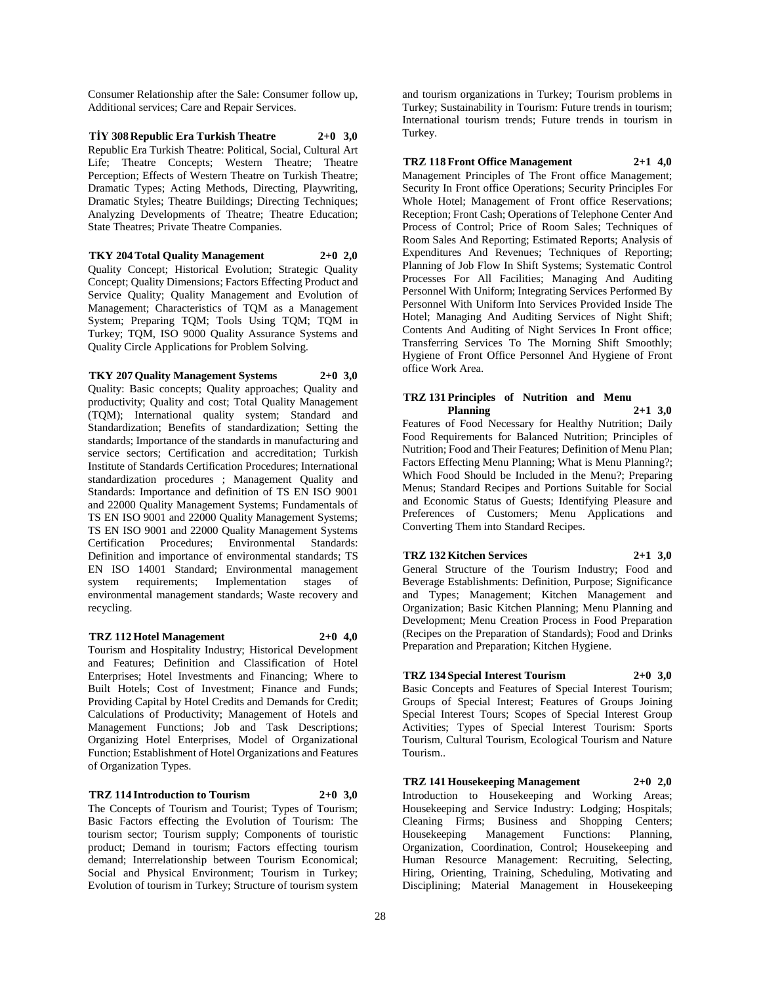Consumer Relationship after the Sale: Consumer follow up, Additional services; Care and Repair Services.

**TİY 308 Republic Era Turkish Theatre 2+0 3,0** Republic Era Turkish Theatre: Political, Social, Cultural Art Life; Theatre Concepts; Western Theatre; Theatre Perception; Effects of Western Theatre on Turkish Theatre; Dramatic Types; Acting Methods, Directing, Playwriting, Dramatic Styles; Theatre Buildings; Directing Techniques; Analyzing Developments of Theatre; Theatre Education; State Theatres; Private Theatre Companies.

**TKY 204 Total Quality Management 2+0 2,0** Quality Concept; Historical Evolution; Strategic Quality Concept; Quality Dimensions; Factors Effecting Product and Service Quality; Quality Management and Evolution of Management; Characteristics of TQM as a Management System; Preparing TQM; Tools Using TQM; TQM in Turkey; TQM, ISO 9000 Quality Assurance Systems and

# **TKY 207 Quality Management Systems 2+0 3,0**

Quality Circle Applications for Problem Solving.

Quality: Basic concepts; Quality approaches; Quality and productivity; Quality and cost; Total Quality Management (TQM); International quality system; Standard and Standardization; Benefits of standardization; Setting the standards; Importance of the standards in manufacturing and service sectors; Certification and accreditation; Turkish Institute of Standards Certification Procedures; International standardization procedures ; Management Quality and Standards: Importance and definition of TS EN ISO 9001 and 22000 Quality Management Systems; Fundamentals of TS EN ISO 9001 and 22000 Quality Management Systems; TS EN ISO 9001 and 22000 Quality Management Systems Certification Procedures; Environmental Standards: Definition and importance of environmental standards; TS EN ISO 14001 Standard; Environmental management system requirements; Implementation stages of environmental management standards; Waste recovery and recycling.

# **TRZ 112 Hotel Management 2+0 4,0**

Tourism and Hospitality Industry; Historical Development and Features; Definition and Classification of Hotel Enterprises; Hotel Investments and Financing; Where to Built Hotels; Cost of Investment; Finance and Funds; Providing Capital by Hotel Credits and Demands for Credit; Calculations of Productivity; Management of Hotels and Management Functions; Job and Task Descriptions; Organizing Hotel Enterprises, Model of Organizational Function; Establishment of Hotel Organizations and Features of Organization Types.

#### **TRZ 114 Introduction to Tourism 2+0 3,0**

The Concepts of Tourism and Tourist; Types of Tourism; Basic Factors effecting the Evolution of Tourism: The tourism sector; Tourism supply; Components of touristic product; Demand in tourism; Factors effecting tourism demand; Interrelationship between Tourism Economical; Social and Physical Environment; Tourism in Turkey; Evolution of tourism in Turkey; Structure of tourism system

and tourism organizations in Turkey; Tourism problems in Turkey; Sustainability in Tourism: Future trends in tourism; International tourism trends; Future trends in tourism in Turkey.

# **TRZ 118 Front Office Management 2+1 4,0**

Management Principles of The Front office Management; Security In Front office Operations; Security Principles For Whole Hotel; Management of Front office Reservations; Reception; Front Cash; Operations of Telephone Center And Process of Control; Price of Room Sales; Techniques of Room Sales And Reporting; Estimated Reports; Analysis of Expenditures And Revenues; Techniques of Reporting; Planning of Job Flow In Shift Systems; Systematic Control Processes For All Facilities; Managing And Auditing Personnel With Uniform; Integrating Services Performed By Personnel With Uniform Into Services Provided Inside The Hotel; Managing And Auditing Services of Night Shift; Contents And Auditing of Night Services In Front office; Transferring Services To The Morning Shift Smoothly; Hygiene of Front Office Personnel And Hygiene of Front office Work Area.

# **TRZ 131 Principles of Nutrition and Menu Planning 2+1 3,0**

Features of Food Necessary for Healthy Nutrition; Daily Food Requirements for Balanced Nutrition; Principles of Nutrition; Food and Their Features; Definition of Menu Plan; Factors Effecting Menu Planning; What is Menu Planning?; Which Food Should be Included in the Menu?; Preparing Menus; Standard Recipes and Portions Suitable for Social and Economic Status of Guests; Identifying Pleasure and Preferences of Customers; Menu Applications and Converting Them into Standard Recipes.

## **TRZ 132 Kitchen Services 2+1 3,0**

General Structure of the Tourism Industry; Food and Beverage Establishments: Definition, Purpose; Significance and Types; Management; Kitchen Management and Organization; Basic Kitchen Planning; Menu Planning and Development; Menu Creation Process in Food Preparation (Recipes on the Preparation of Standards); Food and Drinks Preparation and Preparation; Kitchen Hygiene.

# **TRZ 134 Special Interest Tourism 2+0 3,0**

Basic Concepts and Features of Special Interest Tourism; Groups of Special Interest; Features of Groups Joining Special Interest Tours; Scopes of Special Interest Group Activities; Types of Special Interest Tourism: Sports Tourism, Cultural Tourism, Ecological Tourism and Nature Tourism..

**TRZ 141 Housekeeping Management 2+0 2,0** Introduction to Housekeeping and Working Areas; Housekeeping and Service Industry: Lodging; Hospitals; Cleaning Firms; Business and Shopping Centers; Housekeeping Management Functions: Organization, Coordination, Control; Housekeeping and Human Resource Management: Recruiting, Selecting, Hiring, Orienting, Training, Scheduling, Motivating and Disciplining; Material Management in Housekeeping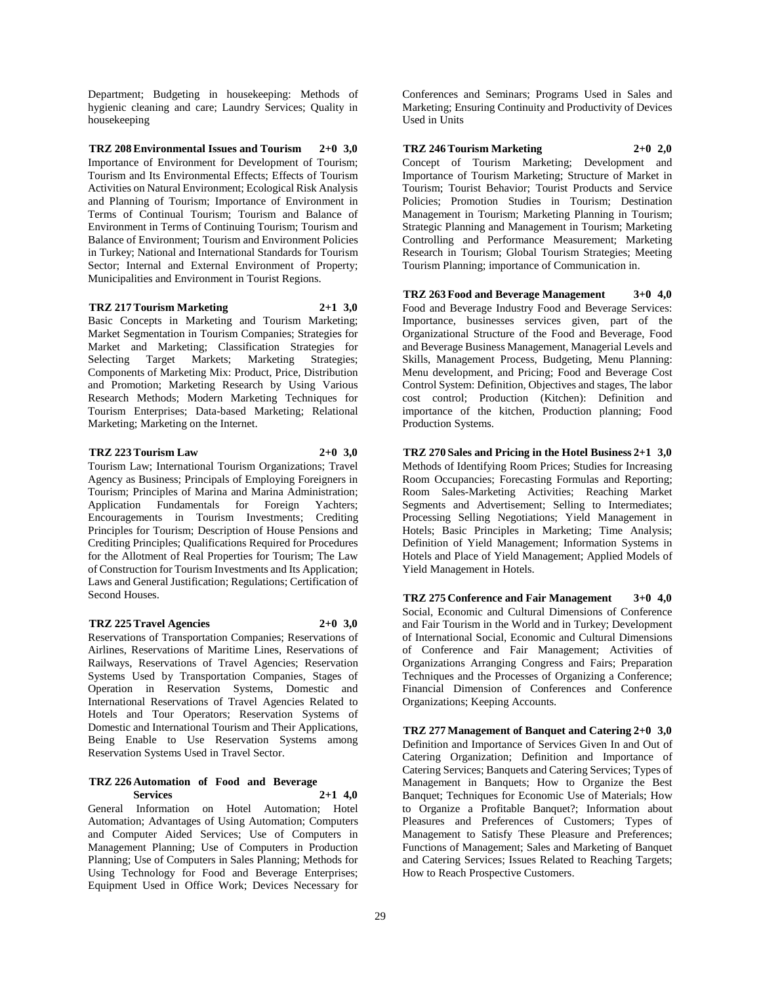Department; Budgeting in housekeeping: Methods of hygienic cleaning and care; Laundry Services; Quality in housekeeping

**TRZ 208 Environmental Issues and Tourism 2+0 3,0** Importance of Environment for Development of Tourism; Tourism and Its Environmental Effects; Effects of Tourism Activities on Natural Environment; Ecological Risk Analysis and Planning of Tourism; Importance of Environment in Terms of Continual Tourism; Tourism and Balance of Environment in Terms of Continuing Tourism; Tourism and Balance of Environment; Tourism and Environment Policies in Turkey; National and International Standards for Tourism Sector; Internal and External Environment of Property; Municipalities and Environment in Tourist Regions.

**TRZ 217 Tourism Marketing 2+1 3,0** Basic Concepts in Marketing and Tourism Marketing; Market Segmentation in Tourism Companies; Strategies for Market and Marketing; Classification Strategies for Selecting Target Markets; Marketing Strategies; Components of Marketing Mix: Product, Price, Distribution and Promotion; Marketing Research by Using Various Research Methods; Modern Marketing Techniques for Tourism Enterprises; Data-based Marketing; Relational Marketing; Marketing on the Internet.

#### **TRZ 223 Tourism Law 2+0 3,0**

Tourism Law; International Tourism Organizations; Travel Agency as Business; Principals of Employing Foreigners in Tourism; Principles of Marina and Marina Administration; Application Fundamentals for Foreign Yachters; Encouragements in Tourism Investments; Crediting Principles for Tourism; Description of House Pensions and Crediting Principles; Qualifications Required for Procedures for the Allotment of Real Properties for Tourism; The Law of Construction for Tourism Investments and Its Application; Laws and General Justification; Regulations; Certification of Second Houses.

#### **TRZ 225 Travel Agencies 2+0 3,0**

Reservations of Transportation Companies; Reservations of Airlines, Reservations of Maritime Lines, Reservations of Railways, Reservations of Travel Agencies; Reservation Systems Used by Transportation Companies, Stages of Operation in Reservation Systems, Domestic and International Reservations of Travel Agencies Related to Hotels and Tour Operators; Reservation Systems of Domestic and International Tourism and Their Applications, Being Enable to Use Reservation Systems among Reservation Systems Used in Travel Sector.

#### **TRZ 226 Automation of Food and Beverage Services 2+1 4,0**

General Information on Hotel Automation; Hotel Automation; Advantages of Using Automation; Computers and Computer Aided Services; Use of Computers in Management Planning; Use of Computers in Production Planning; Use of Computers in Sales Planning; Methods for Using Technology for Food and Beverage Enterprises; Equipment Used in Office Work; Devices Necessary for

Conferences and Seminars; Programs Used in Sales and Marketing; Ensuring Continuity and Productivity of Devices Used in Units

**TRZ 246 Tourism Marketing 2+0 2,0** Concept of Tourism Marketing; Development and Importance of Tourism Marketing; Structure of Market in Tourism; Tourist Behavior; Tourist Products and Service Policies; Promotion Studies in Tourism; Destination Management in Tourism; Marketing Planning in Tourism; Strategic Planning and Management in Tourism; Marketing Controlling and Performance Measurement; Marketing Research in Tourism; Global Tourism Strategies; Meeting Tourism Planning; importance of Communication in.

**TRZ 263 Food and Beverage Management 3+0 4,0** Food and Beverage Industry Food and Beverage Services: Importance, businesses services given, part of the Organizational Structure of the Food and Beverage, Food and Beverage Business Management, Managerial Levels and Skills, Management Process, Budgeting, Menu Planning: Menu development, and Pricing; Food and Beverage Cost Control System: Definition, Objectives and stages, The labor cost control; Production (Kitchen): Definition and importance of the kitchen, Production planning; Food Production Systems.

**TRZ 270 Sales and Pricing in the Hotel Business 2+1 3,0** Methods of Identifying Room Prices; Studies for Increasing Room Occupancies; Forecasting Formulas and Reporting; Room Sales-Marketing Activities; Reaching Market Segments and Advertisement; Selling to Intermediates; Processing Selling Negotiations; Yield Management in Hotels; Basic Principles in Marketing; Time Analysis; Definition of Yield Management; Information Systems in Hotels and Place of Yield Management; Applied Models of Yield Management in Hotels.

**TRZ 275 Conference and Fair Management 3+0 4,0** Social, Economic and Cultural Dimensions of Conference and Fair Tourism in the World and in Turkey; Development of International Social, Economic and Cultural Dimensions of Conference and Fair Management; Activities of Organizations Arranging Congress and Fairs; Preparation Techniques and the Processes of Organizing a Conference; Financial Dimension of Conferences and Conference Organizations; Keeping Accounts.

**TRZ 277 Management of Banquet and Catering 2+0 3,0** Definition and Importance of Services Given In and Out of Catering Organization; Definition and Importance of Catering Services; Banquets and Catering Services; Types of Management in Banquets; How to Organize the Best Banquet; Techniques for Economic Use of Materials; How to Organize a Profitable Banquet?; Information about Pleasures and Preferences of Customers; Types of Management to Satisfy These Pleasure and Preferences; Functions of Management; Sales and Marketing of Banquet and Catering Services; Issues Related to Reaching Targets; How to Reach Prospective Customers.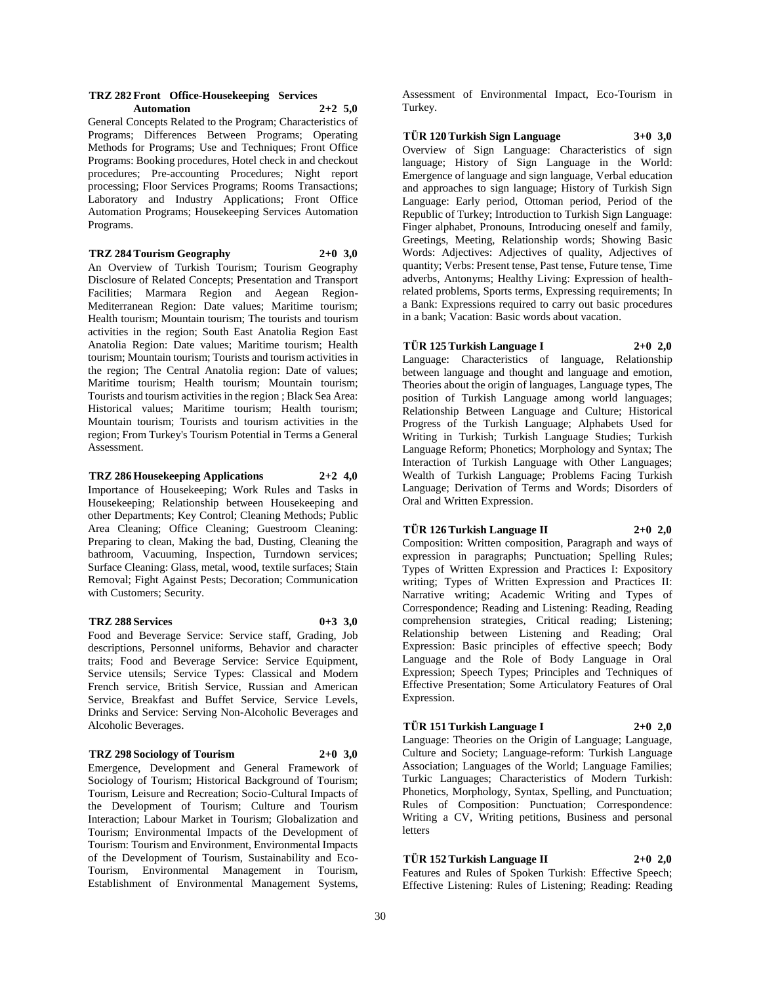#### **TRZ 282 Front Office-Housekeeping Services Automation 2+2 5,0**

General Concepts Related to the Program; Characteristics of Programs; Differences Between Programs; Operating Methods for Programs; Use and Techniques; Front Office Programs: Booking procedures, Hotel check in and checkout procedures; Pre-accounting Procedures; Night report processing; Floor Services Programs; Rooms Transactions; Laboratory and Industry Applications; Front Office Automation Programs; Housekeeping Services Automation Programs.

# **TRZ 284 Tourism Geography 2+0 3,0**

An Overview of Turkish Tourism; Tourism Geography Disclosure of Related Concepts; Presentation and Transport Facilities; Marmara Region and Aegean Region-Mediterranean Region: Date values; Maritime tourism; Health tourism; Mountain tourism; The tourists and tourism activities in the region; South East Anatolia Region East Anatolia Region: Date values; Maritime tourism; Health tourism; Mountain tourism; Tourists and tourism activities in the region; The Central Anatolia region: Date of values; Maritime tourism; Health tourism; Mountain tourism; Tourists and tourism activities in the region ; Black Sea Area: Historical values; Maritime tourism; Health tourism; Mountain tourism; Tourists and tourism activities in the region; From Turkey's Tourism Potential in Terms a General Assessment.

# **TRZ 286 Housekeeping Applications 2+2 4,0**

Importance of Housekeeping; Work Rules and Tasks in Housekeeping; Relationship between Housekeeping and other Departments; Key Control; Cleaning Methods; Public Area Cleaning; Office Cleaning; Guestroom Cleaning: Preparing to clean, Making the bad, Dusting, Cleaning the bathroom, Vacuuming, Inspection, Turndown services; Surface Cleaning: Glass, metal, wood, textile surfaces; Stain Removal; Fight Against Pests; Decoration; Communication with Customers; Security.

#### **TRZ 288 Services 0+3 3,0**

Food and Beverage Service: Service staff, Grading, Job descriptions, Personnel uniforms, Behavior and character traits; Food and Beverage Service: Service Equipment, Service utensils; Service Types: Classical and Modern French service, British Service, Russian and American Service, Breakfast and Buffet Service, Service Levels, Drinks and Service: Serving Non-Alcoholic Beverages and Alcoholic Beverages.

#### **TRZ 298 Sociology of Tourism 2+0 3,0**

Emergence, Development and General Framework of Sociology of Tourism; Historical Background of Tourism; Tourism, Leisure and Recreation; Socio-Cultural Impacts of the Development of Tourism; Culture and Tourism Interaction; Labour Market in Tourism; Globalization and Tourism; Environmental Impacts of the Development of Tourism: Tourism and Environment, Environmental Impacts of the Development of Tourism, Sustainability and Eco-Tourism, Environmental Management in Tourism, Establishment of Environmental Management Systems,

Assessment of Environmental Impact, Eco-Tourism in Turkey.

**TÜR 120 Turkish Sign Language 3+0 3,0**

Overview of Sign Language: Characteristics of sign language; History of Sign Language in the World: Emergence of language and sign language, Verbal education and approaches to sign language; History of Turkish Sign Language: Early period, Ottoman period, Period of the Republic of Turkey; Introduction to Turkish Sign Language: Finger alphabet, Pronouns, Introducing oneself and family, Greetings, Meeting, Relationship words; Showing Basic Words: Adjectives: Adjectives of quality, Adjectives of quantity; Verbs: Present tense, Past tense, Future tense, Time adverbs, Antonyms; Healthy Living: Expression of healthrelated problems, Sports terms, Expressing requirements; In a Bank: Expressions required to carry out basic procedures in a bank; Vacation: Basic words about vacation.

# **TÜR 125 Turkish Language I 2+0 2,0**

Language: Characteristics of language, Relationship between language and thought and language and emotion, Theories about the origin of languages, Language types, The position of Turkish Language among world languages; Relationship Between Language and Culture; Historical Progress of the Turkish Language; Alphabets Used for Writing in Turkish; Turkish Language Studies; Turkish Language Reform; Phonetics; Morphology and Syntax; The Interaction of Turkish Language with Other Languages; Wealth of Turkish Language; Problems Facing Turkish Language; Derivation of Terms and Words; Disorders of Oral and Written Expression.

# **TÜR 126 Turkish Language II 2+0 2,0**

Composition: Written composition, Paragraph and ways of expression in paragraphs; Punctuation; Spelling Rules; Types of Written Expression and Practices I: Expository writing; Types of Written Expression and Practices II: Narrative writing; Academic Writing and Types of Correspondence; Reading and Listening: Reading, Reading comprehension strategies, Critical reading; Listening; Relationship between Listening and Reading; Oral Expression: Basic principles of effective speech; Body Language and the Role of Body Language in Oral Expression; Speech Types; Principles and Techniques of Effective Presentation; Some Articulatory Features of Oral Expression.

# **TÜR 151 Turkish Language I 2+0 2,0**

Language: Theories on the Origin of Language; Language, Culture and Society; Language-reform: Turkish Language Association; Languages of the World; Language Families; Turkic Languages; Characteristics of Modern Turkish: Phonetics, Morphology, Syntax, Spelling, and Punctuation; Rules of Composition: Punctuation; Correspondence: Writing a CV, Writing petitions, Business and personal letters

# **TÜR 152 Turkish Language II 2+0 2,0**

Features and Rules of Spoken Turkish: Effective Speech; Effective Listening: Rules of Listening; Reading: Reading